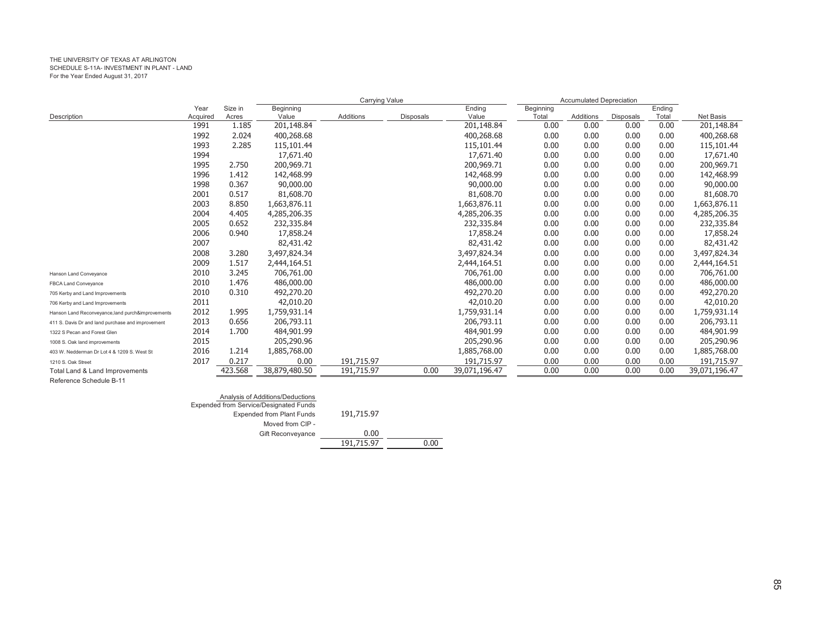|                                                   |          |         |               | Carrying Value |                  |               | <b>Accumulated Depreciation</b> |           |                  |        |               |
|---------------------------------------------------|----------|---------|---------------|----------------|------------------|---------------|---------------------------------|-----------|------------------|--------|---------------|
|                                                   | Year     | Size in | Beginning     |                |                  | Ending        | Beginning                       |           |                  | Ending |               |
| Description                                       | Acquired | Acres   | Value         | Additions      | <b>Disposals</b> | Value         | Total                           | Additions | <b>Disposals</b> | Total  | Net Basis     |
|                                                   | 1991     | 1.185   | 201,148.84    |                |                  | 201,148.84    | 0.00                            | 0.00      | 0.00             | 0.00   | 201,148.84    |
|                                                   | 1992     | 2.024   | 400,268.68    |                |                  | 400,268.68    | 0.00                            | 0.00      | 0.00             | 0.00   | 400,268.68    |
|                                                   | 1993     | 2.285   | 115,101.44    |                |                  | 115,101.44    | 0.00                            | 0.00      | 0.00             | 0.00   | 115,101.44    |
|                                                   | 1994     |         | 17,671.40     |                |                  | 17,671.40     | 0.00                            | 0.00      | 0.00             | 0.00   | 17,671.40     |
|                                                   | 1995     | 2.750   | 200,969.71    |                |                  | 200,969.71    | 0.00                            | 0.00      | 0.00             | 0.00   | 200,969.71    |
|                                                   | 1996     | 1.412   | 142,468.99    |                |                  | 142,468.99    | 0.00                            | 0.00      | 0.00             | 0.00   | 142,468.99    |
|                                                   | 1998     | 0.367   | 90,000.00     |                |                  | 90,000.00     | 0.00                            | 0.00      | 0.00             | 0.00   | 90,000.00     |
|                                                   | 2001     | 0.517   | 81,608.70     |                |                  | 81,608.70     | 0.00                            | 0.00      | 0.00             | 0.00   | 81,608.70     |
|                                                   | 2003     | 8.850   | 1,663,876.11  |                |                  | 1,663,876.11  | 0.00                            | 0.00      | 0.00             | 0.00   | 1,663,876.11  |
|                                                   | 2004     | 4.405   | 4,285,206.35  |                |                  | 4,285,206.35  | 0.00                            | 0.00      | 0.00             | 0.00   | 4,285,206.35  |
|                                                   | 2005     | 0.652   | 232,335.84    |                |                  | 232,335.84    | 0.00                            | 0.00      | 0.00             | 0.00   | 232,335.84    |
|                                                   | 2006     | 0.940   | 17,858.24     |                |                  | 17,858.24     | 0.00                            | 0.00      | 0.00             | 0.00   | 17,858.24     |
|                                                   | 2007     |         | 82,431.42     |                |                  | 82,431.42     | 0.00                            | 0.00      | 0.00             | 0.00   | 82,431.42     |
|                                                   | 2008     | 3.280   | 3,497,824.34  |                |                  | 3,497,824.34  | 0.00                            | 0.00      | 0.00             | 0.00   | 3,497,824.34  |
|                                                   | 2009     | 1.517   | 2,444,164.51  |                |                  | 2,444,164.51  | 0.00                            | 0.00      | 0.00             | 0.00   | 2,444,164.51  |
| Hanson Land Conveyance                            | 2010     | 3.245   | 706,761.00    |                |                  | 706,761.00    | 0.00                            | 0.00      | 0.00             | 0.00   | 706,761.00    |
| FBCA Land Conveyance                              | 2010     | 1.476   | 486,000.00    |                |                  | 486,000.00    | 0.00                            | 0.00      | 0.00             | 0.00   | 486,000.00    |
| 705 Kerby and Land Improvements                   | 2010     | 0.310   | 492,270.20    |                |                  | 492,270.20    | 0.00                            | 0.00      | 0.00             | 0.00   | 492,270.20    |
| 706 Kerby and Land Improvements                   | 2011     |         | 42,010.20     |                |                  | 42,010.20     | 0.00                            | 0.00      | 0.00             | 0.00   | 42,010.20     |
| Hanson Land Reconveyance, land purch&improvements | 2012     | 1.995   | 1,759,931.14  |                |                  | 1,759,931.14  | 0.00                            | 0.00      | 0.00             | 0.00   | 1,759,931.14  |
| 411 S. Davis Dr and land purchase and improvement | 2013     | 0.656   | 206,793.11    |                |                  | 206,793.11    | 0.00                            | 0.00      | 0.00             | 0.00   | 206,793.11    |
| 1322 S Pecan and Forest Glen                      | 2014     | 1.700   | 484,901.99    |                |                  | 484,901.99    | 0.00                            | 0.00      | 0.00             | 0.00   | 484,901.99    |
| 1008 S. Oak land improvements                     | 2015     |         | 205,290.96    |                |                  | 205,290.96    | 0.00                            | 0.00      | 0.00             | 0.00   | 205,290.96    |
| 403 W. Nedderman Dr Lot 4 & 1209 S. West St       | 2016     | 1.214   | 1,885,768.00  |                |                  | 1,885,768.00  | 0.00                            | 0.00      | 0.00             | 0.00   | 1,885,768.00  |
| 1210 S. Oak Street                                | 2017     | 0.217   | 0.00          | 191,715.97     |                  | 191,715.97    | 0.00                            | 0.00      | 0.00             | 0.00   | 191,715.97    |
| Total Land & Land Improvements                    |          | 423.568 | 38,879,480.50 | 191,715.97     | 0.00             | 39,071,196.47 | 0.00                            | 0.00      | 0.00             | 0.00   | 39,071,196.47 |
| Reference Schedule B-11                           |          |         |               |                |                  |               |                                 |           |                  |        |               |

| Analysis of Additions/Deductions              |            |      |
|-----------------------------------------------|------------|------|
| <b>Expended from Service/Designated Funds</b> |            |      |
| <b>Expended from Plant Funds</b>              | 191,715.97 |      |
| Moved from CIP -                              |            |      |
| <b>Gift Reconveyance</b>                      | 0.00       |      |
|                                               | 191,715.97 | 0.00 |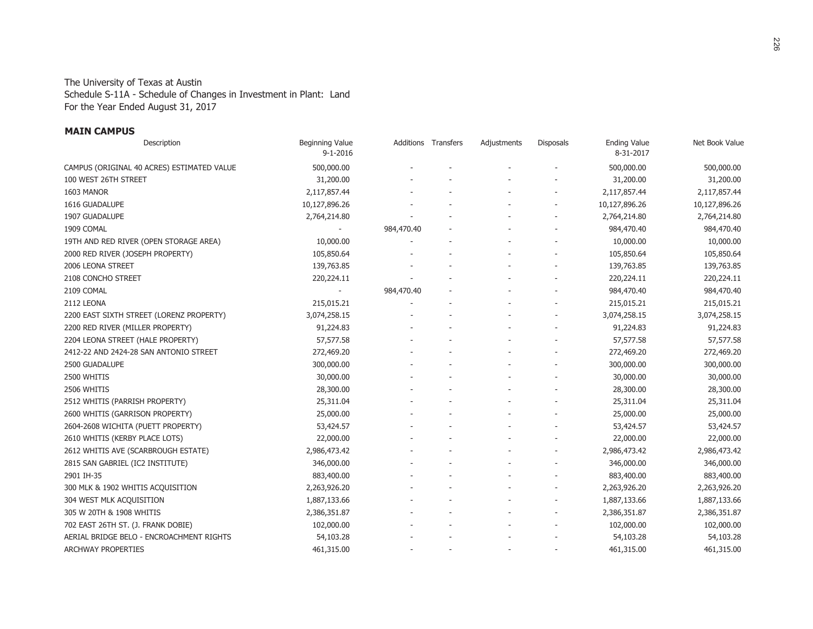For the Year Ended August 31, 2017 The University of Texas at Austin Schedule S-11A - Schedule of Changes in Investment in Plant: Land

#### **MAIN CAMPUS**

| Description                                | Beginning Value<br>$9 - 1 - 2016$ |            | Additions Transfers | Adjustments | Disposals | <b>Ending Value</b><br>8-31-2017 | Net Book Value |
|--------------------------------------------|-----------------------------------|------------|---------------------|-------------|-----------|----------------------------------|----------------|
| CAMPUS (ORIGINAL 40 ACRES) ESTIMATED VALUE | 500,000.00                        |            |                     |             |           | 500,000.00                       | 500,000.00     |
| 100 WEST 26TH STREET                       | 31,200.00                         |            |                     |             |           | 31,200.00                        | 31,200.00      |
| 1603 MANOR                                 | 2,117,857.44                      |            |                     |             |           | 2,117,857.44                     | 2,117,857.44   |
| 1616 GUADALUPE                             | 10,127,896.26                     |            |                     |             |           | 10,127,896.26                    | 10,127,896.26  |
| 1907 GUADALUPE                             | 2,764,214.80                      |            |                     |             |           | 2,764,214.80                     | 2,764,214.80   |
| 1909 COMAL                                 |                                   | 984,470.40 |                     |             |           | 984,470.40                       | 984,470.40     |
| 19TH AND RED RIVER (OPEN STORAGE AREA)     | 10,000.00                         |            |                     |             |           | 10,000.00                        | 10,000.00      |
| 2000 RED RIVER (JOSEPH PROPERTY)           | 105,850.64                        |            |                     |             |           | 105,850.64                       | 105,850.64     |
| 2006 LEONA STREET                          | 139,763.85                        |            |                     |             |           | 139,763.85                       | 139,763.85     |
| 2108 CONCHO STREET                         | 220,224.11                        |            |                     |             |           | 220,224.11                       | 220,224.11     |
| 2109 COMAL                                 |                                   | 984,470.40 |                     |             |           | 984,470.40                       | 984,470.40     |
| 2112 LEONA                                 | 215,015.21                        |            |                     |             |           | 215,015.21                       | 215,015.21     |
| 2200 EAST SIXTH STREET (LORENZ PROPERTY)   | 3,074,258.15                      |            |                     |             |           | 3,074,258.15                     | 3,074,258.15   |
| 2200 RED RIVER (MILLER PROPERTY)           | 91,224.83                         |            |                     |             |           | 91,224.83                        | 91,224.83      |
| 2204 LEONA STREET (HALE PROPERTY)          | 57,577.58                         |            |                     |             |           | 57,577.58                        | 57,577.58      |
| 2412-22 AND 2424-28 SAN ANTONIO STREET     | 272,469.20                        |            |                     |             |           | 272,469.20                       | 272,469.20     |
| 2500 GUADALUPE                             | 300,000.00                        |            |                     |             |           | 300,000.00                       | 300,000.00     |
| 2500 WHITIS                                | 30,000.00                         |            |                     |             |           | 30,000.00                        | 30,000.00      |
| 2506 WHITIS                                | 28,300.00                         |            |                     |             |           | 28,300.00                        | 28,300.00      |
| 2512 WHITIS (PARRISH PROPERTY)             | 25,311.04                         |            |                     |             |           | 25,311.04                        | 25,311.04      |
| 2600 WHITIS (GARRISON PROPERTY)            | 25,000.00                         |            |                     |             |           | 25,000.00                        | 25,000.00      |
| 2604-2608 WICHITA (PUETT PROPERTY)         | 53,424.57                         |            |                     |             |           | 53,424.57                        | 53,424.57      |
| 2610 WHITIS (KERBY PLACE LOTS)             | 22,000.00                         |            |                     |             |           | 22,000.00                        | 22,000.00      |
| 2612 WHITIS AVE (SCARBROUGH ESTATE)        | 2,986,473.42                      |            |                     |             |           | 2,986,473.42                     | 2,986,473.42   |
| 2815 SAN GABRIEL (IC2 INSTITUTE)           | 346,000.00                        |            |                     |             |           | 346,000.00                       | 346,000.00     |
| 2901 IH-35                                 | 883,400.00                        |            |                     |             |           | 883,400.00                       | 883,400.00     |
| 300 MLK & 1902 WHITIS ACQUISITION          | 2,263,926.20                      |            |                     |             |           | 2,263,926.20                     | 2,263,926.20   |
| 304 WEST MLK ACQUISITION                   | 1,887,133.66                      |            |                     |             |           | 1,887,133.66                     | 1,887,133.66   |
| 305 W 20TH & 1908 WHITIS                   | 2,386,351.87                      |            |                     |             |           | 2,386,351.87                     | 2,386,351.87   |
| 702 EAST 26TH ST. (J. FRANK DOBIE)         | 102,000.00                        |            |                     |             |           | 102,000.00                       | 102,000.00     |
| AERIAL BRIDGE BELO - ENCROACHMENT RIGHTS   | 54,103.28                         |            |                     |             |           | 54,103.28                        | 54,103.28      |
| ARCHWAY PROPERTIES                         | 461,315.00                        |            |                     |             |           | 461,315.00                       | 461,315.00     |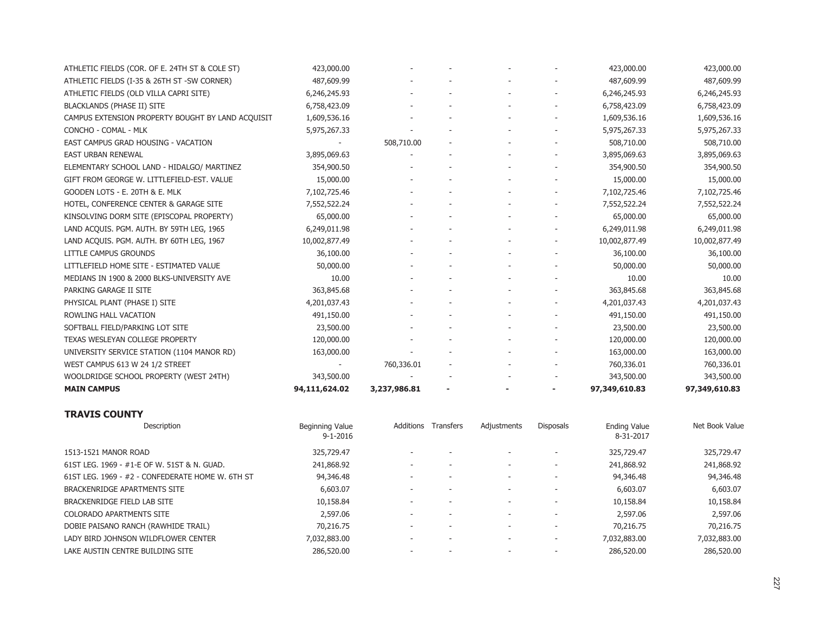| ATHLETIC FIELDS (COR. OF E. 24TH ST & COLE ST)    | 423,000.00    |              |  | 423,000.00    | 423,000.00    |
|---------------------------------------------------|---------------|--------------|--|---------------|---------------|
| ATHLETIC FIELDS (I-35 & 26TH ST -SW CORNER)       | 487,609.99    |              |  | 487,609.99    | 487,609.99    |
| ATHLETIC FIELDS (OLD VILLA CAPRI SITE)            | 6,246,245.93  |              |  | 6,246,245.93  | 6,246,245.93  |
| <b>BLACKLANDS (PHASE II) SITE</b>                 | 6,758,423.09  |              |  | 6,758,423.09  | 6,758,423.09  |
| CAMPUS EXTENSION PROPERTY BOUGHT BY LAND ACQUISIT | 1,609,536.16  |              |  | 1,609,536.16  | 1,609,536.16  |
| CONCHO - COMAL - MLK                              | 5,975,267.33  |              |  | 5,975,267.33  | 5,975,267.33  |
| EAST CAMPUS GRAD HOUSING - VACATION               |               | 508,710.00   |  | 508,710.00    | 508,710.00    |
| <b>EAST URBAN RENEWAL</b>                         | 3,895,069.63  |              |  | 3,895,069.63  | 3,895,069.63  |
| ELEMENTARY SCHOOL LAND - HIDALGO/ MARTINEZ        | 354,900.50    |              |  | 354,900.50    | 354,900.50    |
| GIFT FROM GEORGE W. LITTLEFIELD-EST. VALUE        | 15,000.00     |              |  | 15,000.00     | 15,000.00     |
| GOODEN LOTS - E. 20TH & E. MLK                    | 7,102,725.46  |              |  | 7,102,725.46  | 7,102,725.46  |
| HOTEL, CONFERENCE CENTER & GARAGE SITE            | 7,552,522.24  |              |  | 7,552,522.24  | 7,552,522.24  |
| KINSOLVING DORM SITE (EPISCOPAL PROPERTY)         | 65,000.00     |              |  | 65,000.00     | 65,000.00     |
| LAND ACQUIS. PGM. AUTH. BY 59TH LEG, 1965         | 6,249,011.98  |              |  | 6,249,011.98  | 6,249,011.98  |
| LAND ACQUIS. PGM. AUTH. BY 60TH LEG, 1967         | 10,002,877.49 |              |  | 10,002,877.49 | 10,002,877.49 |
| LITTLE CAMPUS GROUNDS                             | 36,100.00     |              |  | 36,100.00     | 36,100.00     |
| LITTLEFIELD HOME SITE - ESTIMATED VALUE           | 50,000.00     |              |  | 50,000.00     | 50,000.00     |
| MEDIANS IN 1900 & 2000 BLKS-UNIVERSITY AVE        | 10.00         |              |  | 10.00         | 10.00         |
| PARKING GARAGE II SITE                            | 363,845.68    |              |  | 363,845.68    | 363,845.68    |
| PHYSICAL PLANT (PHASE I) SITE                     | 4,201,037.43  |              |  | 4,201,037.43  | 4,201,037.43  |
| ROWLING HALL VACATION                             | 491,150.00    |              |  | 491,150.00    | 491,150.00    |
| SOFTBALL FIELD/PARKING LOT SITE                   | 23,500.00     |              |  | 23,500.00     | 23,500.00     |
| TEXAS WESLEYAN COLLEGE PROPERTY                   | 120,000.00    |              |  | 120,000.00    | 120,000.00    |
| UNIVERSITY SERVICE STATION (1104 MANOR RD)        | 163,000.00    |              |  | 163,000.00    | 163,000.00    |
| WEST CAMPUS 613 W 24 1/2 STREET                   |               | 760,336.01   |  | 760,336.01    | 760,336.01    |
| WOOLDRIDGE SCHOOL PROPERTY (WEST 24TH)            | 343,500.00    |              |  | 343,500.00    | 343,500.00    |
| <b>MAIN CAMPUS</b>                                | 94,111,624.02 | 3,237,986.81 |  | 97,349,610.83 | 97,349,610.83 |

#### **TRAVIS COUNTY**

| Description                                      | Beginning Value<br>$9 - 1 - 2016$ | Additions                | Transfers | Adjustments              | <b>Disposals</b> | <b>Ending Value</b><br>8-31-2017 | Net Book Value |
|--------------------------------------------------|-----------------------------------|--------------------------|-----------|--------------------------|------------------|----------------------------------|----------------|
| 1513-1521 MANOR ROAD                             | 325,729.47                        |                          |           |                          |                  | 325,729.47                       | 325,729.47     |
| 61ST LEG. 1969 - #1-E OF W. 51ST & N. GUAD.      | 241,868.92                        |                          |           |                          |                  | 241,868.92                       | 241,868.92     |
| 61ST LEG. 1969 - #2 - CONFEDERATE HOME W. 6TH ST | 94,346.48                         |                          |           |                          |                  | 94,346.48                        | 94,346.48      |
| BRACKENRIDGE APARTMENTS SITE                     | 6,603.07                          |                          |           |                          |                  | 6,603.07                         | 6,603.07       |
| BRACKENRIDGE FIELD LAB SITE                      | 10,158.84                         |                          |           |                          |                  | 10,158.84                        | 10,158.84      |
| <b>COLORADO APARTMENTS SITE</b>                  | 2,597.06                          | $\overline{\phantom{a}}$ |           |                          |                  | 2,597.06                         | 2,597.06       |
| DOBIE PAISANO RANCH (RAWHIDE TRAIL)              | 70,216,75                         | $\overline{\phantom{a}}$ |           | $\overline{\phantom{a}}$ |                  | 70,216,75                        | 70,216.75      |
| LADY BIRD JOHNSON WILDFLOWER CENTER              | 7,032,883.00                      |                          |           |                          |                  | 7,032,883.00                     | 7,032,883.00   |
| LAKE AUSTIN CENTRE BUILDING SITE                 | 286,520,00                        |                          |           |                          |                  | 286,520.00                       | 286,520.00     |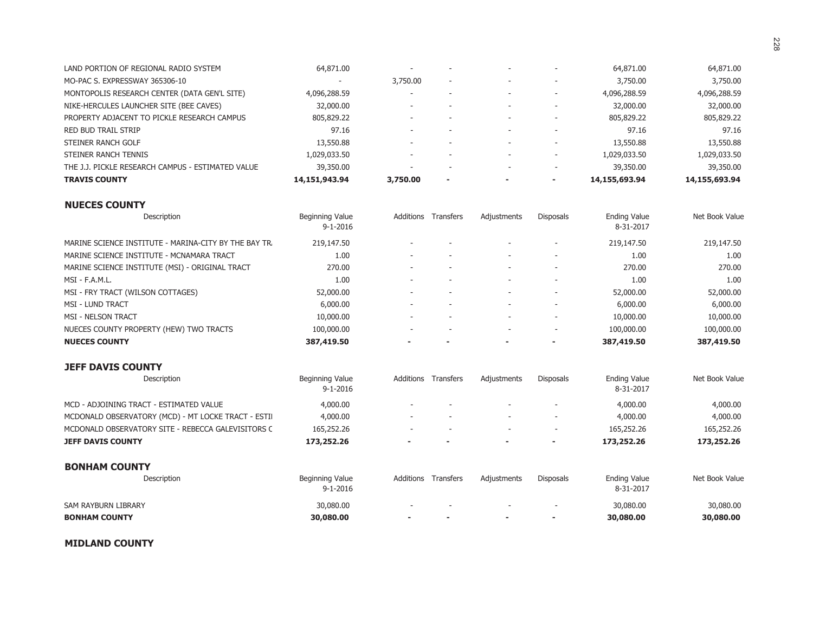| LAND PORTION OF REGIONAL RADIO SYSTEM             | 64,871.00                | $\overline{\phantom{a}}$ |                          |                          | $\overline{\phantom{a}}$ | 64,871.00     | 64,871.00     |
|---------------------------------------------------|--------------------------|--------------------------|--------------------------|--------------------------|--------------------------|---------------|---------------|
| MO-PAC S. EXPRESSWAY 365306-10                    | $\overline{\phantom{a}}$ | 3,750,00                 | $\overline{\phantom{a}}$ |                          |                          | 3,750.00      | 3,750.00      |
| MONTOPOLIS RESEARCH CENTER (DATA GEN'L SITE)      | 4,096,288.59             | $\overline{\phantom{a}}$ |                          |                          | $\sim$                   | 4,096,288.59  | 4,096,288.59  |
| NIKE-HERCULES LAUNCHER SITE (BEE CAVES)           | 32,000.00                | $\overline{\phantom{a}}$ |                          |                          | $\overline{\phantom{a}}$ | 32,000.00     | 32,000.00     |
| PROPERTY ADJACENT TO PICKLE RESEARCH CAMPUS       | 805,829.22               | $\overline{\phantom{a}}$ |                          |                          | $\overline{\phantom{a}}$ | 805,829.22    | 805,829.22    |
| RED BUD TRAIL STRIP                               | 97.16                    | $\overline{\phantom{a}}$ |                          |                          | $\overline{\phantom{a}}$ | 97.16         | 97.16         |
| STEINER RANCH GOLF                                | 13,550.88                | $\overline{\phantom{a}}$ |                          | $\overline{\phantom{a}}$ | $\sim$                   | 13,550.88     | 13,550.88     |
| STEINER RANCH TENNIS                              | 1,029,033.50             | -                        |                          |                          |                          | 1,029,033.50  | 1,029,033.50  |
| THE J.J. PICKLE RESEARCH CAMPUS - ESTIMATED VALUE | 39,350.00                | $\overline{\phantom{a}}$ |                          |                          | $\overline{\phantom{a}}$ | 39,350.00     | 39,350.00     |
| <b>TRAVIS COUNTY</b>                              | 14,151,943.94            | 3,750,00                 | $\overline{\phantom{a}}$ |                          |                          | 14,155,693.94 | 14,155,693.94 |

| Description                                           | Beginning Value<br>$9 - 1 - 2016$ | Additions                | Transfers | Adjustments | Disposals | <b>Ending Value</b><br>8-31-2017 | Net Book Value |
|-------------------------------------------------------|-----------------------------------|--------------------------|-----------|-------------|-----------|----------------------------------|----------------|
| MARINE SCIENCE INSTITUTE - MARINA-CITY BY THE BAY TR. | 219,147.50                        | $\overline{\phantom{a}}$ |           |             |           | 219,147.50                       | 219,147.50     |
| MARINE SCIENCE INSTITUTE - MCNAMARA TRACT             | 1.00                              | $\overline{\phantom{a}}$ |           |             |           | 1.00                             | 1.00           |
| MARINE SCIENCE INSTITUTE (MSI) - ORIGINAL TRACT       | 270.00                            | $\overline{\phantom{a}}$ |           |             |           | 270.00                           | 270.00         |
| $MSI - F.A.M.L.$                                      | 1.00                              |                          |           |             |           | 1.00                             | 1.00           |
| MSI - FRY TRACT (WILSON COTTAGES)                     | 52,000.00                         |                          |           |             |           | 52,000.00                        | 52,000.00      |
| <b>MSI - LUND TRACT</b>                               | 6,000.00                          |                          |           |             |           | 6,000.00                         | 6,000.00       |
| <b>MSI - NELSON TRACT</b>                             | 10,000.00                         |                          |           |             |           | 10,000.00                        | 10,000.00      |
| NUECES COUNTY PROPERTY (HEW) TWO TRACTS               | 100,000.00                        |                          |           |             |           | 100,000.00                       | 100,000.00     |
| <b>NUECES COUNTY</b>                                  | 387,419.50                        |                          |           |             |           | 387,419.50                       | 387,419.50     |

| <b>JEFF DAVIS COUNTY</b> |  |
|--------------------------|--|
|--------------------------|--|

| Description                                        | Beginning Value<br>$9 - 1 - 2016$ | Additions                | <b>Transfers</b> | Adjustments | <b>Disposals</b>         | <b>Ending Value</b><br>8-31-2017 | Net Book Value |
|----------------------------------------------------|-----------------------------------|--------------------------|------------------|-------------|--------------------------|----------------------------------|----------------|
| MCD - ADJOINING TRACT - ESTIMATED VALUE            | 4,000.00                          | $\overline{\phantom{a}}$ |                  |             |                          | 4,000.00                         | 4,000.00       |
| MCDONALD OBSERVATORY (MCD) - MT LOCKE TRACT - ESTI | 4,000.00                          | $\overline{\phantom{0}}$ |                  |             | $\overline{\phantom{a}}$ | 4,000.00                         | 4,000.00       |
| MCDONALD OBSERVATORY SITE - REBECCA GALEVISITORS C | 165,252.26                        | $\overline{\phantom{0}}$ |                  |             |                          | 165,252.26                       | 165,252.26     |
| <b>JEFF DAVIS COUNTY</b>                           | 173,252.26                        |                          |                  | ٠           | ۰                        | 173,252,26                       | 173,252.26     |
| <b>BONHAM COUNTY</b>                               |                                   |                          |                  |             |                          |                                  |                |
| Description                                        | Beginning Value<br>$9 - 1 - 2016$ | Additions                | <b>Transfers</b> | Adjustments | <b>Disposals</b>         | <b>Ending Value</b><br>8-31-2017 | Net Book Value |
| SAM RAYBURN LIBRARY                                | 30,080,00                         | $\overline{\phantom{a}}$ |                  |             |                          | 30,080,00                        | 30,080.00      |
| <b>BONHAM COUNTY</b>                               | 30,080,00                         |                          |                  | ٠           |                          | 30,080,00                        | 30,080,00      |

#### **MIDLAND COUNTY**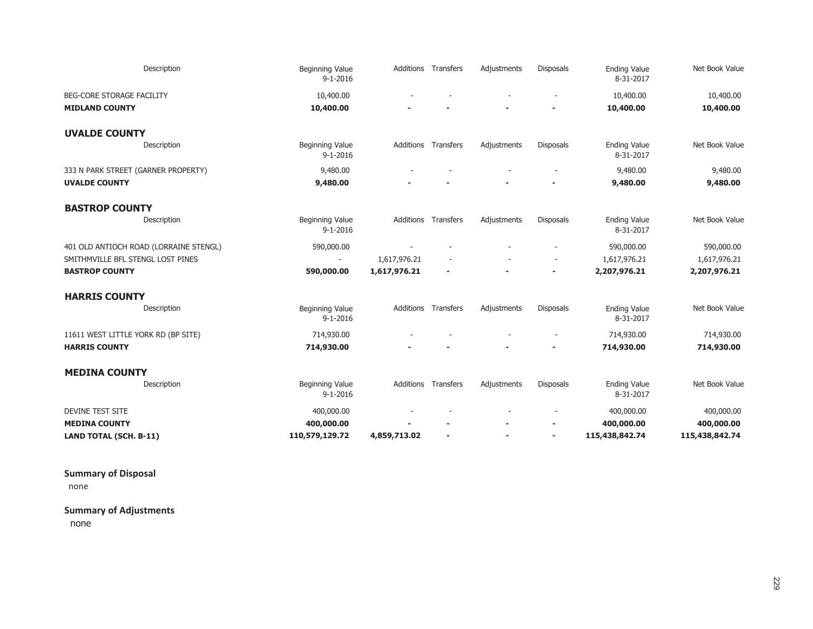| Description                            | Beginning Value<br>$9 - 1 - 2016$        |              | Additions Transfers | Adjustments | <b>Disposals</b> | <b>Ending Value</b><br>8-31-2017 | Net Book Value |
|----------------------------------------|------------------------------------------|--------------|---------------------|-------------|------------------|----------------------------------|----------------|
| BEG-CORE STORAGE FACILITY              | 10,400.00                                |              |                     |             |                  | 10,400.00                        | 10,400.00      |
| <b>MIDLAND COUNTY</b>                  | 10,400.00                                |              |                     |             |                  | 10,400.00                        | 10,400.00      |
| <b>UVALDE COUNTY</b>                   |                                          |              |                     |             |                  |                                  |                |
| Description                            | Beginning Value<br>$9 - 1 - 2016$        |              | Additions Transfers | Adjustments | <b>Disposals</b> | <b>Ending Value</b><br>8-31-2017 | Net Book Value |
| 333 N PARK STREET (GARNER PROPERTY)    | 9,480.00                                 |              |                     |             |                  | 9,480.00                         | 9,480.00       |
| <b>UVALDE COUNTY</b>                   | 9,480.00                                 |              |                     |             |                  | 9,480.00                         | 9,480.00       |
| <b>BASTROP COUNTY</b>                  |                                          |              |                     |             |                  |                                  |                |
| Description                            | <b>Beginning Value</b><br>$9 - 1 - 2016$ |              | Additions Transfers | Adjustments | <b>Disposals</b> | <b>Ending Value</b><br>8-31-2017 | Net Book Value |
| 401 OLD ANTIOCH ROAD (LORRAINE STENGL) | 590,000.00                               |              |                     |             |                  | 590,000.00                       | 590,000.00     |
| SMITHMVILLE BFL STENGL LOST PINES      | $\overline{\phantom{a}}$                 | 1,617,976.21 |                     |             | $\sim$           | 1,617,976.21                     | 1,617,976.21   |
| <b>BASTROP COUNTY</b>                  | 590,000.00                               | 1,617,976.21 |                     |             |                  | 2,207,976.21                     | 2,207,976.21   |
| <b>HARRIS COUNTY</b>                   |                                          |              |                     |             |                  |                                  |                |
| Description                            | Beginning Value<br>$9 - 1 - 2016$        | Additions    | Transfers           | Adjustments | <b>Disposals</b> | <b>Ending Value</b><br>8-31-2017 | Net Book Value |
| 11611 WEST LITTLE YORK RD (BP SITE)    | 714,930.00                               |              |                     |             |                  | 714,930.00                       | 714,930.00     |
| <b>HARRIS COUNTY</b>                   | 714,930.00                               |              |                     |             |                  | 714,930.00                       | 714,930.00     |
| <b>MEDINA COUNTY</b>                   |                                          |              |                     |             |                  |                                  |                |
| Description                            | Beginning Value<br>$9 - 1 - 2016$        | Additions    | Transfers           | Adjustments | <b>Disposals</b> | <b>Ending Value</b><br>8-31-2017 | Net Book Value |
| <b>DEVINE TEST SITE</b>                | 400,000.00                               |              |                     |             |                  | 400,000.00                       | 400,000.00     |
| <b>MEDINA COUNTY</b>                   | 400,000.00                               |              |                     |             |                  | 400,000.00                       | 400,000.00     |
| <b>LAND TOTAL (SCH. B-11)</b>          | 110,579,129.72                           | 4,859,713.02 |                     |             |                  | 115,438,842.74                   | 115,438,842.74 |

**Summary of Disposal**

none

**Summary of Adjustments**

none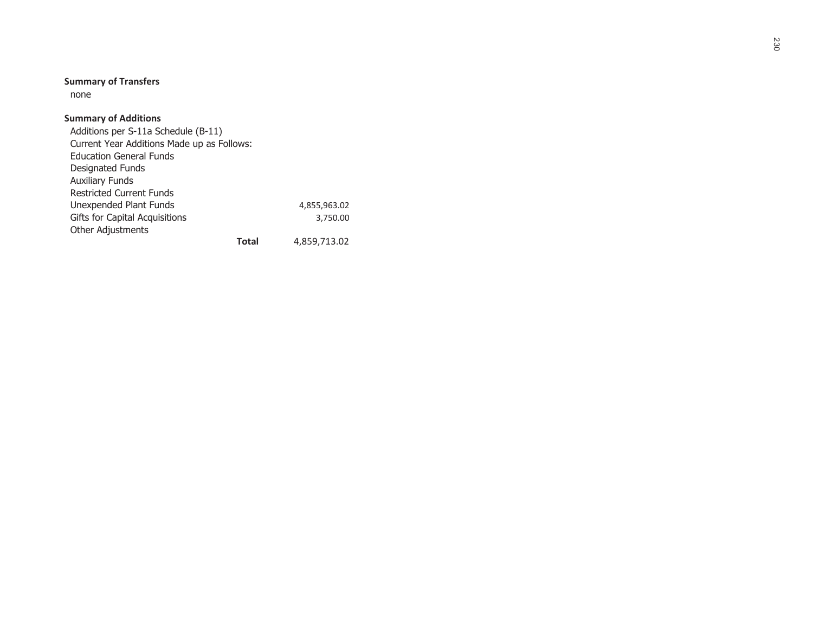# **Summary of Transfers**

none

## **Summary of Additions**

 Additions per S-11a Schedule (B-11) Current Year Additions Made up as Follows: Education General Funds Designated Funds Auxiliary Funds Restricted Current Funds Unexpended Plant Funds 4,855,963.02 Gifts for Capital Acquisitions 3,750.00 Other Adjustments **Total**

4,859,713.02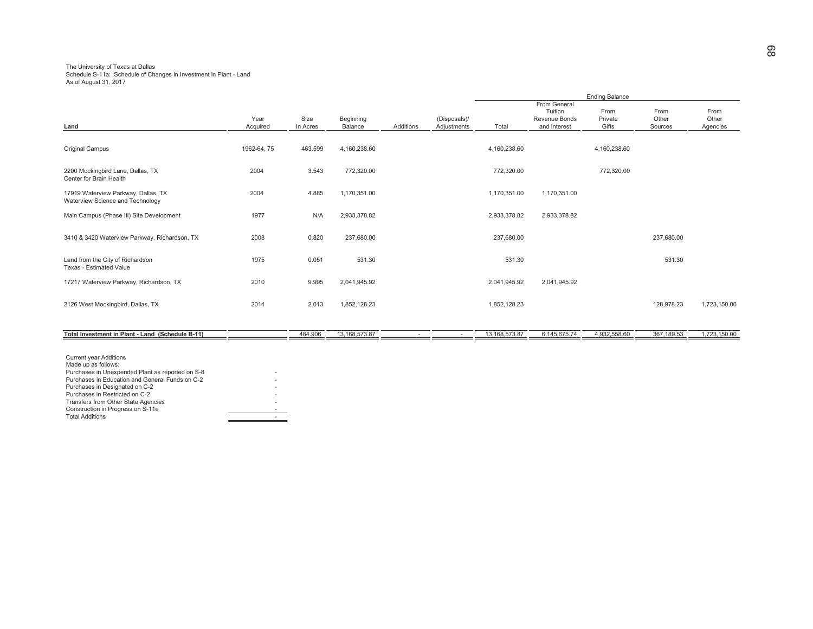### The University of Texas at Dallas Schedule S-11a: Schedule of Changes in Investment in Plant - Land As of August 31, 2017

|                                                                         |                  |                  |                      |           |                             |               |                                                          | <b>Ending Balance</b>    |                          |                           |
|-------------------------------------------------------------------------|------------------|------------------|----------------------|-----------|-----------------------------|---------------|----------------------------------------------------------|--------------------------|--------------------------|---------------------------|
| Land                                                                    | Year<br>Acquired | Size<br>In Acres | Beginning<br>Balance | Additions | (Disposals)/<br>Adjustments | Total         | From General<br>Tuition<br>Revenue Bonds<br>and Interest | From<br>Private<br>Gifts | From<br>Other<br>Sources | From<br>Other<br>Agencies |
| <b>Original Campus</b>                                                  | 1962-64, 75      | 463.599          | 4,160,238.60         |           |                             | 4,160,238.60  |                                                          | 4,160,238.60             |                          |                           |
| 2200 Mockingbird Lane, Dallas, TX<br>Center for Brain Health            | 2004             | 3.543            | 772,320.00           |           |                             | 772,320.00    |                                                          | 772,320.00               |                          |                           |
| 17919 Waterview Parkway, Dallas, TX<br>Waterview Science and Technology | 2004             | 4.885            | 1,170,351.00         |           |                             | 1,170,351.00  | 1,170,351.00                                             |                          |                          |                           |
| Main Campus (Phase III) Site Development                                | 1977             | N/A              | 2,933,378.82         |           |                             | 2,933,378.82  | 2,933,378.82                                             |                          |                          |                           |
| 3410 & 3420 Waterview Parkway, Richardson, TX                           | 2008             | 0.820            | 237,680.00           |           |                             | 237,680.00    |                                                          |                          | 237,680.00               |                           |
| Land from the City of Richardson<br>Texas - Estimated Value             | 1975             | 0.051            | 531.30               |           |                             | 531.30        |                                                          |                          | 531.30                   |                           |
| 17217 Waterview Parkway, Richardson, TX                                 | 2010             | 9.995            | 2,041,945.92         |           |                             | 2,041,945.92  | 2,041,945.92                                             |                          |                          |                           |
| 2126 West Mockingbird, Dallas, TX                                       | 2014             | 2.013            | 1,852,128.23         |           |                             | 1,852,128.23  |                                                          |                          | 128,978.23               | 1,723,150.00              |
| Total Investment in Plant - Land (Schedule B-11)                        |                  | 484.906          | 13, 168, 573. 87     |           |                             | 13,168,573.87 | 6,145,675.74                                             | 4,932,558.60             | 367,189.53               | 1,723,150.00              |
| $A$ constant and constant $A$ of all $BA$ and $A$                       |                  |                  |                      |           |                             |               |                                                          |                          |                          |                           |

Current year Additions Made up as follows: Purchases in Unexpended Plant as reported on S-8<br>Purchases in Education and General Funds on C-2<br>Purchases in Designated on C-2 Purchases in Restricted on C-2 - Transfers from Other State Agencies - Construction in Progress on S-11e -Total Additions $\sim$  -  $\sim$  -  $\sim$  -  $\sim$  -  $\sim$  -  $\sim$  -  $\sim$  -  $\sim$  -  $\sim$  -  $\sim$  -  $\sim$  -  $\sim$  -  $\sim$  -  $\sim$  -  $\sim$  -  $\sim$  -  $\sim$  -  $\sim$  -  $\sim$  -  $\sim$  -  $\sim$  -  $\sim$  -  $\sim$  -  $\sim$  -  $\sim$  -  $\sim$  -  $\sim$  -  $\sim$  -  $\sim$  -  $\sim$  -  $\sim$  -  $\sim$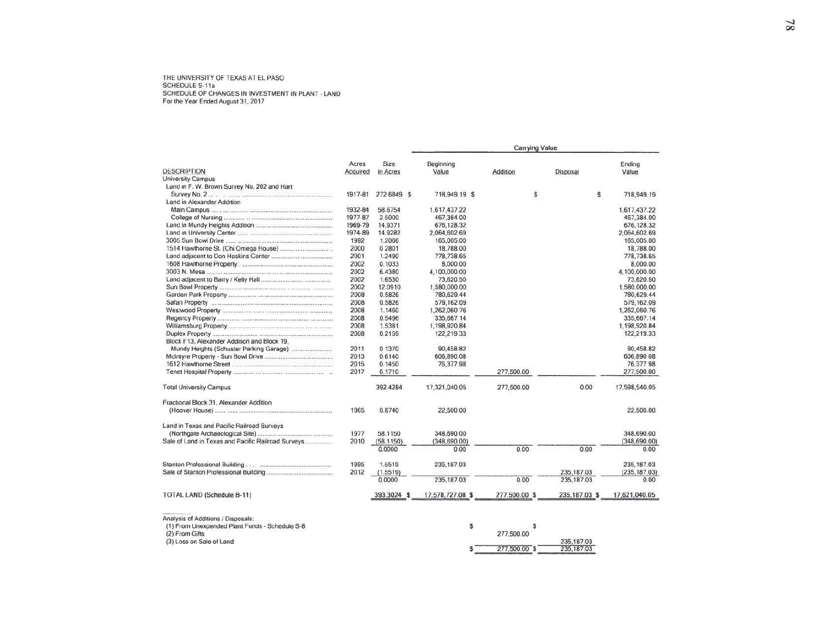THE UNIVERSITY OF TEXAS AT EL PASO SCHEDULE S-11a SCHEDULE OF CHANGES IN INVESTMENT IN PLANT - LAND<br>For the Year Ended August 31, 2017

|                                                    |          |             |                  | Carrying Value |                |               |
|----------------------------------------------------|----------|-------------|------------------|----------------|----------------|---------------|
|                                                    | Acres    | Size        | Beginning        |                |                | Ending        |
| <b>DESCRIPTION</b>                                 | Acquired | in Acres    | Value            | Addition       | Disposal       | Value         |
| <b>University Campus</b>                           |          |             |                  |                |                |               |
| Land in F. W. Brown Survey No. 202 and Hart        |          |             |                  |                |                |               |
|                                                    | 1917-81  | 272.6849 \$ | 718,949.19 \$    | s              | \$             | 718,949.19    |
| Land in Alexander Addition                         |          |             |                  |                |                |               |
|                                                    | 1932-84  | 58.6754     | 1.617,437.22     |                |                | 1.617.437.22  |
|                                                    | 1977-87  | 2.5000      | 467,384.00       |                |                | 467,384.00    |
|                                                    | 1969-79  | 14.9371     | 676, 128.32      |                |                | 676, 128.32   |
|                                                    | 1974-89  | 14.9282     | 2.064.602.69     |                |                | 2,064,602.69  |
|                                                    | 1992     | 1.2066      | 165,005.00       |                |                | 165,005.00    |
|                                                    | 2000     | 0 2801      | 18,788.00        |                |                | 18,788.00     |
|                                                    | 2001     | 1.2490      | 778,738.65       |                |                | 778,738.65    |
|                                                    | 2002     | 0.1033      | 8,000.00         |                |                | 8,000.00      |
|                                                    | 2002     | 6.4380      | 4.100.000.00     |                |                | 4.100.000.00  |
|                                                    | 2002     | 1.6530      | 73,620.50        |                |                | 73,620.50     |
|                                                    | 2002     | 12.0910     | 1,580,000.00     |                |                | 1,580,000.00  |
|                                                    | 2008     | 0.5826      | 780,629.44       |                |                | 780,629.44    |
|                                                    | 2008     | 0.5826      | 579,162.09       |                |                | 579,162.09    |
|                                                    | 2008     | 1.1460      | 1,262,060 76     |                |                | 1,262,060.76  |
|                                                    | 2008     | 0.5496      | 335,667.14       |                |                | 335,667.14    |
|                                                    |          |             |                  |                |                |               |
|                                                    | 2008     | 1.5381      | 1.198,920.84     |                |                | 1,198,920.84  |
|                                                    | 2008     | 0.2159      | 122,219.33       |                |                | 122,219.33    |
| Block F13, Alexander Addition and Block 19.        |          |             |                  |                |                |               |
|                                                    | 2011     | 0 1370      | 90,458.82        |                |                | 90,458.82     |
|                                                    | 2013     | 0.6140      | 606,890.08       |                |                | 606,890 08    |
|                                                    | 2015     | 0.1450      | 76,377.98        |                |                | 76, 377 98    |
|                                                    | 2017     | 0.1710      |                  | 277.500.00     |                | 277,500.00    |
| <b>Total University Campus</b>                     |          | 392.4284    | 17,321,040.05    | 277,500.00     | 0.00           | 17,598,540.05 |
| Fractional Block 31, Alexander Addition            |          |             |                  |                |                |               |
|                                                    | 1965     | 0.8740      | 22,500.00        |                |                | 22,500.00     |
| Land in Texas and Pacific Railroad Surveys         |          |             |                  |                |                |               |
|                                                    | 1977     | 58.1150     | 348,690.00       |                |                | 348,690.00    |
| Sale of Land in Texas and Pacific Railroad Surveys | 2010     | (58.1150)   | (348.690.00)     |                |                | (348, 690.00) |
|                                                    |          | 0.0000      | 0.00             | 0.00           | 0.00           | 0.00          |
|                                                    | 1995     | 1.5519      | 235, 187.03      |                |                | 235, 187.03   |
|                                                    | 2012     | (1.5519)    |                  |                | 235, 187.03    | (235, 187.03) |
|                                                    |          | 0.0000      | 235, 187.03      | 0.00           | 235, 187.03    | 0.00          |
| <b>TOTAL LAND (Schedule B-11)</b>                  |          | 393.3024 \$ | 17,578,727.08 \$ | 277,500.00 \$  | 235, 187.03 \$ | 17,621,040.05 |
|                                                    |          |             |                  |                |                |               |
| Analysis of Additions / Disposals:                 |          |             |                  |                |                |               |
| (1) From Unexpended Plant Funds - Schedule S-8     |          |             | S                | s              |                |               |
| (2) From Gifts                                     |          |             |                  | 277,500.00     |                |               |
| (3) Loss on Sale of Land                           |          |             |                  |                | 235, 187.03    |               |
|                                                    |          |             |                  | 277,500.00 \$  | 235, 187.03    |               |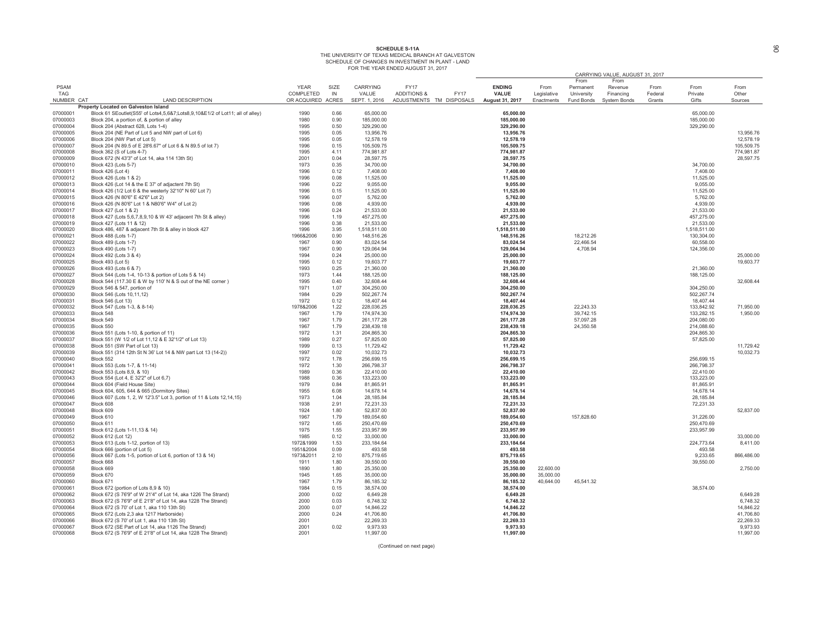### **6&HEDULE S-11A<br>THE UNIVERSITY OF TEXAS MEDICAL BRANCH AT GALVESTON** SCHEDULE OF CHANGES IN INVESTMENT IN PLANT - LAND<br>FOR THE YEAR ENDED AUGUST 31, 2017

|                      |                                                                                               |                        |              |                        |                                       |                        |             |            | CARRYING VALUE, AUGUST 31, 2017 |         |                    |                        |
|----------------------|-----------------------------------------------------------------------------------------------|------------------------|--------------|------------------------|---------------------------------------|------------------------|-------------|------------|---------------------------------|---------|--------------------|------------------------|
|                      |                                                                                               |                        |              |                        |                                       |                        |             | From       | From                            |         |                    |                        |
| <b>PSAM</b>          |                                                                                               | <b>YEAR</b>            | SIZE         | CARRYING               | <b>FY17</b>                           | <b>ENDING</b>          | From        | Permanent  | Revenue                         | From    | From               | From                   |
| <b>TAG</b>           |                                                                                               | COMPLETED              | IN           | VALUE                  | <b>ADDITIONS &amp;</b><br><b>FY17</b> | <b>VALUE</b>           | Legislative | University | Financing                       | Federal | Private            | Other                  |
| NUMBER CAT           | <b>LAND DESCRIPTION</b>                                                                       | OR ACQUIRED ACRES      |              | SEPT. 1, 2016          | ADJUSTMENTS TM DISPOSALS              | August 31, 2017        | Enactments  | Fund Bonds | <b>System Bonds</b>             | Grants  | Gifts              | Sources                |
|                      | Property Located on Galveston Island                                                          |                        |              |                        |                                       |                        |             |            |                                 |         |                    |                        |
| 07000001             | Block 61 SEoutlet(S55' of Lots4,5,6&7;Lots8,9,10&E1/2 of Lot11; all of alley)                 | 1990                   | 0.66         | 65.000.00              |                                       | 65.000.00              |             |            |                                 |         | 65,000.00          |                        |
| 07000003             | Block 204, a portion of, & portion of alley                                                   | 1980                   | 0.90         | 185,000.00             |                                       | 185.000.00             |             |            |                                 |         | 185,000.00         |                        |
| 07000004             | Block 204 (Abstract 628, Lots 1-4)                                                            | 1995                   | 0.50         | 329,290.00             |                                       | 329,290.00             |             |            |                                 |         | 329,290.00         |                        |
| 07000005<br>07000006 | Block 204 (NE Part of Lot 5 and NW part of Lot 6)                                             | 1995<br>1995           | 0.05<br>0.05 | 13,956.76<br>12,578.19 |                                       | 13,956.76<br>12,578.19 |             |            |                                 |         |                    | 13,956.76<br>12,578.19 |
| 07000007             | Block 204 (NW Part of Lot 5)<br>Block 204 (N 89.5 of E 28'6.67" of Lot 6 & N 89.5 of lot 7)   | 1996                   | 0.15         | 105,509.75             |                                       | 105,509.75             |             |            |                                 |         |                    | 105,509.75             |
| 07000008             | Block 362 (S of Lots 4-7)                                                                     | 1995                   | 4.11         | 774,981.87             |                                       | 774,981.87             |             |            |                                 |         |                    | 774,981.87             |
| 07000009             | Block 672 (N 43'3" of Lot 14, aka 114 13th St)                                                | 2001                   | 0.04         | 28,597.75              |                                       | 28,597.75              |             |            |                                 |         |                    | 28,597.75              |
| 07000010             | Block 423 (Lots 5-7)                                                                          | 1973                   | 0.35         | 34,700.00              |                                       | 34,700.00              |             |            |                                 |         | 34,700.00          |                        |
| 07000011             | Block 426 (Lot 4)                                                                             | 1996                   | 0.12         | 7,408.00               |                                       | 7,408.00               |             |            |                                 |         | 7,408.00           |                        |
| 07000012             | Block 426 (Lots 1 & 2)                                                                        | 1996                   | 0.08         | 11,525.00              |                                       | 11,525.00              |             |            |                                 |         | 11,525.00          |                        |
| 07000013             | Block 426 (Lot 14 & the E 37' of adjactent 7th St)                                            | 1996                   | 0.22         | 9,055.00               |                                       | 9,055.00               |             |            |                                 |         | 9,055.00           |                        |
| 07000014             | Block 426 (1/2 Lot 6 & the westerly 32'10" N 60' Lot 7)                                       | 1996                   | 0.15         | 11,525.00              |                                       | 11,525.00              |             |            |                                 |         | 11,525.00          |                        |
| 07000015             | Block 426 (N 80'6" E 42'6" Lot 2)                                                             | 1996                   | 0.07         | 5,762.00               |                                       | 5,762.00               |             |            |                                 |         | 5,762.00           |                        |
| 07000016             | Block 426 (N 80'6" Lot 1 & N80'6" W4" of Lot 2)                                               | 1996                   | 0.08         | 4,939.00               |                                       | 4,939.00               |             |            |                                 |         | 4,939.00           |                        |
| 07000017             | Block 427 (Lot 1 & 2)                                                                         | 1996                   | 0.24         | 21,533.00              |                                       | 21,533.00              |             |            |                                 |         | 21,533.00          |                        |
| 07000018             | Block 427 (Lots 5,6,7,8,9,10 & W 43' adjacent 7th St & alley)                                 | 1996                   | 1.19         | 457,275.00             |                                       | 457,275.00             |             |            |                                 |         | 457,275.00         |                        |
| 07000019             | Block 427 (Lots 11 & 12)                                                                      | 1996                   | 0.38         | 21,533.00              |                                       | 21,533.00              |             |            |                                 |         | 21,533.00          |                        |
| 07000020             | Block 486, 487 & adjacent 7th St & alley in block 427                                         | 1996                   | 3.95         | 1,518,511.00           |                                       | 1,518,511.00           |             |            |                                 |         | 1,518,511.00       |                        |
| 07000021             | Block 488 (Lots 1-7)                                                                          | 1966&2006              | 0.90         | 148,516.26             |                                       | 148,516.26             |             | 18,212.26  |                                 |         | 130,304.00         |                        |
| 07000022             | Block 489 (Lots 1-7)                                                                          | 1967                   | 0.90         | 83,024.54              |                                       | 83,024.54              |             | 22,466.54  |                                 |         | 60,558.00          |                        |
| 07000023             | Block 490 (Lots 1-7)                                                                          | 1967                   | 0.90         | 129.064.94             |                                       | 129.064.94             |             | 4,708.94   |                                 |         | 124,356.00         | 25,000.00              |
| 07000024<br>07000025 | Block 492 (Lots 3 & 4)<br>Block 493 (Lot 5)                                                   | 1994<br>1995           | 0.24<br>0.12 | 25,000.00<br>19,603.77 |                                       | 25,000.00<br>19,603.77 |             |            |                                 |         |                    | 19,603.77              |
| 07000026             | Block 493 (Lots 6 & 7)                                                                        | 1993                   | 0.25         | 21,360.00              |                                       | 21,360.00              |             |            |                                 |         | 21,360.00          |                        |
| 07000027             | Block 544 (Lots 1-4, 10-13 & portion of Lots 5 & 14)                                          | 1973                   | 1.44         | 188,125.00             |                                       | 188,125.00             |             |            |                                 |         | 188,125.00         |                        |
| 07000028             | Block 544 (117.30 E & W by 110' N & S out of the NE corner)                                   | 1995                   | 0.40         | 32,608.44              |                                       | 32,608.44              |             |            |                                 |         |                    | 32,608.44              |
| 07000029             | Block 546 & 547, portion of                                                                   | 1971                   | 1.07         | 304,250.00             |                                       | 304,250.00             |             |            |                                 |         | 304,250.00         |                        |
| 07000030             | Block 546 (Lots 10,11,12)                                                                     | 1984                   | 0.29         | 502,267.74             |                                       | 502,267.74             |             |            |                                 |         | 502,267.74         |                        |
| 07000031             | Block 546 (Lot 13)                                                                            | 1972                   | 0.12         | 18,407.44              |                                       | 18,407.44              |             |            |                                 |         | 18,407.44          |                        |
| 07000032             | Block 547 (Lots 1-3, & 8-14)                                                                  | 1978&2006              | 1.22         | 228,036.25             |                                       | 228,036.25             |             | 22,243.33  |                                 |         | 133,842.92         | 71,950.00              |
| 07000033             | Block 548                                                                                     | 1967                   | 1.79         | 174,974.30             |                                       | 174,974.30             |             | 39,742.15  |                                 |         | 133,282.15         | 1,950.00               |
| 07000034             | Block 549                                                                                     | 1967                   | 1.79         | 261,177.28             |                                       | 261, 177. 28           |             | 57,097.28  |                                 |         | 204,080.00         |                        |
| 07000035             | Block 550                                                                                     | 1967                   | 1.79         | 238,439.18             |                                       | 238,439.18             |             | 24,350.58  |                                 |         | 214,088.60         |                        |
| 07000036             | Block 551 (Lots 1-10, & portion of 11)                                                        | 1972                   | 1.31         | 204,865.30             |                                       | 204,865.30             |             |            |                                 |         | 204,865.30         |                        |
| 07000037             | Block 551 (W 1/2 of Lot 11,12 & E 32'1/2" of Lot 13)                                          | 1989<br>1999           | 0.27         | 57,825.00              |                                       | 57,825.00              |             |            |                                 |         | 57,825.00          |                        |
| 07000038<br>07000039 | Block 551 (SW Part of Lot 13)<br>Block 551 (314 12th St N 36' Lot 14 & NW part Lot 13 (14-2)) | 1997                   | 0.13<br>0.02 | 11,729.42<br>10.032.73 |                                       | 11,729.42<br>10.032.73 |             |            |                                 |         |                    | 11,729.42<br>10.032.73 |
| 07000040             | Block 552                                                                                     | 1972                   | 1.78         | 256,699.15             |                                       | 256,699.15             |             |            |                                 |         | 256,699.15         |                        |
| 07000041             | Block 553 (Lots 1-7, & 11-14)                                                                 | 1972                   | 1.30         | 266,798.37             |                                       | 266,798.37             |             |            |                                 |         | 266,798.37         |                        |
| 07000042             | Block 553 (Lots 8,9, & 10)                                                                    | 1989                   | 0.36         | 22,410.00              |                                       | 22,410.00              |             |            |                                 |         | 22,410.00          |                        |
| 07000043             | Block 554 (Lot 4, E 32'2" of Lot 6,7)                                                         | 1988                   | 0.36         | 133,223.00             |                                       | 133,223.00             |             |            |                                 |         | 133,223.00         |                        |
| 07000044             | Block 604 (Field House Site)                                                                  | 1979                   | 0.84         | 81,865.91              |                                       | 81,865.91              |             |            |                                 |         | 81,865.91          |                        |
| 07000045             | Block 604, 605, 644 & 665 (Dormitory Sites)                                                   | 1955                   | 6.08         | 14,678.14              |                                       | 14,678.14              |             |            |                                 |         | 14,678.14          |                        |
| 07000046             | Block 607 (Lots 1, 2, W 12'3.5" Lot 3, portion of 11 & Lots 12,14,15)                         | 1973                   | 1.04         | 28,185.84              |                                       | 28,185.84              |             |            |                                 |         | 28,185.84          |                        |
| 07000047             | Block 608                                                                                     | 1938                   | 2.91         | 72,231.33              |                                       | 72,231.33              |             |            |                                 |         | 72,231.33          |                        |
| 07000048             | Block 609                                                                                     | 1924                   | 1.80         | 52,837.00              |                                       | 52,837.00              |             |            |                                 |         |                    | 52,837.00              |
| 07000049             | Block 610                                                                                     | 1967                   | 1.79         | 189,054.60             |                                       | 189,054.60             |             | 157,828.60 |                                 |         | 31,226.00          |                        |
| 07000050             | Block 611                                                                                     | 1972                   | 1.65         | 250,470.69             |                                       | 250,470.69             |             |            |                                 |         | 250,470.69         |                        |
| 07000051             | Block 612 (Lots 1-11,13 & 14)                                                                 | 1975                   | 1.55         | 233,957.99             |                                       | 233,957.99             |             |            |                                 |         | 233,957.99         |                        |
| 07000052             | Block 612 (Lot 12)                                                                            | 1985                   | 0.12         | 33,000.00              |                                       | 33,000.00              |             |            |                                 |         |                    | 33,000.00              |
| 07000053             | Block 613 (Lots 1-12, portion of 13)                                                          | 1972&1999              | 1.53         | 233,184.64             |                                       | 233, 184.64            |             |            |                                 |         | 224,773.64         | 8,411.00               |
| 07000054<br>07000056 | Block 666 (portion of Lot 5)                                                                  | 1951&2004<br>1973&2011 | 0.09<br>2.10 | 493.58<br>875.719.65   |                                       | 493.58<br>875.719.65   |             |            |                                 |         | 493.58<br>9,233.65 | 866.486.00             |
| 07000057             | Block 667 (Lots 1-5, portion of Lot 6, portion of 13 & 14)<br>Block 668                       | 1911                   | 1.80         | 39,550.00              |                                       | 39,550.00              |             |            |                                 |         | 39,550.00          |                        |
| 07000058             | Block 669                                                                                     | 1890                   | 1.80         | 25,350.00              |                                       | 25,350.00              | 22,600.00   |            |                                 |         |                    | 2,750.00               |
| 07000059             | Block 670                                                                                     | 1945                   | 1.65         | 35,000.00              |                                       | 35,000.00              | 35,000.00   |            |                                 |         |                    |                        |
| 07000060             | Block 671                                                                                     | 1967                   | 1.79         | 86,185.32              |                                       | 86,185.32              | 40,644.00   | 45,541.32  |                                 |         |                    |                        |
| 07000061             | Block 672 (portion of Lots 8,9 & 10)                                                          | 1984                   | 0.15         | 38,574.00              |                                       | 38,574.00              |             |            |                                 |         | 38,574.00          |                        |
| 07000062             | Block 672 (S 76'9" of W 21'4" of Lot 14, aka 1226 The Strand)                                 | 2000                   | 0.02         | 6,649.28               |                                       | 6,649.28               |             |            |                                 |         |                    | 6,649.28               |
| 07000063             | Block 672 (S 76'9" of E 21'8" of Lot 14, aka 1228 The Strand)                                 | 2000                   | 0.03         | 6,748.32               |                                       | 6,748.32               |             |            |                                 |         |                    | 6,748.32               |
| 07000064             | Block 672 (S 70' of Lot 1, aka 110 13th St)                                                   | 2000                   | 0.07         | 14,846.22              |                                       | 14,846.22              |             |            |                                 |         |                    | 14,846.22              |
| 07000065             | Block 672 (Lots 2,3 aka 1217 Harborside)                                                      | 2000                   | 0.24         | 41,706.80              |                                       | 41,706.80              |             |            |                                 |         |                    | 41,706.80              |
| 07000066             | Block 672 (S 70' of Lot 1, aka 110 13th St)                                                   | 2001                   |              | 22,269.33              |                                       | 22,269.33              |             |            |                                 |         |                    | 22,269.33              |
| 07000067             | Block 672 (SE Part of Lot 14, aka 1126 The Strand)                                            | 2001                   | 0.02         | 9,973.93               |                                       | 9,973.93               |             |            |                                 |         |                    | 9,973.93               |
| 07000068             | Block 672 (S 76'9" of E 21'8" of Lot 14, aka 1228 The Strand)                                 | 2001                   |              | 11,997.00              |                                       | 11,997.00              |             |            |                                 |         |                    | 11,997.00              |

(Continued on next page)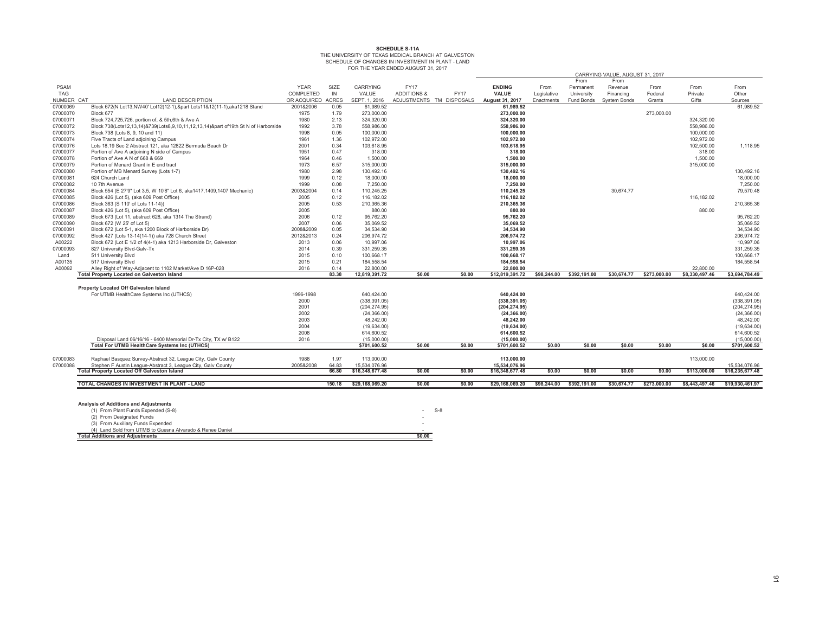# SCHEDULE S-11A<br>THE UNIVERSITY OF TEXAS MEDICAL BRANCH AT GALVESTON SCHEDULE OF CHANGES IN INVESTMENT IN PLANT - LAND<br>FOR THE YEAR ENDED AUGUST 31, 2017

|             |                                                                                 |                   |        |                 | I ON THE TEAN ENDED AUGUST 31, 2017 |             |                 |             |              |                                 |              |                |                 |
|-------------|---------------------------------------------------------------------------------|-------------------|--------|-----------------|-------------------------------------|-------------|-----------------|-------------|--------------|---------------------------------|--------------|----------------|-----------------|
|             |                                                                                 |                   |        |                 |                                     |             |                 |             |              | CARRYING VALUE, AUGUST 31, 2017 |              |                |                 |
|             |                                                                                 |                   |        |                 |                                     |             |                 |             | From         | From                            |              |                |                 |
| <b>PSAM</b> |                                                                                 | <b>YEAR</b>       | SIZE   | <b>CARRYING</b> | <b>FY17</b>                         |             | <b>ENDING</b>   | From        | Permanent    | Revenue                         | From         | From           | From            |
| TAG         |                                                                                 | COMPLETED         | IN     | VALUE           | <b>ADDITIONS &amp;</b>              | <b>FY17</b> | VALUE           | Legislative | University   | Financing                       | Federal      | Private        | Other           |
| NUMBER CAT  | <b>LAND DESCRIPTION</b>                                                         | OR ACQUIRED ACRES |        | SEPT. 1, 2016   | ADJUSTMENTS TM DISPOSALS            |             | August 31, 2017 | Enactments  | Fund Bonds   | System Bonds                    | Grants       | Gifts          | Sources         |
| 07000069    | Block 672(N Lot13, NW40' Lot12(12-1), ∂ Lots11&12(11-1), aka1218 Stand          | 2001&2006         | 0.05   | 61,989.52       |                                     |             | 61,989.52       |             |              |                                 |              |                | 61,989.52       |
| 07000070    | Block 677                                                                       | 1975              | 1.79   | 273,000.00      |                                     |             | 273.000.00      |             |              |                                 | 273.000.00   |                |                 |
| 07000071    | Block 724,725,726, portion of, & 5th, 6th & Ave A                               | 1980              | 2.13   | 324,320.00      |                                     |             | 324,320.00      |             |              |                                 |              | 324,320.00     |                 |
| 07000072    | Block 738(Lots12,13,14)&739(Lots8,9,10,11,12,13,14)∂ of 19th St N of Harborside | 1992              | 3.78   | 558.986.00      |                                     |             | 558.986.00      |             |              |                                 |              | 558.986.00     |                 |
| 07000073    | Block 738 (Lots 8, 9, 10 and 11)                                                | 1998              | 0.05   | 100,000.00      |                                     |             | 100,000.00      |             |              |                                 |              | 100,000.00     |                 |
| 07000074    | Five Tracts of Land adjoining Campus                                            | 1961              | 1.36   | 102,972.00      |                                     |             | 102,972.00      |             |              |                                 |              | 102,972.00     |                 |
| 07000076    | Lots 18,19 Sec 2 Abstract 121, aka 12822 Bermuda Beach Dr                       | 2001              | 0.34   | 103,618.95      |                                     |             | 103,618.95      |             |              |                                 |              | 102,500.00     | 1,118.95        |
| 07000077    | Portion of Ave A adjoining N side of Campus                                     | 1951              | 0.47   | 318.00          |                                     |             | 318.00          |             |              |                                 |              | 318.00         |                 |
| 07000078    | Portion of Ave A N of 668 & 669                                                 | 1964              | 0.46   | 1.500.00        |                                     |             | 1.500.00        |             |              |                                 |              | 1.500.00       |                 |
| 07000079    | Portion of Menard Grant in E end tract                                          | 1973              | 6.57   | 315,000.00      |                                     |             | 315,000.00      |             |              |                                 |              | 315,000.00     |                 |
| 07000080    | Portion of MB Menard Survey (Lots 1-7)                                          | 1980              | 2.98   | 130.492.16      |                                     |             | 130,492.16      |             |              |                                 |              |                | 130.492.16      |
| 07000081    | 624 Church Land                                                                 | 1999              | 0.12   | 18,000.00       |                                     |             | 18.000.00       |             |              |                                 |              |                | 18.000.00       |
| 07000082    | 10 7th Avenue                                                                   | 1999              | 0.08   | 7,250.00        |                                     |             | 7,250.00        |             |              |                                 |              |                | 7,250.00        |
| 07000084    | Block 554 (E 27'9" Lot 3,5, W 10'8" Lot 6, aka1417, 1409, 1407 Mechanic)        | 2003&2004         | 0.14   | 110.245.25      |                                     |             | 110,245.25      |             |              | 30.674.77                       |              |                | 79,570.48       |
| 07000085    | Block 426 (Lot 5), (aka 609 Post Office)                                        | 2005              | 0.12   | 116.182.02      |                                     |             | 116,182.02      |             |              |                                 |              | 116.182.02     |                 |
| 07000086    | Block 363 (S 110' of Lots 11-14))                                               | 2005              | 0.53   | 210,365.36      |                                     |             | 210,365.36      |             |              |                                 |              |                | 210,365.36      |
| 07000087    | Block 426 (Lot 5), (aka 609 Post Office)                                        | 2005              |        | 880.00          |                                     |             | 880.00          |             |              |                                 |              | 880.00         |                 |
| 07000089    | Block 673 (Lot 11, abstract 628, aka 1314 The Strand)                           | 2006              | 0.12   | 95,762.20       |                                     |             | 95,762.20       |             |              |                                 |              |                | 95,762.20       |
| 07000090    | Block 672 (W 25' of Lot 5)                                                      | 2007              | 0.06   | 35,069.52       |                                     |             | 35,069.52       |             |              |                                 |              |                | 35,069.52       |
| 07000091    | Block 672 (Lot 5-1, aka 1200 Block of Harborside Dr)                            | 2008&2009         | 0.05   | 34.534.90       |                                     |             | 34.534.90       |             |              |                                 |              |                | 34.534.90       |
| 07000092    | Block 427 (Lots 13-14(14-1)) aka 728 Church Street                              | 2012&2013         | 0.24   | 206.974.72      |                                     |             | 206.974.72      |             |              |                                 |              |                | 206,974.72      |
| A00222      | Block 672 (Lot E 1/2 of 4(4-1) aka 1213 Harborside Dr, Galveston                | 2013              | 0.06   | 10,997.06       |                                     |             | 10,997.06       |             |              |                                 |              |                | 10,997.06       |
| 07000093    | 827 University Blvd-Galv-Tx                                                     | 2014              | 0.39   | 331.259.35      |                                     |             | 331.259.35      |             |              |                                 |              |                | 331.259.35      |
| Land        | 511 University Blvd                                                             | 2015              | 0.10   | 100,668.17      |                                     |             | 100,668.17      |             |              |                                 |              |                | 100,668.17      |
| A00135      | 517 University Blvd                                                             | 2015              | 0.21   | 184,558.54      |                                     |             | 184,558.54      |             |              |                                 |              |                | 184,558.54      |
| A00092      | Alley Right of Way-Adjacent to 1102 Market/Ave D 16P-028                        | 2016              | 0.14   | 22,800.00       |                                     |             | 22,800.00       |             |              |                                 |              | 22,800.00      |                 |
|             | <b>Total Property Located on Galveston Island</b>                               |                   | 83.38  | 12,819,391.72   | \$0.00                              | \$0.00      | \$12,819,391.72 | \$98,244.00 | \$392,191.00 | \$30.674.77                     | \$273,000.00 | \$8,330,497.46 | \$3,694,784.49  |
|             |                                                                                 |                   |        |                 |                                     |             |                 |             |              |                                 |              |                |                 |
|             | Property Located Off Galveston Island                                           |                   |        |                 |                                     |             |                 |             |              |                                 |              |                |                 |
|             | For UTMB HealthCare Systems Inc (UTHCS)                                         | 1996-1998         |        | 640.424.00      |                                     |             | 640,424.00      |             |              |                                 |              |                | 640.424.00      |
|             |                                                                                 | 2000              |        | (338.391.05)    |                                     |             | (338.391.05)    |             |              |                                 |              |                | (338.391.05)    |
|             |                                                                                 | 2001              |        | (204, 274.95)   |                                     |             | (204, 274.95)   |             |              |                                 |              |                | (204, 274.95)   |
|             |                                                                                 | 2002              |        | (24, 366.00)    |                                     |             | (24, 366.00)    |             |              |                                 |              |                | (24, 366.00)    |
|             |                                                                                 |                   |        |                 |                                     |             |                 |             |              |                                 |              |                |                 |
|             |                                                                                 | 2003              |        | 48,242.00       |                                     |             | 48,242.00       |             |              |                                 |              |                | 48,242.00       |
|             |                                                                                 | 2004              |        | (19,634.00)     |                                     |             | (19,634.00)     |             |              |                                 |              |                | (19,634.00)     |
|             |                                                                                 | 2008              |        | 614,600.52      |                                     |             | 614,600.52      |             |              |                                 |              |                | 614,600.52      |
|             | Disposal Land 06/16/16 - 6400 Memorial Dr-Tx City, TX w/ B122                   | 2016              |        | (15,000.00)     |                                     |             | (15,000.00)     |             |              |                                 |              |                | (15,000.00)     |
|             | Total For UTMB HealthCare Systems Inc (UTHCS)                                   |                   |        | \$701,600.52    | \$0.00                              | \$0.00      | \$701,600.52    | \$0.00      | \$0.00       | \$0.00                          | \$0.00       | \$0.00         | \$701,600.52    |
|             |                                                                                 |                   |        |                 |                                     |             |                 |             |              |                                 |              |                |                 |
| 07000083    | Raphael Basquez Survey-Abstract 32, League City, Galv County                    | 1988              | 1.97   | 113.000.00      |                                     |             | 113.000.00      |             |              |                                 |              | 113,000.00     |                 |
| 07000088    | Stephen F Austin League-Abstract 3, League City, Galv County                    | 2005&2008         | 64.83  | 15.534.076.96   |                                     |             | 15.534.076.96   |             |              |                                 |              |                | 15.534.076.96   |
|             | <b>Total Property Located Off Galveston Island</b>                              |                   | 66.80  | \$16,348,677.48 | \$0.00                              | \$0.00      | \$16,348,677.48 | \$0.00      | \$0.00       | \$0.00                          | \$0.00       | \$113,000.00   | \$16,235,677.48 |
|             |                                                                                 |                   |        |                 |                                     |             |                 |             |              |                                 |              |                |                 |
|             | TOTAL CHANGES IN INVESTMENT IN PLANT - LAND                                     |                   | 150.18 | \$29.168.069.20 | \$0.00                              | \$0.00      | \$29.168.069.20 | \$98,244.00 | \$392,191.00 | \$30,674.77                     | \$273,000.00 | \$8,443,497.46 | \$19,930,461.97 |
|             |                                                                                 |                   |        |                 |                                     |             |                 |             |              |                                 |              |                |                 |
|             |                                                                                 |                   |        |                 |                                     |             |                 |             |              |                                 |              |                |                 |
|             | <b>Analysis of Additions and Adjustments</b>                                    |                   |        |                 |                                     |             |                 |             |              |                                 |              |                |                 |
|             | (1) From Plant Funds Expended (S-8)                                             |                   |        |                 |                                     | $S-8$       |                 |             |              |                                 |              |                |                 |
|             | (2) From Designated Funds                                                       |                   |        |                 |                                     |             |                 |             |              |                                 |              |                |                 |
|             |                                                                                 |                   |        |                 |                                     |             |                 |             |              |                                 |              |                |                 |

| (4) Land Sold from UTMB to Guesna Alvarado & Renee Daniel |        |
|-----------------------------------------------------------|--------|
|                                                           |        |
| <b>Total Additions and Adiustments</b>                    | \$0.00 |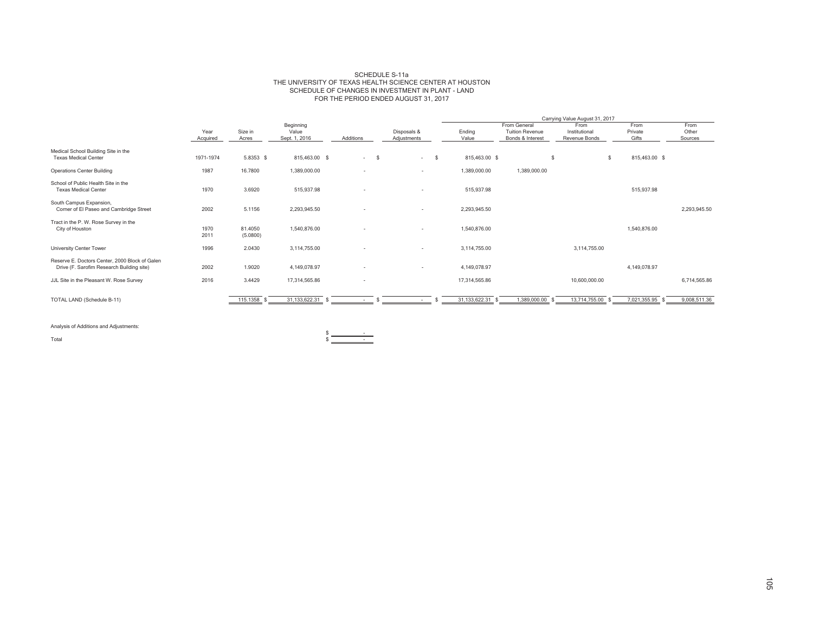#### SCHEDULE S-11a THE UNIVERSITY OF TEXAS HEALTH SCIENCE CENTER AT HOUSTON SCHEDULE OF CHANGES IN INVESTMENT IN PLANT - LAND FOR THE PERIOD ENDED AUGUST 31, 2017

|                                                                                             |                  |                     |                                     |           |                            |      |                  |                                                            | Carrying Value August 31, 2017         |                          |                          |
|---------------------------------------------------------------------------------------------|------------------|---------------------|-------------------------------------|-----------|----------------------------|------|------------------|------------------------------------------------------------|----------------------------------------|--------------------------|--------------------------|
|                                                                                             | Year<br>Acquired | Size in<br>Acres    | Beginning<br>Value<br>Sept. 1, 2016 | Additions | Disposals &<br>Adjustments |      | Ending<br>Value  | From General<br><b>Tuition Revenue</b><br>Bonds & Interest | From<br>Institutional<br>Revenue Bonds | From<br>Private<br>Gifts | From<br>Other<br>Sources |
| Medical School Building Site in the<br><b>Texas Medical Center</b>                          | 1971-1974        | 5.8353 \$           | 815,463.00 \$                       | $-5$      | $\sim$                     | - \$ | 815,463.00 \$    |                                                            | \$<br>\$                               | 815,463.00 \$            |                          |
| <b>Operations Center Building</b>                                                           | 1987             | 16.7800             | 1,389,000.00                        | $\sim$    | $\overline{\phantom{a}}$   |      | 1,389,000.00     | 1,389,000.00                                               |                                        |                          |                          |
| School of Public Health Site in the<br><b>Texas Medical Center</b>                          | 1970             | 3.6920              | 515,937.98                          | $\sim$    | $\overline{\phantom{a}}$   |      | 515,937.98       |                                                            |                                        | 515,937.98               |                          |
| South Campus Expansion,<br>Corner of El Paseo and Cambridge Street                          | 2002             | 5.1156              | 2,293,945.50                        |           | $\overline{\phantom{a}}$   |      | 2,293,945.50     |                                                            |                                        |                          | 2,293,945.50             |
| Tract in the P. W. Rose Survey in the<br>City of Houston                                    | 1970<br>2011     | 81.4050<br>(5.0800) | 1,540,876.00                        |           | $\overline{\phantom{a}}$   |      | 1,540,876.00     |                                                            |                                        | 1,540,876.00             |                          |
| University Center Tower                                                                     | 1996             | 2.0430              | 3,114,755.00                        |           | $\overline{\phantom{a}}$   |      | 3,114,755.00     |                                                            | 3,114,755.00                           |                          |                          |
| Reserve E. Doctors Center, 2000 Block of Galen<br>Drive (F. Sarofim Research Building site) | 2002             | 1.9020              | 4,149,078.97                        | $\sim$    | $\overline{\phantom{a}}$   |      | 4,149,078.97     |                                                            |                                        | 4,149,078.97             |                          |
| JJL Site in the Pleasant W. Rose Survey                                                     | 2016             | 3.4429              | 17,314,565.86                       | $\sim$    |                            |      | 17,314,565.86    |                                                            | 10,600,000.00                          |                          | 6,714,565.86             |
| TOTAL LAND (Schedule B-11)                                                                  |                  | 115.1358            | 31, 133, 622. 31                    |           |                            |      | 31, 133, 622. 31 | 1,389,000.00                                               | 13,714,755.00                          | 7,021,355.95             | 9,008,511.36             |

 $\frac{1}{3}$ .

 $\frac{1}{\sqrt{2\pi}}\left(\frac{1}{\sqrt{2\pi}}\right)^{2}=\frac{1}{2\sqrt{2\pi}}\left(\frac{1}{\sqrt{2\pi}}\right)^{2}$ 

Analysis of Additions and Adjustments:

Total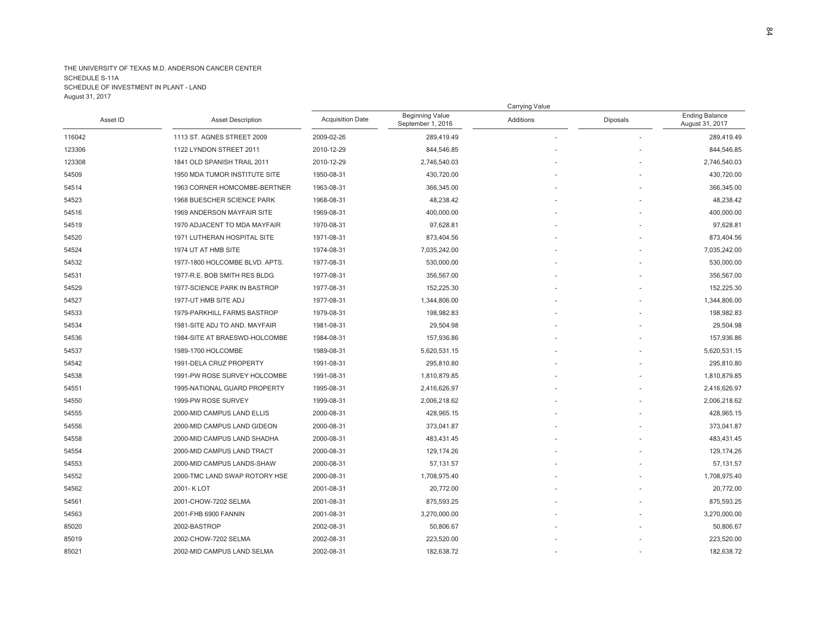|          |                                |                         |                                             | Carrying Value |          |                                          |
|----------|--------------------------------|-------------------------|---------------------------------------------|----------------|----------|------------------------------------------|
| Asset ID | <b>Asset Description</b>       | <b>Acquisition Date</b> | <b>Beginning Value</b><br>September 1, 2016 | Additions      | Diposals | <b>Ending Balance</b><br>August 31, 2017 |
| 116042   | 1113 ST. AGNES STREET 2009     | 2009-02-26              | 289,419.49                                  |                |          | 289,419.49                               |
| 123306   | 1122 LYNDON STREET 2011        | 2010-12-29              | 844,546.85                                  |                |          | 844,546.85                               |
| 123308   | 1841 OLD SPANISH TRAIL 2011    | 2010-12-29              | 2,746,540.03                                |                |          | 2,746,540.03                             |
| 54509    | 1950 MDA TUMOR INSTITUTE SITE  | 1950-08-31              | 430,720.00                                  |                |          | 430,720.00                               |
| 54514    | 1963 CORNER HOMCOMBE-BERTNER   | 1963-08-31              | 366,345.00                                  |                |          | 366,345.00                               |
| 54523    | 1968 BUESCHER SCIENCE PARK     | 1968-08-31              | 48,238.42                                   |                |          | 48,238.42                                |
| 54516    | 1969 ANDERSON MAYFAIR SITE     | 1969-08-31              | 400,000.00                                  |                |          | 400,000.00                               |
| 54519    | 1970 ADJACENT TO MDA MAYFAIR   | 1970-08-31              | 97,628.81                                   |                |          | 97,628.81                                |
| 54520    | 1971 LUTHERAN HOSPITAL SITE    | 1971-08-31              | 873,404.56                                  |                |          | 873,404.56                               |
| 54524    | 1974 UT AT HMB SITE            | 1974-08-31              | 7,035,242.00                                |                |          | 7,035,242.00                             |
| 54532    | 1977-1800 HOLCOMBE BLVD, APTS. | 1977-08-31              | 530,000.00                                  |                |          | 530,000.00                               |
| 54531    | 1977-R.E. BOB SMITH RES BLDG   | 1977-08-31              | 356,567.00                                  |                |          | 356,567.00                               |
| 54529    | 1977-SCIENCE PARK IN BASTROP   | 1977-08-31              | 152,225.30                                  |                |          | 152,225.30                               |
| 54527    | 1977-UT HMB SITE ADJ           | 1977-08-31              | 1,344,806.00                                |                |          | 1,344,806.00                             |
| 54533    | 1979-PARKHILL FARMS BASTROP    | 1979-08-31              | 198,982.83                                  |                |          | 198,982.83                               |
| 54534    | 1981-SITE ADJ TO AND. MAYFAIR  | 1981-08-31              | 29,504.98                                   |                |          | 29,504.98                                |
| 54536    | 1984-SITE AT BRAESWD-HOLCOMBE  | 1984-08-31              | 157,936.86                                  |                |          | 157,936.86                               |
| 54537    | 1989-1700 HOLCOMBE             | 1989-08-31              | 5,620,531.15                                |                |          | 5,620,531.15                             |
| 54542    | 1991-DELA CRUZ PROPERTY        | 1991-08-31              | 295,810.80                                  |                |          | 295,810.80                               |
| 54538    | 1991-PW ROSE SURVEY HOLCOMBE   | 1991-08-31              | 1,810,879.85                                |                |          | 1,810,879.85                             |
| 54551    | 1995-NATIONAL GUARD PROPERTY   | 1995-08-31              | 2,416,626.97                                |                |          | 2,416,626.97                             |
| 54550    | 1999-PW ROSE SURVEY            | 1999-08-31              | 2,006,218.62                                |                |          | 2,006,218.62                             |
| 54555    | 2000-MID CAMPUS LAND ELLIS     | 2000-08-31              | 428,965.15                                  |                |          | 428,965.15                               |
| 54556    | 2000-MID CAMPUS LAND GIDEON    | 2000-08-31              | 373,041.87                                  |                |          | 373,041.87                               |
| 54558    | 2000-MID CAMPUS LAND SHADHA    | 2000-08-31              | 483,431.45                                  |                |          | 483,431.45                               |
| 54554    | 2000-MID CAMPUS LAND TRACT     | 2000-08-31              | 129,174.26                                  |                |          | 129, 174.26                              |
| 54553    | 2000-MID CAMPUS LANDS-SHAW     | 2000-08-31              | 57,131.57                                   |                |          | 57,131.57                                |
| 54552    | 2000-TMC LAND SWAP ROTORY HSE  | 2000-08-31              | 1,708,975.40                                |                |          | 1,708,975.40                             |
| 54562    | 2001-K LOT                     | 2001-08-31              | 20,772.00                                   |                |          | 20,772.00                                |
| 54561    | 2001-CHOW-7202 SELMA           | 2001-08-31              | 875,593.25                                  |                |          | 875,593.25                               |
| 54563    | 2001-FHB 6900 FANNIN           | 2001-08-31              | 3,270,000.00                                |                |          | 3,270,000.00                             |
| 85020    | 2002-BASTROP                   | 2002-08-31              | 50,806.67                                   |                |          | 50,806.67                                |
| 85019    | 2002-CHOW-7202 SELMA           | 2002-08-31              | 223,520.00                                  |                |          | 223,520.00                               |
| 85021    | 2002-MID CAMPUS LAND SELMA     | 2002-08-31              | 182,638.72                                  |                |          | 182,638.72                               |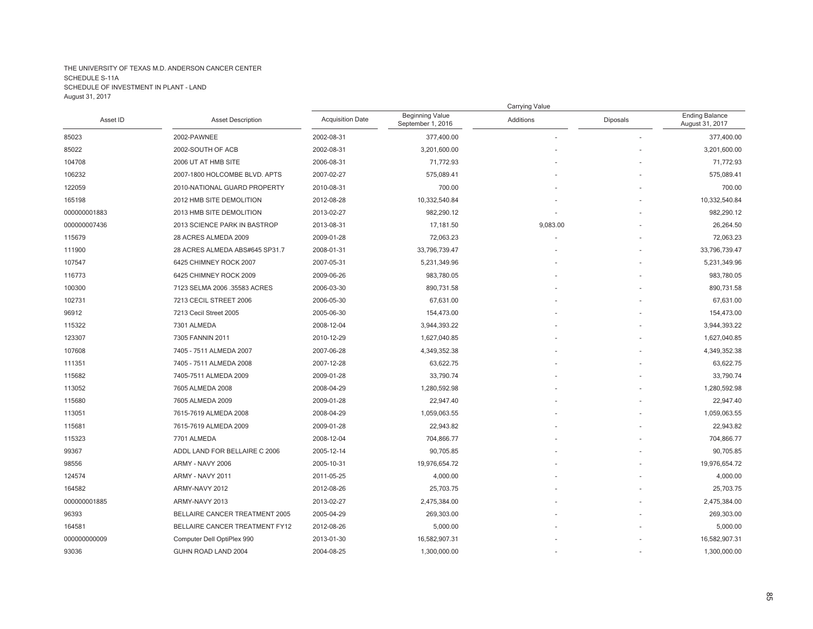|              |                                |                         |                                             | Carrying Value |          |                                          |
|--------------|--------------------------------|-------------------------|---------------------------------------------|----------------|----------|------------------------------------------|
| Asset ID     | <b>Asset Description</b>       | <b>Acquisition Date</b> | <b>Beginning Value</b><br>September 1, 2016 | Additions      | Diposals | <b>Ending Balance</b><br>August 31, 2017 |
| 85023        | 2002-PAWNEE                    | 2002-08-31              | 377,400.00                                  |                |          | 377,400.00                               |
| 85022        | 2002-SOUTH OF ACB              | 2002-08-31              | 3,201,600.00                                |                |          | 3,201,600.00                             |
| 104708       | 2006 UT AT HMB SITE            | 2006-08-31              | 71,772.93                                   |                |          | 71,772.93                                |
| 106232       | 2007-1800 HOLCOMBE BLVD. APTS  | 2007-02-27              | 575,089.41                                  |                |          | 575,089.41                               |
| 122059       | 2010-NATIONAL GUARD PROPERTY   | 2010-08-31              | 700.00                                      |                |          | 700.00                                   |
| 165198       | 2012 HMB SITE DEMOLITION       | 2012-08-28              | 10,332,540.84                               |                |          | 10,332,540.84                            |
| 000000001883 | 2013 HMB SITE DEMOLITION       | 2013-02-27              | 982,290.12                                  |                |          | 982,290.12                               |
| 000000007436 | 2013 SCIENCE PARK IN BASTROP   | 2013-08-31              | 17,181.50                                   | 9,083.00       |          | 26,264.50                                |
| 115679       | 28 ACRES ALMEDA 2009           | 2009-01-28              | 72,063.23                                   |                |          | 72,063.23                                |
| 111900       | 28 ACRES ALMEDA ABS#645 SP31.7 | 2008-01-31              | 33,796,739.47                               |                |          | 33,796,739.47                            |
| 107547       | 6425 CHIMNEY ROCK 2007         | 2007-05-31              | 5,231,349.96                                |                |          | 5,231,349.96                             |
| 116773       | 6425 CHIMNEY ROCK 2009         | 2009-06-26              | 983,780.05                                  |                |          | 983,780.05                               |
| 100300       | 7123 SELMA 2006 .35583 ACRES   | 2006-03-30              | 890,731.58                                  |                |          | 890,731.58                               |
| 102731       | 7213 CECIL STREET 2006         | 2006-05-30              | 67,631.00                                   |                |          | 67,631.00                                |
| 96912        | 7213 Cecil Street 2005         | 2005-06-30              | 154,473.00                                  |                |          | 154,473.00                               |
| 115322       | 7301 ALMEDA                    | 2008-12-04              | 3,944,393.22                                |                |          | 3,944,393.22                             |
| 123307       | 7305 FANNIN 2011               | 2010-12-29              | 1,627,040.85                                |                |          | 1,627,040.85                             |
| 107608       | 7405 - 7511 ALMEDA 2007        | 2007-06-28              | 4,349,352.38                                |                |          | 4,349,352.38                             |
| 111351       | 7405 - 7511 ALMEDA 2008        | 2007-12-28              | 63,622.75                                   |                |          | 63,622.75                                |
| 115682       | 7405-7511 ALMEDA 2009          | 2009-01-28              | 33,790.74                                   |                |          | 33,790.74                                |
| 113052       | 7605 ALMEDA 2008               | 2008-04-29              | 1,280,592.98                                |                |          | 1,280,592.98                             |
| 115680       | 7605 ALMEDA 2009               | 2009-01-28              | 22,947.40                                   |                |          | 22,947.40                                |
| 113051       | 7615-7619 ALMEDA 2008          | 2008-04-29              | 1,059,063.55                                |                |          | 1,059,063.55                             |
| 115681       | 7615-7619 ALMEDA 2009          | 2009-01-28              | 22,943.82                                   |                |          | 22,943.82                                |
| 115323       | 7701 ALMEDA                    | 2008-12-04              | 704,866.77                                  |                |          | 704,866.77                               |
| 99367        | ADDL LAND FOR BELLAIRE C 2006  | 2005-12-14              | 90,705.85                                   |                |          | 90,705.85                                |
| 98556        | ARMY - NAVY 2006               | 2005-10-31              | 19,976,654.72                               |                |          | 19,976,654.72                            |
| 124574       | ARMY - NAVY 2011               | 2011-05-25              | 4,000.00                                    |                |          | 4,000.00                                 |
| 164582       | ARMY-NAVY 2012                 | 2012-08-26              | 25,703.75                                   |                |          | 25,703.75                                |
| 000000001885 | ARMY-NAVY 2013                 | 2013-02-27              | 2,475,384.00                                |                |          | 2,475,384.00                             |
| 96393        | BELLAIRE CANCER TREATMENT 2005 | 2005-04-29              | 269,303.00                                  |                |          | 269,303.00                               |
| 164581       | BELLAIRE CANCER TREATMENT FY12 | 2012-08-26              | 5,000.00                                    |                |          | 5,000.00                                 |
| 000000000009 | Computer Dell OptiPlex 990     | 2013-01-30              | 16,582,907.31                               |                |          | 16,582,907.31                            |
| 93036        | GUHN ROAD LAND 2004            | 2004-08-25              | 1,300,000.00                                |                |          | 1,300,000.00                             |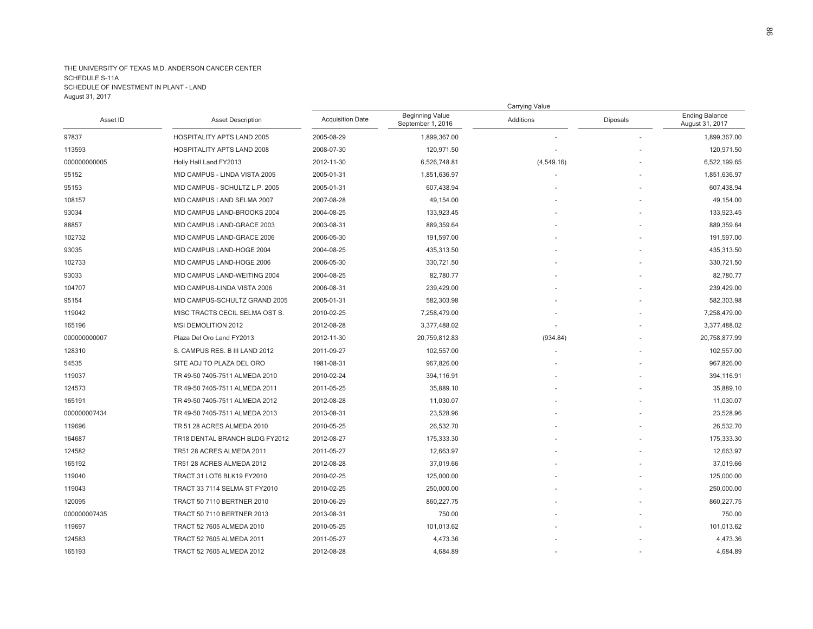|              |                                   |                         |                                             | Carrying Value |          |                                          |
|--------------|-----------------------------------|-------------------------|---------------------------------------------|----------------|----------|------------------------------------------|
| Asset ID     | <b>Asset Description</b>          | <b>Acquisition Date</b> | <b>Beginning Value</b><br>September 1, 2016 | Additions      | Diposals | <b>Ending Balance</b><br>August 31, 2017 |
| 97837        | <b>HOSPITALITY APTS LAND 2005</b> | 2005-08-29              | 1,899,367.00                                |                |          | 1,899,367.00                             |
| 113593       | <b>HOSPITALITY APTS LAND 2008</b> | 2008-07-30              | 120,971.50                                  |                |          | 120,971.50                               |
| 000000000005 | Holly Hall Land FY2013            | 2012-11-30              | 6,526,748.81                                | (4,549.16)     |          | 6,522,199.65                             |
| 95152        | MID CAMPUS - LINDA VISTA 2005     | 2005-01-31              | 1,851,636.97                                |                |          | 1,851,636.97                             |
| 95153        | MID CAMPUS - SCHULTZ L.P. 2005    | 2005-01-31              | 607,438.94                                  |                |          | 607,438.94                               |
| 108157       | MID CAMPUS LAND SELMA 2007        | 2007-08-28              | 49,154.00                                   |                |          | 49,154.00                                |
| 93034        | MID CAMPUS LAND-BROOKS 2004       | 2004-08-25              | 133,923.45                                  |                |          | 133,923.45                               |
| 88857        | MID CAMPUS LAND-GRACE 2003        | 2003-08-31              | 889,359.64                                  |                |          | 889,359.64                               |
| 102732       | MID CAMPUS LAND-GRACE 2006        | 2006-05-30              | 191,597.00                                  |                |          | 191,597.00                               |
| 93035        | MID CAMPUS LAND-HOGE 2004         | 2004-08-25              | 435,313.50                                  |                |          | 435,313.50                               |
| 102733       | MID CAMPUS LAND-HOGE 2006         | 2006-05-30              | 330,721.50                                  |                |          | 330,721.50                               |
| 93033        | MID CAMPUS LAND-WEITING 2004      | 2004-08-25              | 82,780.77                                   |                |          | 82,780.77                                |
| 104707       | MID CAMPUS-LINDA VISTA 2006       | 2006-08-31              | 239,429.00                                  |                |          | 239,429.00                               |
| 95154        | MID CAMPUS-SCHULTZ GRAND 2005     | 2005-01-31              | 582,303.98                                  |                |          | 582,303.98                               |
| 119042       | MISC TRACTS CECIL SELMA OST S.    | 2010-02-25              | 7,258,479.00                                |                |          | 7,258,479.00                             |
| 165196       | MSI DEMOLITION 2012               | 2012-08-28              | 3,377,488.02                                |                |          | 3,377,488.02                             |
| 000000000007 | Plaza Del Oro Land FY2013         | 2012-11-30              | 20,759,812.83                               | (934.84)       |          | 20,758,877.99                            |
| 128310       | S. CAMPUS RES. B III LAND 2012    | 2011-09-27              | 102,557.00                                  |                |          | 102,557.00                               |
| 54535        | SITE ADJ TO PLAZA DEL ORO         | 1981-08-31              | 967,826.00                                  |                |          | 967,826.00                               |
| 119037       | TR 49-50 7405-7511 ALMEDA 2010    | 2010-02-24              | 394,116.91                                  |                |          | 394,116.91                               |
| 124573       | TR 49-50 7405-7511 ALMEDA 2011    | 2011-05-25              | 35,889.10                                   |                |          | 35,889.10                                |
| 165191       | TR 49-50 7405-7511 ALMEDA 2012    | 2012-08-28              | 11,030.07                                   |                |          | 11,030.07                                |
| 000000007434 | TR 49-50 7405-7511 ALMEDA 2013    | 2013-08-31              | 23,528.96                                   |                |          | 23,528.96                                |
| 119696       | TR 51 28 ACRES ALMEDA 2010        | 2010-05-25              | 26,532.70                                   |                |          | 26,532.70                                |
| 164687       | TR18 DENTAL BRANCH BLDG FY2012    | 2012-08-27              | 175,333.30                                  |                |          | 175,333.30                               |
| 124582       | TR51 28 ACRES ALMEDA 2011         | 2011-05-27              | 12,663.97                                   |                |          | 12,663.97                                |
| 165192       | TR51 28 ACRES ALMEDA 2012         | 2012-08-28              | 37,019.66                                   |                |          | 37,019.66                                |
| 119040       | <b>TRACT 31 LOT6 BLK19 FY2010</b> | 2010-02-25              | 125,000.00                                  |                |          | 125,000.00                               |
| 119043       | TRACT 33 7114 SELMA ST FY2010     | 2010-02-25              | 250,000.00                                  |                |          | 250,000.00                               |
| 120095       | TRACT 50 7110 BERTNER 2010        | 2010-06-29              | 860,227.75                                  |                |          | 860,227.75                               |
| 000000007435 | TRACT 50 7110 BERTNER 2013        | 2013-08-31              | 750.00                                      |                |          | 750.00                                   |
| 119697       | TRACT 52 7605 ALMEDA 2010         | 2010-05-25              | 101,013.62                                  |                |          | 101,013.62                               |
| 124583       | TRACT 52 7605 ALMEDA 2011         | 2011-05-27              | 4,473.36                                    |                |          | 4,473.36                                 |
| 165193       | TRACT 52 7605 ALMEDA 2012         | 2012-08-28              | 4,684.89                                    |                |          | 4,684.89                                 |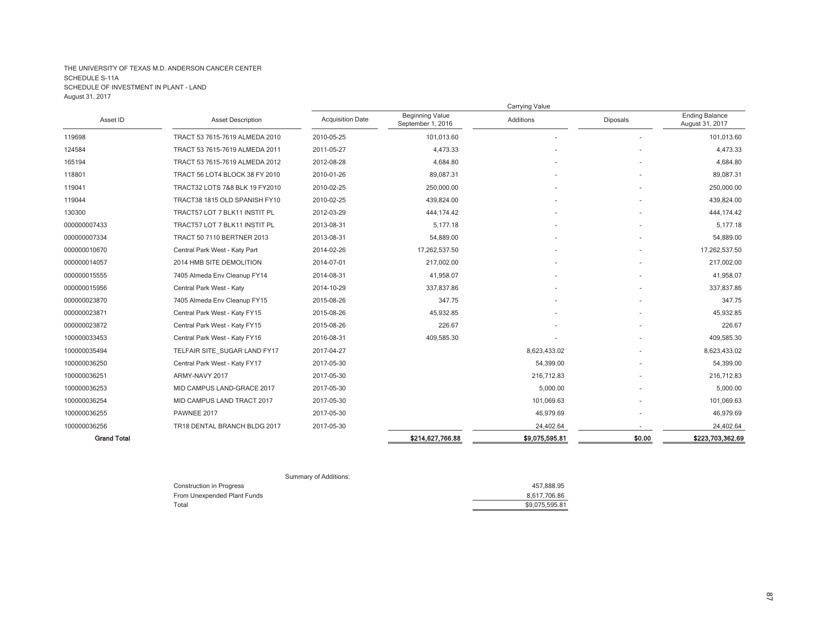|                    |                                |                         |                                             | <b>Carrying Value</b> |          |                                          |
|--------------------|--------------------------------|-------------------------|---------------------------------------------|-----------------------|----------|------------------------------------------|
| Asset ID           | <b>Asset Description</b>       | <b>Acquisition Date</b> | <b>Beginning Value</b><br>September 1, 2016 | Additions             | Diposals | <b>Ending Balance</b><br>August 31, 2017 |
| 119698             | TRACT 53 7615-7619 ALMEDA 2010 | 2010-05-25              | 101,013.60                                  |                       |          | 101,013.60                               |
| 124584             | TRACT 53 7615-7619 ALMEDA 2011 | 2011-05-27              | 4,473.33                                    |                       |          | 4,473.33                                 |
| 165194             | TRACT 53 7615-7619 ALMEDA 2012 | 2012-08-28              | 4,684.80                                    |                       |          | 4,684.80                                 |
| 118801             | TRACT 56 LOT4 BLOCK 38 FY 2010 | 2010-01-26              | 89,087.31                                   |                       |          | 89,087.31                                |
| 119041             | TRACT32 LOTS 7&8 BLK 19 FY2010 | 2010-02-25              | 250,000.00                                  |                       |          | 250,000.00                               |
| 119044             | TRACT38 1815 OLD SPANISH FY10  | 2010-02-25              | 439,824.00                                  |                       |          | 439,824.00                               |
| 130300             | TRACT57 LOT 7 BLK11 INSTIT PL  | 2012-03-29              | 444,174.42                                  |                       |          | 444,174.42                               |
| 000000007433       | TRACT57 LOT 7 BLK11 INSTIT PL  | 2013-08-31              | 5,177.18                                    |                       |          | 5.177.18                                 |
| 000000007334       | TRACT 50 7110 BERTNER 2013     | 2013-08-31              | 54,889.00                                   |                       |          | 54,889.00                                |
| 000000010670       | Central Park West - Katy Part  | 2014-02-26              | 17,262,537.50                               |                       |          | 17,262,537.50                            |
| 000000014057       | 2014 HMB SITE DEMOLITION       | 2014-07-01              | 217,002.00                                  |                       |          | 217,002.00                               |
| 000000015555       | 7405 Almeda Env Cleanup FY14   | 2014-08-31              | 41.958.07                                   |                       |          | 41,958.07                                |
| 000000015956       | Central Park West - Katy       | 2014-10-29              | 337.837.86                                  |                       |          | 337,837.86                               |
| 000000023870       | 7405 Almeda Env Cleanup FY15   | 2015-08-26              | 347.75                                      |                       |          | 347.75                                   |
| 000000023871       | Central Park West - Katy FY15  | 2015-08-26              | 45,932.85                                   |                       |          | 45,932.85                                |
| 000000023872       | Central Park West - Katy FY15  | 2015-08-26              | 226.67                                      |                       |          | 226.67                                   |
| 100000033453       | Central Park West - Katy FY16  | 2016-08-31              | 409,585.30                                  |                       |          | 409,585.30                               |
| 100000035494       | TELFAIR SITE_SUGAR LAND FY17   | 2017-04-27              |                                             | 8,623,433.02          |          | 8,623,433.02                             |
| 100000036250       | Central Park West - Katy FY17  | 2017-05-30              |                                             | 54,399.00             |          | 54,399.00                                |
| 100000036251       | ARMY-NAVY 2017                 | 2017-05-30              |                                             | 216,712.83            |          | 216,712.83                               |
| 100000036253       | MID CAMPUS LAND-GRACE 2017     | 2017-05-30              |                                             | 5,000.00              |          | 5,000.00                                 |
| 100000036254       | MID CAMPUS LAND TRACT 2017     | 2017-05-30              |                                             | 101,069.63            |          | 101.069.63                               |
| 100000036255       | PAWNEE 2017                    | 2017-05-30              |                                             | 46,979.69             |          | 46,979.69                                |
| 100000036256       | TR18 DENTAL BRANCH BLDG 2017   | 2017-05-30              |                                             | 24,402.64             |          | 24,402.64                                |
| <b>Grand Total</b> |                                |                         | \$214,627,766.88                            | \$9,075,595.81        | \$0.00   | \$223,703,362.69                         |

| Summary of Additions:           |                |
|---------------------------------|----------------|
| <b>Construction in Progress</b> | 457.888.95     |
| From Unexpended Plant Funds     | 8.617.706.86   |
| Total                           | \$9,075,595.81 |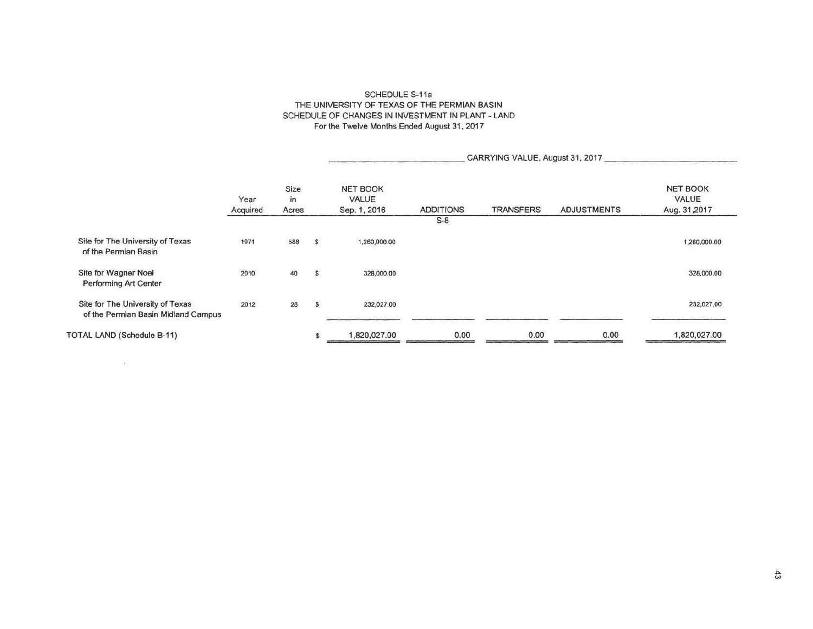### SCHEDULE S-11a THE UNIVERSITY OF TEXAS OF THE PERMIAN BASIN SCHEDULE OF CHANGES IN INVESTMENT IN PLANT - LAND For the Twelve Months Ended August 31, 2017

|                                                                         |                  |                     |                |                                          |                  | CARRYING VALUE, August 31, 2017 |                    |                                          |
|-------------------------------------------------------------------------|------------------|---------------------|----------------|------------------------------------------|------------------|---------------------------------|--------------------|------------------------------------------|
|                                                                         | Year<br>Acquired | Size<br>in<br>Acres |                | <b>NET BOOK</b><br>VALUE<br>Sep. 1, 2016 | <b>ADDITIONS</b> | <b>TRANSFERS</b>                | <b>ADJUSTMENTS</b> | <b>NET BOOK</b><br>VALUE<br>Aug. 31,2017 |
|                                                                         |                  |                     |                |                                          | $S-8$            |                                 |                    |                                          |
| Site for The University of Texas<br>of the Permian Basin                | 1971             | 588                 | $\mathbf{s}$   | 1,260,000.00                             |                  |                                 |                    | 1,260,000.00                             |
| Site for Wagner Noel<br>Performing Art Center                           | 2010             | 40                  | $\mathfrak{s}$ | 328,000.00                               |                  |                                 |                    | 328,000.00                               |
| Site for The University of Texas<br>of the Permian Basin Midland Campus | 2012             | 28                  | $\mathsf{s}$   | 232,027.00                               |                  |                                 |                    | 232,027.00                               |
| TOTAL LAND (Schedule B-11)                                              |                  |                     |                | 1,820,027.00                             | 0.00             | 0.00                            | 0.00               | 1,820,027.00                             |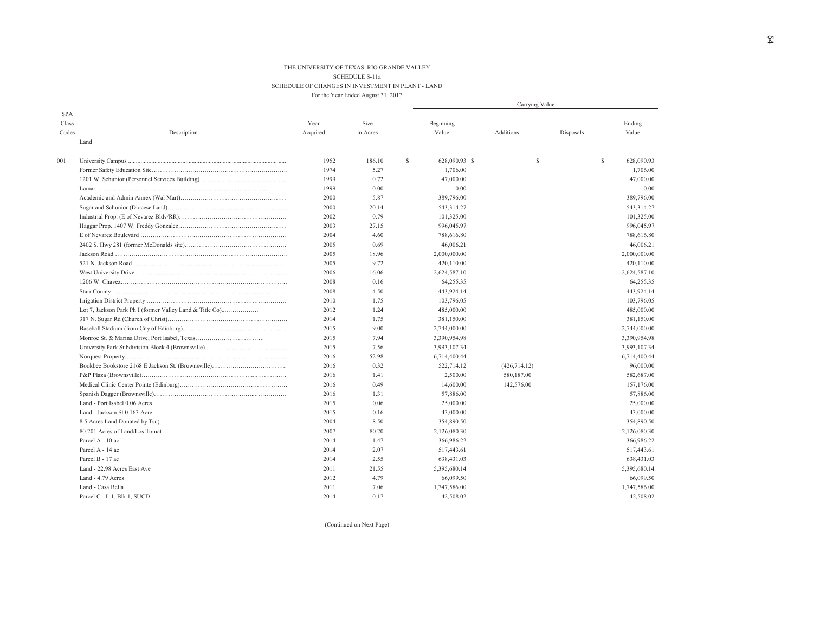#### THE UNIVERSITY OF TEXAS RIO GRANDE VALLEYSCHEDULE S-11a SCHEDULE OF CHANGES IN INVESTMENT IN PLANT - LAND For the Year Ended August 31, 2017

|                     |                                                          |          |          |              | Carrying Value |               |           |              |              |  |  |
|---------------------|----------------------------------------------------------|----------|----------|--------------|----------------|---------------|-----------|--------------|--------------|--|--|
| <b>SPA</b><br>Class |                                                          | Year     | Size     |              | Beginning      |               |           |              | Ending       |  |  |
| Codes               | Description                                              | Acquired | in Acres |              | Value          | Additions     | Disposals |              | Value        |  |  |
|                     | Land                                                     |          |          |              |                |               |           |              |              |  |  |
| 001                 |                                                          | 1952     | 186.10   | $\mathbb{S}$ | 628,090.93 \$  | S             |           | $\mathbb{S}$ | 628,090.93   |  |  |
|                     |                                                          | 1974     | 5.27     |              | 1,706.00       |               |           |              | 1,706.00     |  |  |
|                     |                                                          | 1999     | 0.72     |              | 47,000.00      |               |           |              | 47,000.00    |  |  |
|                     |                                                          | 1999     | 0.00     |              | 0.00           |               |           |              | 0.00         |  |  |
|                     |                                                          | 2000     | 5.87     |              | 389,796.00     |               |           |              | 389,796.00   |  |  |
|                     |                                                          | 2000     | 20.14    |              | 543,314.27     |               |           |              | 543,314.27   |  |  |
|                     |                                                          | 2002     | 0.79     |              | 101,325.00     |               |           |              | 101,325.00   |  |  |
|                     |                                                          | 2003     | 27.15    |              | 996,045.97     |               |           |              | 996,045.97   |  |  |
|                     |                                                          | 2004     | 4.60     |              | 788,616.80     |               |           |              | 788,616.80   |  |  |
|                     |                                                          | 2005     | 0.69     |              | 46,006.21      |               |           |              | 46,006.21    |  |  |
|                     |                                                          | 2005     | 18.96    |              | 2,000,000.00   |               |           |              | 2,000,000.00 |  |  |
|                     |                                                          | 2005     | 9.72     |              | 420,110.00     |               |           |              | 420,110.00   |  |  |
|                     |                                                          | 2006     | 16.06    |              | 2,624,587.10   |               |           |              | 2,624,587.10 |  |  |
|                     |                                                          | 2008     | 0.16     |              | 64,255.35      |               |           |              | 64,255.35    |  |  |
|                     |                                                          | 2008     | 4.50     |              | 443,924.14     |               |           |              | 443,924.14   |  |  |
|                     |                                                          | 2010     | 1.75     |              | 103,796.05     |               |           |              | 103,796.05   |  |  |
|                     | Lot 7, Jackson Park Ph I (former Valley Land & Title Co) | 2012     | 1.24     |              | 485,000.00     |               |           |              | 485,000.00   |  |  |
|                     |                                                          | 2014     | 1.75     |              | 381,150.00     |               |           |              | 381,150.00   |  |  |
|                     |                                                          | 2015     | 9.00     |              | 2,744,000.00   |               |           |              | 2,744,000.00 |  |  |
|                     |                                                          | 2015     | 7.94     |              | 3,390,954.98   |               |           |              | 3,390,954.98 |  |  |
|                     |                                                          | 2015     | 7.56     |              | 3,993,107.34   |               |           |              | 3,993,107.34 |  |  |
|                     |                                                          | 2016     | 52.98    |              | 6,714,400.44   |               |           |              | 6,714,400.44 |  |  |
|                     |                                                          | 2016     | 0.32     |              | 522,714.12     | (426, 714.12) |           |              | 96,000.00    |  |  |
|                     |                                                          | 2016     | 1.41     |              | 2,500.00       | 580,187.00    |           |              | 582,687.00   |  |  |
|                     |                                                          | 2016     | 0.49     |              | 14,600.00      | 142,576.00    |           |              | 157,176.00   |  |  |
|                     |                                                          | 2016     | 1.31     |              | 57,886.00      |               |           |              | 57,886.00    |  |  |
|                     | Land - Port Isabel 0.06 Acres                            | 2015     | 0.06     |              | 25,000.00      |               |           |              | 25,000.00    |  |  |
|                     | Land - Jackson St 0.163 Acre                             | 2015     | 0.16     |              | 43,000.00      |               |           |              | 43,000.00    |  |  |
|                     | 8.5 Acres Land Donated by Tsc(                           | 2004     | 8.50     |              | 354,890.50     |               |           |              | 354,890.50   |  |  |
|                     | 80.201 Acres of Land/Los Tomat                           | 2007     | 80.20    |              | 2,126,080.30   |               |           |              | 2,126,080.30 |  |  |
|                     | Parcel A - 10 ac                                         | 2014     | 1.47     |              | 366,986.22     |               |           |              | 366,986.22   |  |  |
|                     | Parcel A - 14 ac                                         | 2014     | 2.07     |              | 517,443.61     |               |           |              | 517,443.61   |  |  |
|                     | Parcel B - 17 ac                                         | 2014     | 2.55     |              | 638,431.03     |               |           |              | 638,431.03   |  |  |
|                     | Land - 22.98 Acres East Ave                              | 2011     | 21.55    |              | 5,395,680.14   |               |           |              | 5,395,680.14 |  |  |
|                     | Land - 4.79 Acres                                        | 2012     | 4.79     |              | 66,099.50      |               |           |              | 66,099.50    |  |  |
|                     | Land - Casa Bella                                        | 2011     | 7.06     |              | 1,747,586.00   |               |           |              | 1,747,586.00 |  |  |
|                     | Parcel C - L 1, Blk 1, SUCD                              | 2014     | 0.17     |              | 42,508.02      |               |           |              | 42,508.02    |  |  |

(Continued on Next Page)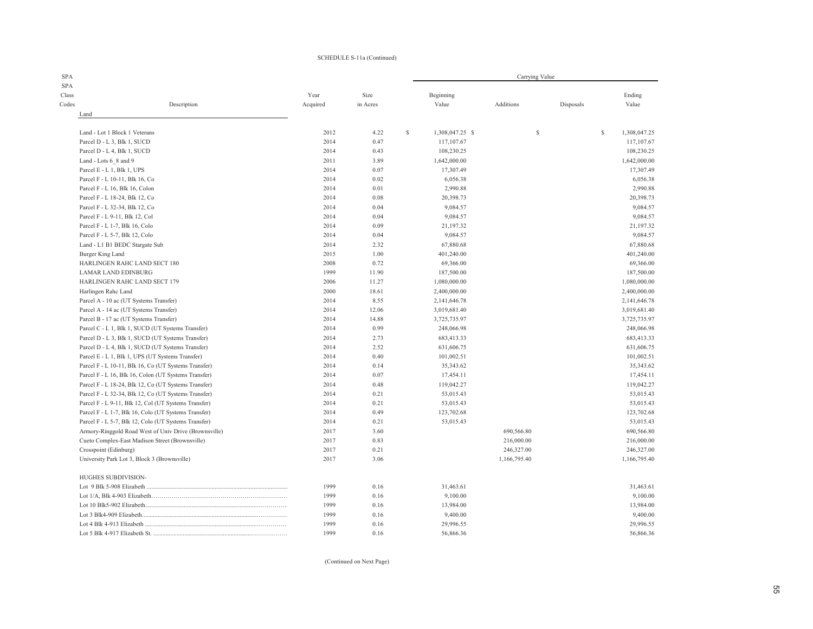#### SCHEDULE S-11a (Continued)

| <b>SPA</b>                  |                                                       |          |          |   |                 | Carrying Value |           |   |              |
|-----------------------------|-------------------------------------------------------|----------|----------|---|-----------------|----------------|-----------|---|--------------|
| <b>SPA</b>                  |                                                       |          |          |   |                 |                |           |   |              |
| Class                       |                                                       | Year     | Size     |   | Beginning       |                |           |   | Ending       |
| Codes                       | Description                                           | Acquired | in Acres |   | Value           | Additions      | Disposals |   | Value        |
| Land                        |                                                       |          |          |   |                 |                |           |   |              |
|                             | Land - Lot 1 Block 1 Veterans                         | 2012     | 4.22     | S | 1,308,047.25 \$ | $\mathbb{S}$   |           | S | 1,308,047.25 |
| Parcel D - L 3, Blk 1, SUCD |                                                       | 2014     | 0.47     |   | 117,107.67      |                |           |   | 117,107.67   |
| Parcel D - L 4, Blk 1, SUCD |                                                       | 2014     | 0.43     |   | 108,230.25      |                |           |   | 108,230.25   |
| Land - Lots 6 8 and 9       |                                                       | 2011     | 3.89     |   | 1,642,000.00    |                |           |   | 1,642,000.00 |
| Parcel E - L 1, Blk 1, UPS  |                                                       | 2014     | 0.07     |   | 17,307.49       |                |           |   | 17,307.49    |
|                             | Parcel F - L 10-11, Blk 16, Co                        | 2014     | 0.02     |   | 6,056.38        |                |           |   | 6,056.38     |
|                             | Parcel F - L 16, Blk 16, Colon                        | 2014     | 0.01     |   | 2,990.88        |                |           |   | 2,990.88     |
|                             | Parcel F - L 18-24, Blk 12, Co                        | 2014     | 0.08     |   | 20,398.73       |                |           |   | 20,398.73    |
|                             | Parcel F - L 32-34, Blk 12, Co                        | 2014     | 0.04     |   | 9,084.57        |                |           |   | 9,084.57     |
|                             | Parcel F - L 9-11, Blk 12, Col                        | 2014     | 0.04     |   | 9,084.57        |                |           |   | 9,084.57     |
|                             | Parcel F - L 1-7, Blk 16, Colo                        | 2014     | 0.09     |   | 21,197.32       |                |           |   | 21,197.32    |
|                             | Parcel F - L 5-7, Blk 12, Colo                        | 2014     | 0.04     |   | 9,084.57        |                |           |   | 9,084.57     |
|                             | Land - L1 B1 BEDC Stargate Sub                        | 2014     | 2.32     |   | 67,880.68       |                |           |   | 67,880.68    |
| Burger King Land            |                                                       | 2015     | 1.00     |   | 401,240.00      |                |           |   | 401,240.00   |
|                             | HARLINGEN RAHC LAND SECT 180                          | 2008     | 0.72     |   | 69,366.00       |                |           |   | 69,366.00    |
|                             | <b>LAMAR LAND EDINBURG</b>                            | 1999     | 11.90    |   | 187,500.00      |                |           |   | 187,500.00   |
|                             | HARLINGEN RAHC LAND SECT 179                          | 2006     | 11.27    |   | 1,080,000.00    |                |           |   | 1,080,000.00 |
| Harlingen Rahc Land         |                                                       | 2000     | 18.61    |   | 2,400,000.00    |                |           |   | 2,400,000.00 |
|                             | Parcel A - 10 ac (UT Systems Transfer)                | 2014     | 8.55     |   | 2,141,646.78    |                |           |   | 2,141,646.78 |
|                             | Parcel A - 14 ac (UT Systems Transfer)                | 2014     | 12.06    |   | 3,019,681.40    |                |           |   | 3,019,681.40 |
|                             | Parcel B - 17 ac (UT Systems Transfer)                | 2014     | 14.88    |   | 3,725,735.97    |                |           |   | 3,725,735.97 |
|                             | Parcel C - L 1, Blk 1, SUCD (UT Systems Transfer)     | 2014     | 0.99     |   | 248,066.98      |                |           |   | 248,066.98   |
|                             | Parcel D - L 3, Blk 1, SUCD (UT Systems Transfer)     | 2014     | 2.73     |   | 683,413.33      |                |           |   | 683,413.33   |
|                             | Parcel D - L 4, Blk 1, SUCD (UT Systems Transfer)     | 2014     | 2.52     |   | 631,606.75      |                |           |   | 631,606.75   |
|                             | Parcel E - L 1, Blk 1, UPS (UT Systems Transfer)      | 2014     | 0.40     |   | 101,002.51      |                |           |   | 101,002.51   |
|                             | Parcel F - L 10-11, Blk 16, Co (UT Systems Transfer)  | 2014     | 0.14     |   | 35,343.62       |                |           |   | 35,343.62    |
|                             | Parcel F - L 16, Blk 16, Colon (UT Systems Transfer)  | 2014     | 0.07     |   | 17,454.11       |                |           |   | 17,454.11    |
|                             | Parcel F - L 18-24, Blk 12, Co (UT Systems Transfer)  | 2014     | 0.48     |   | 119,042.27      |                |           |   | 119,042.27   |
|                             | Parcel F - L 32-34, Blk 12, Co (UT Systems Transfer)  | 2014     | 0.21     |   | 53,015.43       |                |           |   | 53,015.43    |
|                             | Parcel F - L 9-11, Blk 12, Col (UT Systems Transfer)  | 2014     | 0.21     |   | 53,015.43       |                |           |   | 53,015.43    |
|                             | Parcel F - L 1-7, Blk 16, Colo (UT Systems Transfer)  | 2014     | 0.49     |   | 123,702.68      |                |           |   | 123,702.68   |
|                             | Parcel F - L 5-7, Blk 12, Colo (UT Systems Transfer)  | 2014     | 0.21     |   | 53,015.43       |                |           |   | 53,015.43    |
|                             | Armory-Ringgold Road West of Univ Drive (Brownsville) | 2017     | 3.60     |   |                 | 690,566.80     |           |   | 690,566.80   |
|                             | Cueto Complex-East Madison Street (Brownsville)       | 2017     | 0.83     |   |                 | 216,000.00     |           |   | 216,000.00   |
| Crosspoint (Edinburg)       |                                                       | 2017     | 0.21     |   |                 | 246,327.00     |           |   | 246,327.00   |
|                             | University Park Lot 3, Block 3 (Brownsville)          | 2017     | 3.06     |   |                 | 1,166,795.40   |           |   | 1,166,795.40 |
|                             |                                                       |          |          |   |                 |                |           |   |              |
| HUGHES SUBDIVISION-         |                                                       |          |          |   |                 |                |           |   |              |
|                             |                                                       | 1999     | 0.16     |   | 31,463.61       |                |           |   | 31,463.61    |
|                             |                                                       | 1999     | 0.16     |   | 9,100.00        |                |           |   | 9,100.00     |
|                             |                                                       | 1999     | 0.16     |   | 13,984.00       |                |           |   | 13,984.00    |
|                             |                                                       | 1999     | 0.16     |   | 9,400.00        |                |           |   | 9,400.00     |
|                             |                                                       | 1999     | 0.16     |   | 29,996.55       |                |           |   | 29,996.55    |
|                             |                                                       | 1999     | 0.16     |   | 56,866.36       |                |           |   | 56,866.36    |

(Continued on Next Page)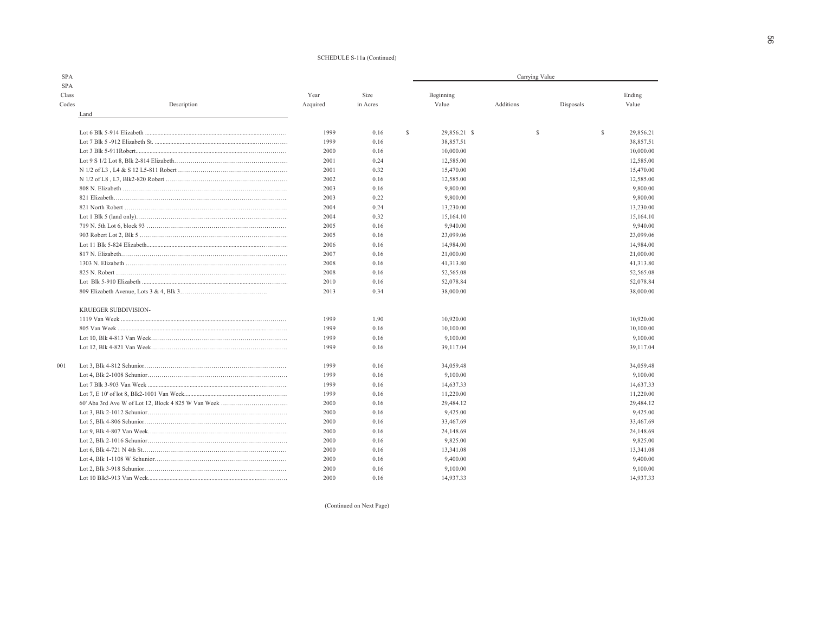#### SCHEDULE S-11a (Continued)

| <b>SPA</b>                  |             |          |          | Carrying Value     |           |   |           |   |           |  |  |
|-----------------------------|-------------|----------|----------|--------------------|-----------|---|-----------|---|-----------|--|--|
| <b>SPA</b>                  |             |          |          |                    |           |   |           |   |           |  |  |
| Class                       |             | Year     | Size     | Beginning          |           |   |           |   | Ending    |  |  |
| Codes<br>Land               | Description | Acquired | in Acres | Value              | Additions |   | Disposals |   | Value     |  |  |
|                             |             |          |          |                    |           |   |           |   |           |  |  |
|                             |             | 1999     | 0.16     | \$<br>29,856.21 \$ |           | S |           | S | 29,856.21 |  |  |
|                             |             | 1999     | 0.16     | 38,857.51          |           |   |           |   | 38,857.51 |  |  |
|                             |             | 2000     | 0.16     | 10,000.00          |           |   |           |   | 10,000.00 |  |  |
|                             |             | 2001     | 0.24     | 12,585.00          |           |   |           |   | 12,585.00 |  |  |
|                             |             | 2001     | 0.32     | 15,470.00          |           |   |           |   | 15,470.00 |  |  |
|                             |             | 2002     | 0.16     | 12,585.00          |           |   |           |   | 12,585.00 |  |  |
|                             |             | 2003     | 0.16     | 9,800.00           |           |   |           |   | 9,800.00  |  |  |
|                             |             | 2003     | 0.22     | 9,800.00           |           |   |           |   | 9,800.00  |  |  |
|                             |             | 2004     | 0.24     | 13,230.00          |           |   |           |   | 13,230.00 |  |  |
|                             |             | 2004     | 0.32     | 15,164.10          |           |   |           |   | 15,164.10 |  |  |
|                             |             | 2005     | 0.16     | 9,940.00           |           |   |           |   | 9,940.00  |  |  |
|                             |             | 2005     | 0.16     | 23,099.06          |           |   |           |   | 23,099.06 |  |  |
|                             |             | 2006     | 0.16     | 14,984.00          |           |   |           |   | 14,984.00 |  |  |
|                             |             | 2007     | 0.16     | 21,000.00          |           |   |           |   | 21,000.00 |  |  |
|                             |             | 2008     | 0.16     | 41,313.80          |           |   |           |   | 41,313.80 |  |  |
|                             |             | 2008     | 0.16     | 52,565.08          |           |   |           |   | 52,565.08 |  |  |
|                             |             | 2010     | 0.16     | 52,078.84          |           |   |           |   | 52,078.84 |  |  |
|                             |             | 2013     | 0.34     | 38,000.00          |           |   |           |   | 38,000.00 |  |  |
| <b>KRUEGER SUBDIVISION-</b> |             |          |          |                    |           |   |           |   |           |  |  |
|                             |             | 1999     | 1.90     | 10,920.00          |           |   |           |   | 10,920.00 |  |  |
|                             |             | 1999     | 0.16     | 10,100.00          |           |   |           |   | 10,100.00 |  |  |
|                             |             | 1999     | 0.16     | 9,100.00           |           |   |           |   | 9,100.00  |  |  |
|                             |             | 1999     | 0.16     | 39,117.04          |           |   |           |   | 39,117.04 |  |  |
|                             |             |          |          |                    |           |   |           |   |           |  |  |
| 001                         |             | 1999     | 0.16     | 34,059.48          |           |   |           |   | 34,059.48 |  |  |
|                             |             | 1999     | 0.16     | 9,100.00           |           |   |           |   | 9,100.00  |  |  |
|                             |             | 1999     | 0.16     | 14,637.33          |           |   |           |   | 14,637.33 |  |  |
|                             |             | 1999     | 0.16     | 11,220.00          |           |   |           |   | 11,220.00 |  |  |
|                             |             | 2000     | 0.16     | 29,484.12          |           |   |           |   | 29,484.12 |  |  |
|                             |             | 2000     | 0.16     | 9,425.00           |           |   |           |   | 9,425.00  |  |  |
|                             |             | 2000     | 0.16     | 33,467.69          |           |   |           |   | 33,467.69 |  |  |
|                             |             | 2000     | 0.16     | 24,148.69          |           |   |           |   | 24,148.69 |  |  |
|                             |             | 2000     | 0.16     | 9,825.00           |           |   |           |   | 9,825.00  |  |  |
|                             |             | 2000     | 0.16     | 13,341.08          |           |   |           |   | 13,341.08 |  |  |
|                             |             | 2000     | 0.16     | 9,400.00           |           |   |           |   | 9,400.00  |  |  |
|                             |             | 2000     | 0.16     | 9,100.00           |           |   |           |   | 9,100.00  |  |  |
|                             |             | 2000     | 0.16     | 14,937.33          |           |   |           |   | 14,937.33 |  |  |

(Continued on Next Page)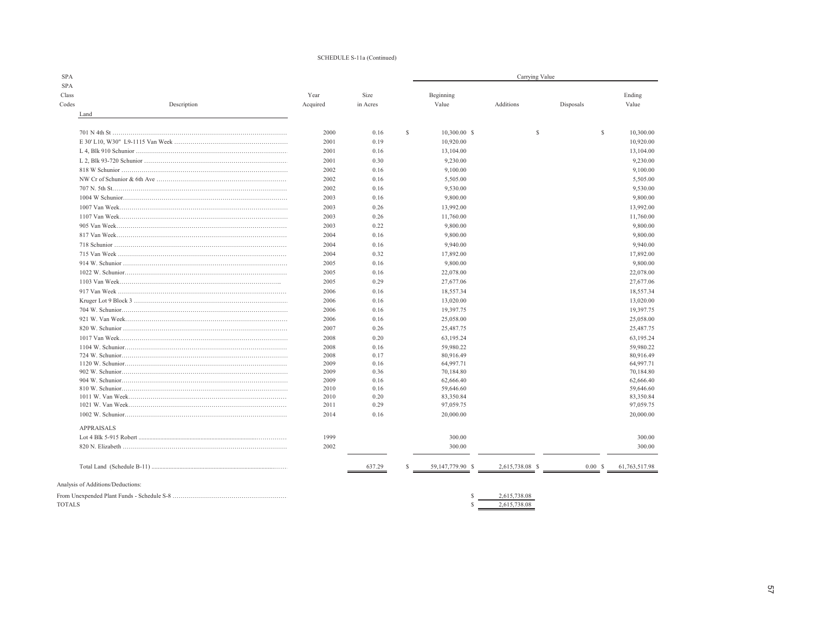#### SCHEDULE S-11a (Continued)

|                                   |          |          |              |                  | Carrying Value  |             |                           |
|-----------------------------------|----------|----------|--------------|------------------|-----------------|-------------|---------------------------|
| Class                             | Year     | Size     |              | Beginning        |                 |             | Ending                    |
| Codes<br>Description              | Acquired | in Acres |              | Value            | Additions       | Disposals   | Value                     |
| Land                              |          |          |              |                  |                 |             |                           |
|                                   |          |          |              |                  |                 |             |                           |
|                                   | 2000     | 0.16     | $\mathbb{S}$ | $10,300,00$ \$   | <b>S</b>        |             | $\mathbb{S}$<br>10,300.00 |
|                                   | 2001     | 0.19     |              | 10,920.00        |                 |             | 10,920.00                 |
|                                   | 2001     | 0.16     |              | 13,104.00        |                 |             | 13,104.00                 |
|                                   | 2001     | 0.30     |              | 9,230.00         |                 |             | 9,230.00                  |
|                                   | 2002     | 0.16     |              | 9,100.00         |                 |             | 9,100.00                  |
|                                   | 2002     | 0.16     |              | 5,505.00         |                 |             | 5,505.00                  |
|                                   | 2002     | 0.16     |              | 9,530.00         |                 |             | 9,530.00                  |
|                                   | 2003     | 0.16     |              | 9,800.00         |                 |             | 9,800.00                  |
|                                   | 2003     | 0.26     |              | 13,992.00        |                 |             | 13,992.00                 |
|                                   | 2003     | 0.26     |              | 11,760.00        |                 |             | 11,760.00                 |
|                                   | 2003     | 0.22     |              | 9,800.00         |                 |             | 9,800.00                  |
|                                   | 2004     | 0.16     |              | 9,800.00         |                 |             | 9,800.00                  |
|                                   | 2004     | 0.16     |              | 9,940.00         |                 |             | 9,940.00                  |
|                                   | 2004     | 0.32     |              | 17,892.00        |                 |             | 17,892.00                 |
|                                   | 2005     | 0.16     |              | 9,800.00         |                 |             | 9,800.00                  |
|                                   | 2005     | 0.16     |              | 22,078.00        |                 |             | 22,078.00                 |
|                                   | 2005     | 0.29     |              | 27,677.06        |                 |             | 27,677.06                 |
|                                   | 2006     | 0.16     |              | 18,557.34        |                 |             | 18,557.34                 |
|                                   | 2006     | 0.16     |              | 13,020.00        |                 |             | 13,020.00                 |
|                                   | 2006     | 0.16     |              | 19,397.75        |                 |             | 19,397.75                 |
|                                   | 2006     | 0.16     |              | 25,058.00        |                 |             | 25,058.00                 |
|                                   | 2007     | 0.26     |              | 25,487.75        |                 |             | 25,487.75                 |
|                                   | 2008     | 0.20     |              | 63,195.24        |                 |             | 63,195.24                 |
|                                   | 2008     | 0.16     |              | 59,980.22        |                 |             | 59,980.22                 |
|                                   | 2008     | 0.17     |              | 80,916.49        |                 |             | 80,916.49                 |
|                                   | 2009     | 0.16     |              | 64,997.71        |                 |             | 64,997.71                 |
|                                   | 2009     | 0.36     |              | 70,184.80        |                 |             | 70,184.80                 |
|                                   | 2009     | 0.16     |              | 62,666.40        |                 |             | 62,666.40                 |
|                                   | 2010     | 0.16     |              | 59,646.60        |                 |             | 59,646.60                 |
|                                   | 2010     | 0.20     |              | 83,350.84        |                 |             | 83,350.84                 |
|                                   | 2011     | 0.29     |              | 97,059.75        |                 |             | 97,059.75                 |
|                                   | 2014     | 0.16     |              | 20,000.00        |                 |             | 20,000.00                 |
| <b>APPRAISALS</b>                 |          |          |              |                  |                 |             |                           |
|                                   | 1999     |          |              | 300.00           |                 |             | 300.00                    |
|                                   | 2002     |          |              | 300.00           |                 |             | 300.00                    |
|                                   |          | 637.29   | S            | 59,147,779.90 \$ | 2,615,738.08 \$ | $0.00\,$ \$ | 61,763,517.98             |
| Analysis of Additions/Deductions: |          |          |              |                  |                 |             |                           |
|                                   |          |          |              | £.               | 2,615,738.08    |             |                           |
| <b>TOTALS</b>                     |          |          |              | <b>S</b>         | 2,615,738.08    |             |                           |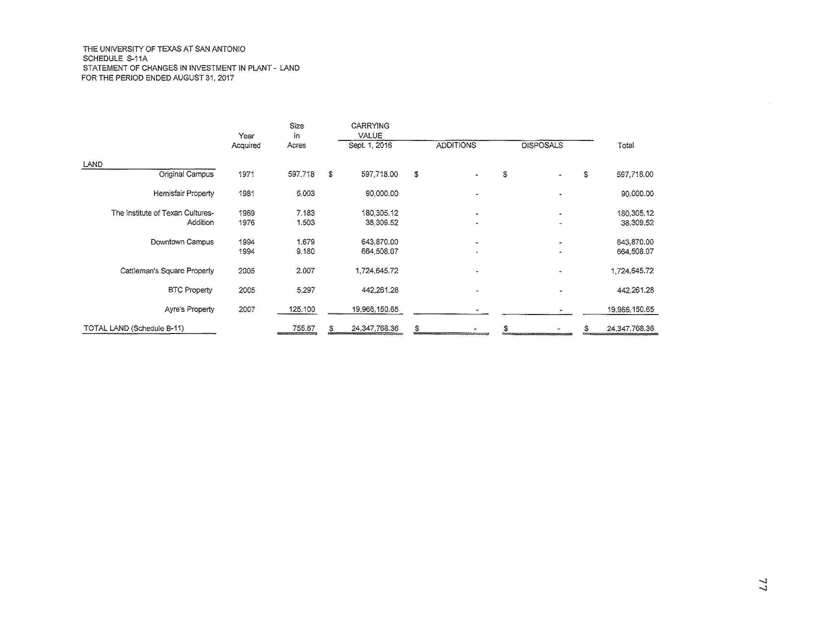#### THE UNIVERSITY OF TEXAS AT SAN ANTONIO SCHEDULE S-11A STATEMENT OF CHANGES IN INVESTMENT IN PLANT - LAND FOR THE PERIOD ENDED AUGUST 31, 2017

|                                  | Year     | Size<br>in |    | <b>CARRYING</b><br>VALUE |                          |   |                          |              |                  |
|----------------------------------|----------|------------|----|--------------------------|--------------------------|---|--------------------------|--------------|------------------|
|                                  | Acquired | Acres      |    | Sept. 1, 2016            | <b>ADDITIONS</b>         |   | <b>DISPOSALS</b>         |              | Total            |
| LAND                             |          |            |    |                          |                          |   |                          |              |                  |
| Original Campus                  | 1971     | 597,718    | S  | 597,718.00               | \$                       | S |                          | $\mathbb{S}$ | 597,718.00       |
| Hemisfair Property               | 1981     | 6.003      |    | 90,000.00                | ٠                        |   | $\hat{\phantom{a}}$      |              | 90,000.00        |
| The Institute of Texan Cultures- | 1969     | 7,183      |    | 180, 305, 12             | $\overline{\phantom{a}}$ |   | $\overline{\phantom{a}}$ |              | 180,305.12       |
| Addition                         | 1976     | 1.503      |    | 38,309.52                | $\bullet$                |   | $\bullet$                |              | 38,309.52        |
| Downtown Campus                  | 1994     | 1.679      |    | 643,870.00               | $\overline{\pi}$         |   | $\overline{\phantom{a}}$ |              | 643,870.00       |
|                                  | 1994     | 9.180      |    | 664,508.07               |                          |   | $\bullet$                |              | 664,508.07       |
| Cattleman's Square Property      | 2005     | 2.007      |    | 1,724,645.72             | $\ddot{}$                |   | ÷,                       |              | 1,724,645.72     |
| <b>BTC Property</b>              | 2005     | 5.297      |    | 442,261.28               |                          |   | ÷                        |              | 442,261.28       |
| <b>Ayre's Property</b>           | 2007     | 125,100    |    | 19,966,150.65            |                          |   |                          |              | 19,966,150.65    |
| TOTAL LAND (Schedule B-11)       |          | 755.67     | \$ | 24, 347, 768. 36         | \$                       |   |                          |              | 24, 347, 768. 36 |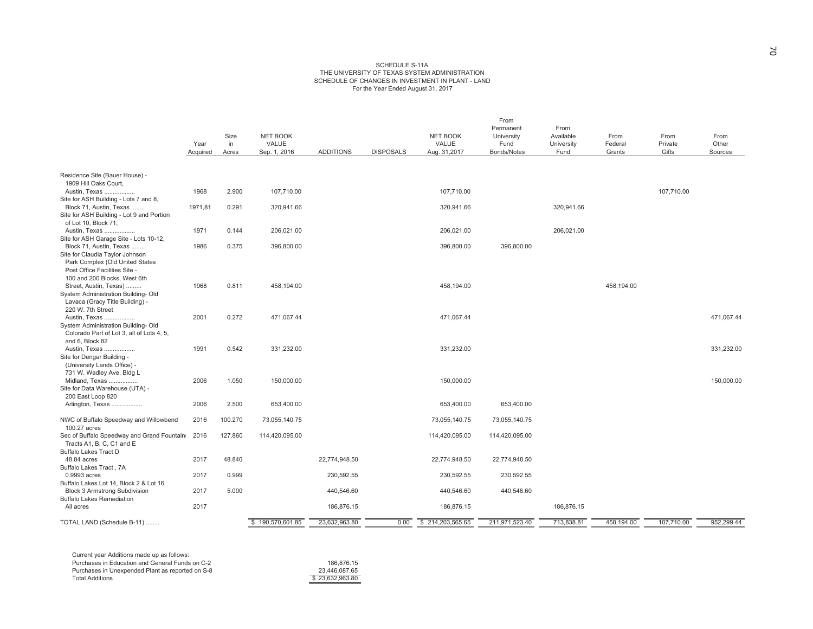#### SCHEDULE S-11A THE UNIVERSITY OF TEXAS SYSTEM ADMINISTRATION SCHEDULE OF CHANGES IN INVESTMENT IN PLANT - LAND For the Year Ended August 31, 2017

|                                                                                | Year<br>Acquired | Size<br>in<br>Acres | <b>NET BOOK</b><br>VALUE<br>Sep. 1, 2016 | <b>ADDITIONS</b> | <b>DISPOSALS</b> | <b>NET BOOK</b><br>VALUE<br>Aug. 31,2017 | From<br>Permanent<br>University<br>Fund<br>Bonds/Notes | From<br>Available<br>University<br>Fund | From<br>Federal<br>Grants | From<br>Private<br>Gifts | From<br>Other<br>Sources |
|--------------------------------------------------------------------------------|------------------|---------------------|------------------------------------------|------------------|------------------|------------------------------------------|--------------------------------------------------------|-----------------------------------------|---------------------------|--------------------------|--------------------------|
|                                                                                |                  |                     |                                          |                  |                  |                                          |                                                        |                                         |                           |                          |                          |
| Residence Site (Bauer House) -<br>1909 Hill Oaks Court,                        |                  |                     |                                          |                  |                  |                                          |                                                        |                                         |                           |                          |                          |
| Austin, Texas                                                                  | 1968             | 2.900               | 107,710.00                               |                  |                  | 107.710.00                               |                                                        |                                         |                           | 107.710.00               |                          |
| Site for ASH Building - Lots 7 and 8,                                          |                  |                     |                                          |                  |                  |                                          |                                                        |                                         |                           |                          |                          |
| Block 71, Austin, Texas                                                        | 1971,81          | 0.291               | 320,941.66                               |                  |                  | 320,941.66                               |                                                        | 320,941.66                              |                           |                          |                          |
| Site for ASH Building - Lot 9 and Portion                                      |                  |                     |                                          |                  |                  |                                          |                                                        |                                         |                           |                          |                          |
| of Lot 10, Block 71,<br>Austin, Texas                                          | 1971             | 0.144               | 206,021.00                               |                  |                  | 206,021.00                               |                                                        | 206,021.00                              |                           |                          |                          |
| Site for ASH Garage Site - Lots 10-12,                                         |                  |                     |                                          |                  |                  |                                          |                                                        |                                         |                           |                          |                          |
| Block 71, Austin, Texas                                                        | 1986             | 0.375               | 396,800.00                               |                  |                  | 396,800.00                               | 396,800.00                                             |                                         |                           |                          |                          |
| Site for Claudia Taylor Johnson                                                |                  |                     |                                          |                  |                  |                                          |                                                        |                                         |                           |                          |                          |
| Park Complex (Old United States                                                |                  |                     |                                          |                  |                  |                                          |                                                        |                                         |                           |                          |                          |
| Post Office Facilities Site -                                                  |                  |                     |                                          |                  |                  |                                          |                                                        |                                         |                           |                          |                          |
| 100 and 200 Blocks, West 6th                                                   | 1968             | 0.811               |                                          |                  |                  | 458,194.00                               |                                                        |                                         | 458.194.00                |                          |                          |
| Street, Austin, Texas)<br>System Administration Building-Old                   |                  |                     | 458,194.00                               |                  |                  |                                          |                                                        |                                         |                           |                          |                          |
| Lavaca (Gracy Title Building) -                                                |                  |                     |                                          |                  |                  |                                          |                                                        |                                         |                           |                          |                          |
| 220 W. 7th Street                                                              |                  |                     |                                          |                  |                  |                                          |                                                        |                                         |                           |                          |                          |
| Austin, Texas                                                                  | 2001             | 0.272               | 471,067.44                               |                  |                  | 471,067.44                               |                                                        |                                         |                           |                          | 471,067.44               |
| System Administration Building-Old                                             |                  |                     |                                          |                  |                  |                                          |                                                        |                                         |                           |                          |                          |
| Colorado Part of Lot 3, all of Lots 4, 5,                                      |                  |                     |                                          |                  |                  |                                          |                                                        |                                         |                           |                          |                          |
| and 6. Block 82<br>Austin, Texas                                               | 1991             | 0.542               | 331.232.00                               |                  |                  | 331.232.00                               |                                                        |                                         |                           |                          | 331.232.00               |
| Site for Dengar Building -                                                     |                  |                     |                                          |                  |                  |                                          |                                                        |                                         |                           |                          |                          |
| (University Lands Office) -                                                    |                  |                     |                                          |                  |                  |                                          |                                                        |                                         |                           |                          |                          |
| 731 W. Wadley Ave, Bldg L                                                      |                  |                     |                                          |                  |                  |                                          |                                                        |                                         |                           |                          |                          |
| Midland, Texas                                                                 | 2006             | 1.050               | 150,000.00                               |                  |                  | 150,000.00                               |                                                        |                                         |                           |                          | 150,000.00               |
| Site for Data Warehouse (UTA) -                                                |                  |                     |                                          |                  |                  |                                          |                                                        |                                         |                           |                          |                          |
| 200 East Loop 820                                                              | 2006             | 2.500               | 653,400.00                               |                  |                  | 653,400.00                               | 653,400.00                                             |                                         |                           |                          |                          |
| Arlington, Texas                                                               |                  |                     |                                          |                  |                  |                                          |                                                        |                                         |                           |                          |                          |
| NWC of Buffalo Speedway and Willowbend                                         | 2016             | 100.270             | 73,055,140.75                            |                  |                  | 73,055,140.75                            | 73,055,140.75                                          |                                         |                           |                          |                          |
| 100.27 acres<br>Sec of Buffalo Speedway and Grand Fountain:                    | 2016             | 127.860             | 114,420,095.00                           |                  |                  | 114,420,095.00                           | 114,420,095.00                                         |                                         |                           |                          |                          |
| Tracts A1, B, C, C1 and E                                                      |                  |                     |                                          |                  |                  |                                          |                                                        |                                         |                           |                          |                          |
| <b>Buffalo Lakes Tract D</b>                                                   |                  |                     |                                          |                  |                  |                                          |                                                        |                                         |                           |                          |                          |
| 48.84 acres                                                                    | 2017             | 48.840              |                                          | 22,774,948.50    |                  | 22,774,948.50                            | 22,774,948.50                                          |                                         |                           |                          |                          |
| Buffalo Lakes Tract, 7A                                                        |                  |                     |                                          |                  |                  |                                          |                                                        |                                         |                           |                          |                          |
| 0.9993 acres                                                                   | 2017             | 0.999               |                                          | 230,592.55       |                  | 230,592.55                               | 230,592.55                                             |                                         |                           |                          |                          |
| Buffalo Lakes Lot 14, Block 2 & Lot 16<br><b>Block 3 Armstrong Subdivision</b> | 2017             | 5.000               |                                          | 440,546.60       |                  | 440,546.60                               | 440,546.60                                             |                                         |                           |                          |                          |
| <b>Buffalo Lakes Remediation</b>                                               |                  |                     |                                          |                  |                  |                                          |                                                        |                                         |                           |                          |                          |
| All acres                                                                      | 2017             |                     |                                          | 186,876.15       |                  | 186,876.15                               |                                                        | 186,876.15                              |                           |                          |                          |
|                                                                                |                  |                     |                                          |                  |                  |                                          |                                                        |                                         |                           |                          |                          |
| TOTAL LAND (Schedule B-11)                                                     |                  |                     | \$190,570,601.85                         | 23,632,963.80    | 0.00             | \$214,203,565.65                         | 211,971,523.40                                         | 713,838.81                              | 458,194.00                | 107,710.00               | 952,299.44               |

Current year Additions made up as follows: Purchases in Education and General Funds on C-2 Purchases in Unexpended Plant as reported on S-8 **Total Additions** 

186,876.15  $\frac{23,446,087.65}{$23,632,963.80}$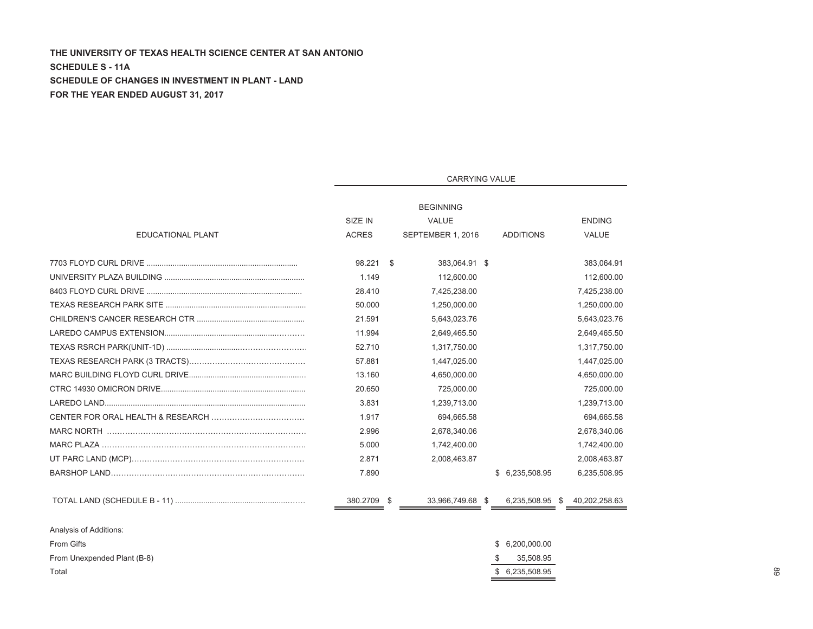# THE UNIVERSITY OF TEXAS HEALTH SCIENCE CENTER AT SAN ANTONIO **SCHEDULE S - 11A 6 SCHEDULE OF CHANGES IN INVESTMENT IN PLANT - LAND FOR THE YEAR ENDED AUGUST 31, 2017**

Total

|                             | <b>CARRYING VALUE</b> |  |                   |  |                    |  |               |  |  |  |
|-----------------------------|-----------------------|--|-------------------|--|--------------------|--|---------------|--|--|--|
|                             |                       |  | <b>BEGINNING</b>  |  |                    |  |               |  |  |  |
|                             | SIZE IN               |  | <b>VALUE</b>      |  |                    |  | <b>ENDING</b> |  |  |  |
| EDUCATIONAL PLANT           | <b>ACRES</b>          |  | SEPTEMBER 1, 2016 |  | <b>ADDITIONS</b>   |  | <b>VALUE</b>  |  |  |  |
|                             | 98.221 \$             |  | 383.064.91 \$     |  |                    |  | 383.064.91    |  |  |  |
|                             | 1.149                 |  | 112,600.00        |  |                    |  | 112,600.00    |  |  |  |
|                             | 28.410                |  | 7,425,238.00      |  |                    |  | 7,425,238.00  |  |  |  |
|                             | 50.000                |  | 1,250,000.00      |  |                    |  | 1,250,000.00  |  |  |  |
|                             | 21.591                |  | 5,643,023.76      |  |                    |  | 5,643,023.76  |  |  |  |
|                             | 11.994                |  | 2,649,465.50      |  |                    |  | 2,649,465.50  |  |  |  |
|                             | 52.710                |  | 1,317,750.00      |  |                    |  | 1,317,750.00  |  |  |  |
|                             | 57.881                |  | 1,447,025.00      |  |                    |  | 1,447,025.00  |  |  |  |
|                             | 13.160                |  | 4,650,000.00      |  |                    |  | 4,650,000.00  |  |  |  |
|                             | 20.650                |  | 725.000.00        |  |                    |  | 725.000.00    |  |  |  |
|                             | 3.831                 |  | 1,239,713.00      |  |                    |  | 1,239,713.00  |  |  |  |
|                             | 1.917                 |  | 694,665.58        |  |                    |  | 694,665.58    |  |  |  |
|                             | 2.996                 |  | 2,678,340.06      |  |                    |  | 2,678,340.06  |  |  |  |
|                             | 5.000                 |  | 1,742,400.00      |  |                    |  | 1,742,400.00  |  |  |  |
|                             | 2.871                 |  | 2,008,463.87      |  |                    |  | 2,008,463.87  |  |  |  |
|                             | 7.890                 |  |                   |  | \$ 6,235,508.95    |  | 6,235,508.95  |  |  |  |
|                             | 380.2709 \$           |  | 33,966,749.68 \$  |  | 6,235,508.95 \$    |  | 40,202,258.63 |  |  |  |
| Analysis of Additions:      |                       |  |                   |  |                    |  |               |  |  |  |
| <b>From Gifts</b>           |                       |  |                   |  | 6,200,000.00<br>\$ |  |               |  |  |  |
| From Unexpended Plant (B-8) |                       |  |                   |  | \$<br>35,508.95    |  |               |  |  |  |

\$ 6,235,508.95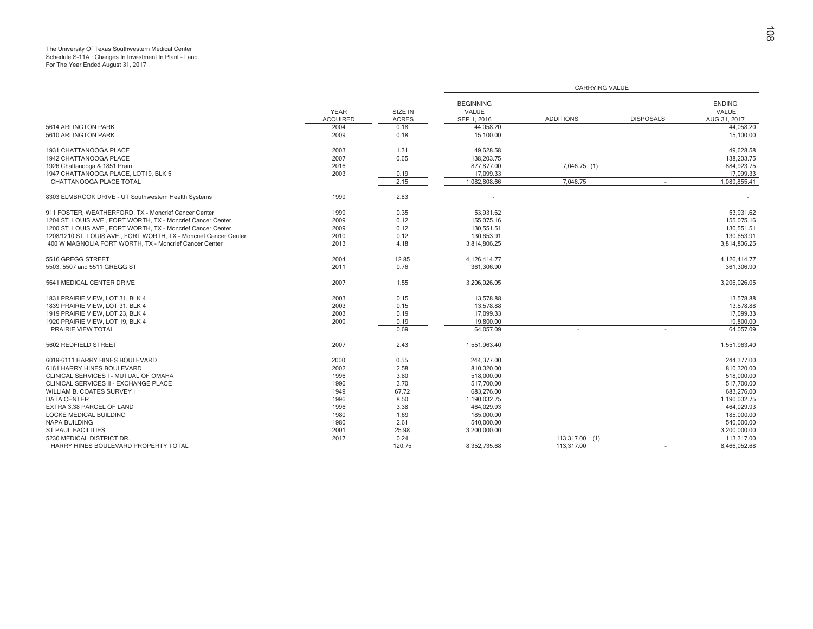# The University Of Texas Southwestern Medical Center Schedule S-11A : Changes In Investment In Plant - Land For The Year Ended August 31, 2017

|                                                                   |                                |                         |                                          | CARRYING VALUE   |                  |                                        |
|-------------------------------------------------------------------|--------------------------------|-------------------------|------------------------------------------|------------------|------------------|----------------------------------------|
|                                                                   | <b>YEAR</b><br><b>ACQUIRED</b> | SIZE IN<br><b>ACRES</b> | <b>BEGINNING</b><br>VALUE<br>SEP 1, 2016 | <b>ADDITIONS</b> | <b>DISPOSALS</b> | <b>ENDING</b><br>VALUE<br>AUG 31, 2017 |
| 5614 ARLINGTON PARK                                               | 2004                           | 0.18                    | 44,058.20                                |                  |                  | 44,058.20                              |
| 5610 ARLINGTON PARK                                               | 2009                           | 0.18                    | 15,100.00                                |                  |                  | 15,100.00                              |
| 1931 CHATTANOOGA PLACE                                            | 2003                           | 1.31                    | 49,628.58                                |                  |                  | 49.628.58                              |
| 1942 CHATTANOOGA PLACE                                            | 2007                           | 0.65                    | 138,203.75                               |                  |                  | 138,203.75                             |
| 1926 Chattanooga & 1851 Prairi                                    | 2016                           |                         | 877,877.00                               | 7,046.75 (1)     |                  | 884,923.75                             |
| 1947 CHATTANOOGA PLACE, LOT19, BLK 5                              | 2003                           | 0.19                    | 17,099.33                                |                  |                  | 17,099.33                              |
| CHATTANOOGA PLACE TOTAL                                           |                                | 2.15                    | 1,082,808.66                             | 7.046.75         | $\sim$           | 1,089,855.41                           |
| 8303 ELMBROOK DRIVE - UT Southwestern Health Systems              | 1999                           | 2.83                    |                                          |                  |                  |                                        |
| 911 FOSTER, WEATHERFORD, TX - Moncrief Cancer Center              | 1999                           | 0.35                    | 53.931.62                                |                  |                  | 53.931.62                              |
| 1204 ST. LOUIS AVE., FORT WORTH, TX - Moncrief Cancer Center      | 2009                           | 0.12                    | 155,075.16                               |                  |                  | 155,075.16                             |
| 1200 ST. LOUIS AVE., FORT WORTH, TX - Moncrief Cancer Center      | 2009                           | 0.12                    | 130,551.51                               |                  |                  | 130.551.51                             |
| 1208/1210 ST. LOUIS AVE., FORT WORTH, TX - Moncrief Cancer Center | 2010                           | 0.12                    | 130,653.91                               |                  |                  | 130,653.91                             |
| 400 W MAGNOLIA FORT WORTH, TX - Moncrief Cancer Center            | 2013                           | 4.18                    | 3.814.806.25                             |                  |                  | 3.814.806.25                           |
|                                                                   |                                |                         |                                          |                  |                  |                                        |
| 5516 GREGG STREET                                                 | 2004                           | 12.85                   | 4,126,414.77                             |                  |                  | 4,126,414.77                           |
| 5503, 5507 and 5511 GREGG ST                                      | 2011                           | 0.76                    | 361,306.90                               |                  |                  | 361,306.90                             |
| 5641 MEDICAL CENTER DRIVE                                         | 2007                           | 1.55                    | 3,206,026.05                             |                  |                  | 3,206,026.05                           |
| 1831 PRAIRIE VIEW, LOT 31, BLK 4                                  | 2003                           | 0.15                    | 13,578.88                                |                  |                  | 13,578.88                              |
| 1839 PRAIRIE VIEW, LOT 31, BLK 4                                  | 2003                           | 0.15                    | 13,578.88                                |                  |                  | 13,578.88                              |
| 1919 PRAIRIE VIEW. LOT 23. BLK 4                                  | 2003                           | 0.19                    | 17,099.33                                |                  |                  | 17,099.33                              |
| 1920 PRAIRIE VIEW, LOT 19, BLK 4                                  | 2009                           | 0.19                    | 19,800.00                                |                  |                  | 19,800.00                              |
| PRAIRIE VIEW TOTAL                                                |                                | 0.69                    | 64.057.09                                |                  | $\sim$           | 64.057.09                              |
| 5602 REDFIELD STREET                                              | 2007                           | 2.43                    | 1,551,963.40                             |                  |                  | 1,551,963.40                           |
| 6019-6111 HARRY HINES BOULEVARD                                   | 2000                           | 0.55                    | 244.377.00                               |                  |                  | 244.377.00                             |
| 6161 HARRY HINES BOULEVARD                                        | 2002                           | 2.58                    | 810,320.00                               |                  |                  | 810,320.00                             |
| CLINICAL SERVICES I - MUTUAL OF OMAHA                             | 1996                           | 3.80                    | 518.000.00                               |                  |                  | 518.000.00                             |
| CLINICAL SERVICES II - EXCHANGE PLACE                             | 1996                           | 3.70                    | 517,700.00                               |                  |                  | 517,700.00                             |
| WILLIAM B. COATES SURVEY I                                        | 1949                           | 67.72                   | 683.276.00                               |                  |                  | 683.276.00                             |
| <b>DATA CENTER</b>                                                | 1996                           | 8.50                    | 1,190,032.75                             |                  |                  | 1,190,032.75                           |
| EXTRA 3.38 PARCEL OF LAND                                         | 1996                           | 3.38                    | 464,029.93                               |                  |                  | 464.029.93                             |
| <b>LOCKE MEDICAL BUILDING</b>                                     | 1980                           | 1.69                    | 185,000.00                               |                  |                  | 185,000,00                             |
| <b>NAPA BUILDING</b>                                              | 1980                           | 2.61                    | 540,000.00                               |                  |                  | 540,000.00                             |
| <b>ST PAUL FACILITIES</b>                                         | 2001                           | 25.98                   | 3,200,000.00                             |                  |                  | 3,200,000.00                           |
| 5230 MEDICAL DISTRICT DR.                                         | 2017                           | 0.24                    |                                          | 113.317.00 (1)   |                  | 113,317.00                             |
| HARRY HINES BOULEVARD PROPERTY TOTAL                              |                                | 120.75                  | 8,352,735.68                             | 113,317.00       |                  | 8.466.052.68                           |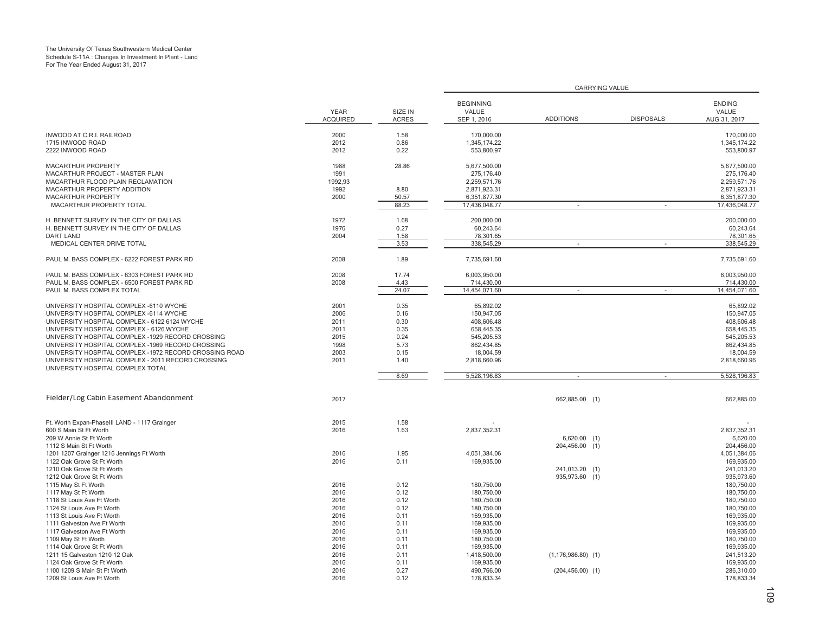# The University Of Texas Southwestern Medical Center Schedule S-11A : Changes In Investment In Plant - Land For The Year Ended August 31, 2017

|                                                                                                                                                                                                                                                                                                                                                                                                                                                |                                                              |                                                              |                                                                                                              | CARRYING VALUE                                |                  |                                                                                                              |
|------------------------------------------------------------------------------------------------------------------------------------------------------------------------------------------------------------------------------------------------------------------------------------------------------------------------------------------------------------------------------------------------------------------------------------------------|--------------------------------------------------------------|--------------------------------------------------------------|--------------------------------------------------------------------------------------------------------------|-----------------------------------------------|------------------|--------------------------------------------------------------------------------------------------------------|
|                                                                                                                                                                                                                                                                                                                                                                                                                                                | <b>YEAR</b><br><b>ACQUIRED</b>                               | SIZE IN<br><b>ACRES</b>                                      | <b>BEGINNING</b><br>VALUE<br>SEP 1, 2016                                                                     | <b>ADDITIONS</b>                              | <b>DISPOSALS</b> | <b>ENDING</b><br>VALUE<br>AUG 31, 2017                                                                       |
| INWOOD AT C.R.I. RAILROAD<br>1715 INWOOD ROAD<br>2222 INWOOD ROAD                                                                                                                                                                                                                                                                                                                                                                              | 2000<br>2012<br>2012                                         | 1.58<br>0.86<br>0.22                                         | 170.000.00<br>1,345,174.22<br>553,800.97                                                                     |                                               |                  | 170,000.00<br>1,345,174.22<br>553,800.97                                                                     |
| <b>MACARTHUR PROPERTY</b><br>MACARTHUR PROJECT - MASTER PLAN<br>MACARTHUR FLOOD PLAIN RECLAMATION<br>MACARTHUR PROPERTY ADDITION<br><b>MACARTHUR PROPERTY</b><br>MACARTHUR PROPERTY TOTAL                                                                                                                                                                                                                                                      | 1988<br>1991<br>1992,93<br>1992<br>2000                      | 28.86<br>8.80<br>50.57<br>88.23                              | 5,677,500.00<br>275,176.40<br>2,259,571.76<br>2,871,923.31<br>6,351,877.30<br>17,436,048.77                  |                                               |                  | 5,677,500.00<br>275,176.40<br>2,259,571.76<br>2.871.923.31<br>6,351,877.30<br>17,436,048.77                  |
| H. BENNETT SURVEY IN THE CITY OF DALLAS<br>H. BENNETT SURVEY IN THE CITY OF DALLAS<br><b>DART LAND</b><br>MEDICAL CENTER DRIVE TOTAL                                                                                                                                                                                                                                                                                                           | 1972<br>1976<br>2004                                         | 1.68<br>0.27<br>1.58<br>3.53                                 | 200,000.00<br>60,243.64<br>78,301.65<br>338,545.29                                                           | ٠                                             |                  | 200,000.00<br>60,243.64<br>78,301.65<br>338.545.29                                                           |
| PAUL M. BASS COMPLEX - 6222 FOREST PARK RD                                                                                                                                                                                                                                                                                                                                                                                                     | 2008                                                         | 1.89                                                         | 7,735,691.60                                                                                                 |                                               |                  | 7.735.691.60                                                                                                 |
| PAUL M. BASS COMPLEX - 6303 FOREST PARK RD<br>PAUL M. BASS COMPLEX - 6500 FOREST PARK RD<br>PAUL M. BASS COMPLEX TOTAL                                                                                                                                                                                                                                                                                                                         | 2008<br>2008                                                 | 17.74<br>4.43<br>24.07                                       | 6,003,950.00<br>714,430.00<br>14,454,071.60                                                                  |                                               |                  | 6,003,950.00<br>714,430.00<br>14,454,071.60                                                                  |
| UNIVERSITY HOSPITAL COMPLEX -6110 WYCHE<br>UNIVERSITY HOSPITAL COMPLEX -6114 WYCHE<br>UNIVERSITY HOSPITAL COMPLEX - 6122 6124 WYCHE<br>UNIVERSITY HOSPITAL COMPLEX - 6126 WYCHE<br>UNIVERSITY HOSPITAL COMPLEX -1929 RECORD CROSSING<br>UNIVERSITY HOSPITAL COMPLEX -1969 RECORD CROSSING<br>UNIVERSITY HOSPITAL COMPLEX -1972 RECORD CROSSING ROAD<br>UNIVERSITY HOSPITAL COMPLEX - 2011 RECORD CROSSING<br>UNIVERSITY HOSPITAL COMPLEX TOTAL | 2001<br>2006<br>2011<br>2011<br>2015<br>1998<br>2003<br>2011 | 0.35<br>0.16<br>0.30<br>0.35<br>0.24<br>5.73<br>0.15<br>1.40 | 65,892.02<br>150.947.05<br>408,606.48<br>658,445.35<br>545,205.53<br>862,434.85<br>18,004.59<br>2,818,660.96 |                                               |                  | 65,892.02<br>150.947.05<br>408,606.48<br>658,445.35<br>545,205.53<br>862,434.85<br>18,004.59<br>2,818,660.96 |
|                                                                                                                                                                                                                                                                                                                                                                                                                                                |                                                              | 8.69                                                         | 5,528,196.83                                                                                                 | ×,                                            | $\sim$           | 5,528,196.83                                                                                                 |
| Fielder/Log Cabin Easement Abandonment                                                                                                                                                                                                                                                                                                                                                                                                         | 2017                                                         |                                                              |                                                                                                              | 662,885.00 (1)                                |                  | 662,885.00                                                                                                   |
| Ft. Worth Expan-PhaseIII LAND - 1117 Grainger<br>600 S Main St Ft Worth<br>209 W Annie St Ft Worth<br>1112 S Main St Ft Worth<br>1201 1207 Grainger 1216 Jennings Ft Worth                                                                                                                                                                                                                                                                     | 2015<br>2016<br>2016                                         | 1.58<br>1.63<br>1.95                                         | 2,837,352.31<br>4,051,384.06                                                                                 | $6,620.00$ (1)<br>204,456.00 (1)              |                  | 2,837,352.31<br>6.620.00<br>204,456.00<br>4,051,384.06                                                       |
| 1122 Oak Grove St Ft Worth<br>1210 Oak Grove St Ft Worth<br>1212 Oak Grove St Ft Worth<br>1115 May St Ft Worth                                                                                                                                                                                                                                                                                                                                 | 2016<br>2016                                                 | 0.11<br>0.12                                                 | 169,935.00<br>180,750.00                                                                                     | 241,013.20 (1)<br>935,973.60 (1)              |                  | 169,935.00<br>241,013.20<br>935,973.60<br>180,750.00                                                         |
| 1117 May St Ft Worth<br>1118 St Louis Ave Ft Worth<br>1124 St Louis Ave Ft Worth<br>1113 St Louis Ave Ft Worth<br>1111 Galveston Ave Ft Worth<br>1117 Galveston Ave Ft Worth<br>1109 May St Ft Worth<br>1114 Oak Grove St Ft Worth                                                                                                                                                                                                             | 2016<br>2016<br>2016<br>2016<br>2016<br>2016<br>2016<br>2016 | 0.12<br>0.12<br>0.12<br>0.11<br>0.11<br>0.11<br>0.11<br>0.11 | 180,750.00<br>180,750.00<br>180,750.00<br>169,935.00<br>169,935.00<br>169,935.00<br>180,750.00<br>169,935.00 |                                               |                  | 180,750.00<br>180,750.00<br>180,750.00<br>169,935.00<br>169,935.00<br>169,935.00<br>180,750.00<br>169,935.00 |
| 1211 15 Galveston 1210 12 Oak<br>1124 Oak Grove St Ft Worth<br>1100 1209 S Main St Ft Worth<br>1209 St Louis Ave Ft Worth                                                                                                                                                                                                                                                                                                                      | 2016<br>2016<br>2016<br>2016                                 | 0.11<br>0.11<br>0.27<br>0.12                                 | 1,418,500.00<br>169.935.00<br>490,766.00<br>178.833.34                                                       | $(1, 176, 986.80)$ (1)<br>$(204, 456.00)$ (1) |                  | 241,513.20<br>169,935.00<br>286,310.00<br>178,833.34                                                         |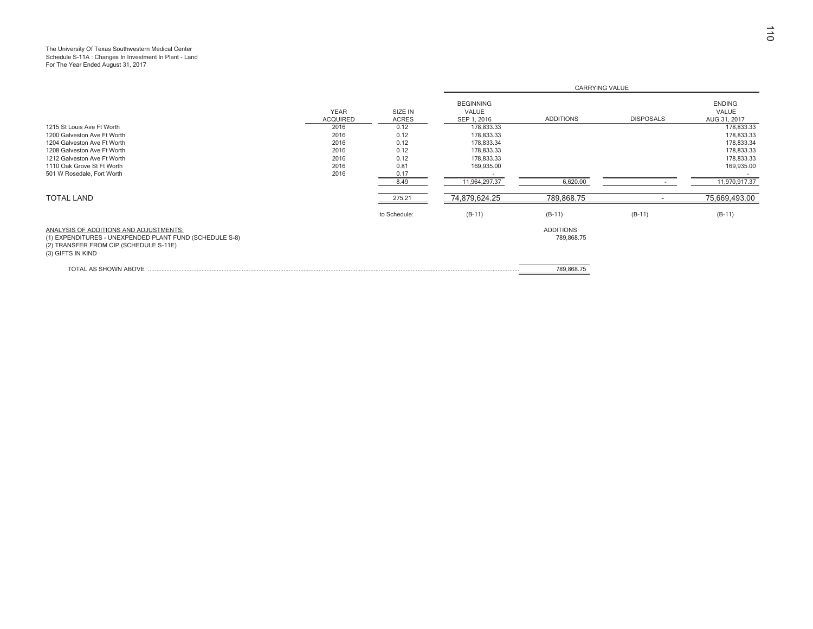# The University Of Texas Southwestern Medical Center Schedule S-11A : Changes In Investment In Plant - Land For The Year Ended August 31, 2017

|                                                                                                                                                                  |                                |                         |                                          | <b>CARRYING VALUE</b>          |                  |                                        |  |  |
|------------------------------------------------------------------------------------------------------------------------------------------------------------------|--------------------------------|-------------------------|------------------------------------------|--------------------------------|------------------|----------------------------------------|--|--|
|                                                                                                                                                                  | <b>YEAR</b><br><b>ACQUIRED</b> | SIZE IN<br><b>ACRES</b> | <b>BEGINNING</b><br>VALUE<br>SEP 1, 2016 | <b>ADDITIONS</b>               | <b>DISPOSALS</b> | <b>ENDING</b><br>VALUE<br>AUG 31, 2017 |  |  |
| 1215 St Louis Ave Ft Worth                                                                                                                                       | 2016                           | 0.12                    | 178,833.33                               |                                |                  | 178,833.33                             |  |  |
| 1200 Galveston Ave Ft Worth                                                                                                                                      | 2016                           | 0.12                    | 178,833.33                               |                                |                  | 178,833.33                             |  |  |
| 1204 Galveston Ave Ft Worth                                                                                                                                      | 2016                           | 0.12                    | 178,833.34                               |                                |                  | 178,833.34                             |  |  |
| 1208 Galveston Ave Ft Worth                                                                                                                                      | 2016                           | 0.12                    | 178,833.33                               |                                |                  | 178,833.33                             |  |  |
| 1212 Galveston Ave Ft Worth                                                                                                                                      | 2016                           | 0.12                    | 178,833.33                               |                                |                  | 178,833.33                             |  |  |
| 1110 Oak Grove St Ft Worth                                                                                                                                       | 2016                           | 0.81                    | 169,935.00                               |                                |                  | 169,935.00                             |  |  |
| 501 W Rosedale, Fort Worth                                                                                                                                       | 2016                           | 0.17                    |                                          |                                |                  |                                        |  |  |
|                                                                                                                                                                  |                                | 8.49                    | 11,964,297.37                            | 6,620.00                       |                  | 11,970,917.37                          |  |  |
| <b>TOTAL LAND</b>                                                                                                                                                |                                | 275.21                  | 74,879,624.25                            | 789,868.75                     |                  | 75,669,493.00                          |  |  |
|                                                                                                                                                                  |                                | to Schedule:            | $(B-11)$                                 | $(B-11)$                       | $(B-11)$         | $(B-11)$                               |  |  |
| ANALYSIS OF ADDITIONS AND ADJUSTMENTS:<br>(1) EXPENDITURES - UNEXPENDED PLANT FUND (SCHEDULE S-8)<br>(2) TRANSFER FROM CIP (SCHEDULE S-11E)<br>(3) GIFTS IN KIND |                                |                         |                                          | <b>ADDITIONS</b><br>789,868.75 |                  |                                        |  |  |
| TOTAL AS SHOWN ABOVE                                                                                                                                             |                                |                         |                                          | 789,868.75                     |                  |                                        |  |  |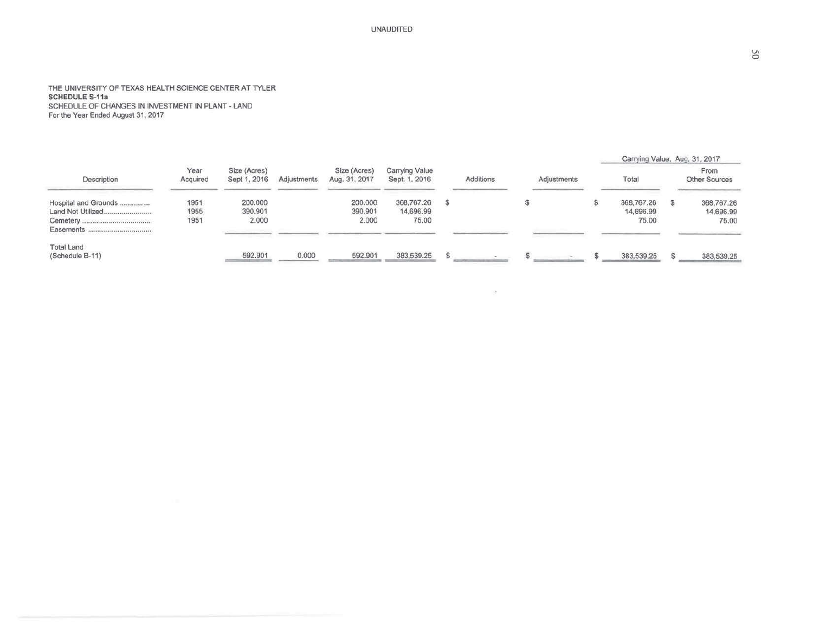**UNAUDITED** 

# THE UNIVERSITY OF TEXAS HEALTH SCIENCE CENTER AT TYLER<br>SCHEDULE S-11a SCHEDULE OF CHANGES IN INVESTMENT IN PLANT - LAND For the Year Ended August 31, 2017

|                                                        |                      |                              |             |                               |                                  |           |             | Carrying Value, Aug. 31, 2017    |                                  |
|--------------------------------------------------------|----------------------|------------------------------|-------------|-------------------------------|----------------------------------|-----------|-------------|----------------------------------|----------------------------------|
| Description                                            | Year<br>Acquired     | Size (Acres)<br>Sept 1, 2016 | Adjustments | Size (Acres)<br>Aug. 31, 2017 | Carrying Value<br>Sept. 1, 2016  | Additions | Adjustments | Total                            | From<br><b>Other Sources</b>     |
| Hospital and Grounds<br>Land Not Utilized<br>Easements | 1951<br>1955<br>1951 | 200,000<br>390.901<br>2.000  |             | 200.000<br>390.901<br>2.000   | 368,767.26<br>14,696.99<br>75.00 |           |             | 368,767.26<br>14,696.99<br>75.00 | 368,767,26<br>14,696.99<br>75,00 |
| <b>Total Land</b><br>(Schedule B-11)                   |                      | 592.901                      | 0.000       | 592.901                       | 383,539.25                       |           |             | 383,539.25                       | 383,539.25                       |

 $\mathcal{O}$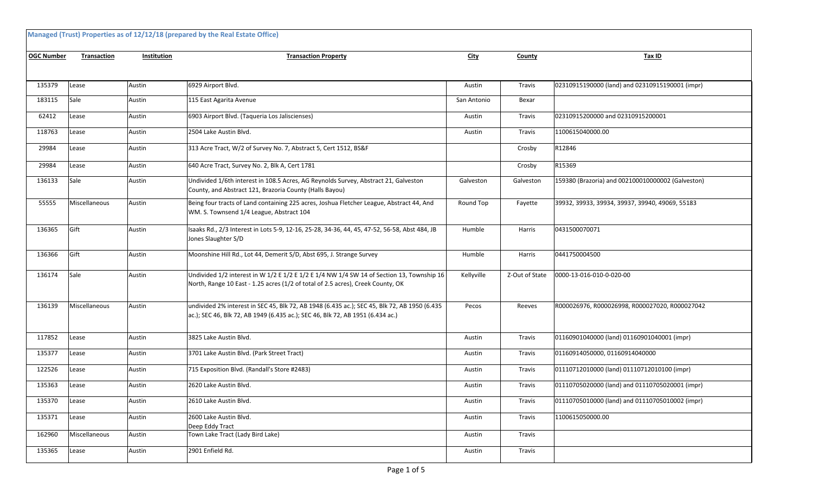|                   |                    |             | Managed (Trust) Properties as of 12/12/18 (prepared by the Real Estate Office)                                                                                                 |             |                |                                                   |
|-------------------|--------------------|-------------|--------------------------------------------------------------------------------------------------------------------------------------------------------------------------------|-------------|----------------|---------------------------------------------------|
| <b>OGC Number</b> | <b>Transaction</b> | Institution | <b>Transaction Property</b>                                                                                                                                                    | <u>City</u> | County         | Tax ID                                            |
|                   |                    |             |                                                                                                                                                                                |             |                |                                                   |
| 135379            | Lease              | Austin      | 6929 Airport Blvd.                                                                                                                                                             | Austin      | Travis         | 02310915190000 (land) and 02310915190001 (impr)   |
| 183115            | Sale               | Austin      | 115 East Agarita Avenue                                                                                                                                                        | San Antonio | Bexar          |                                                   |
| 62412             | Lease              | Austin      | 6903 Airport Blvd. (Taqueria Los Jaliscienses)                                                                                                                                 | Austin      | Travis         | 02310915200000 and 02310915200001                 |
| 118763            | Lease              | Austin      | 2504 Lake Austin Blvd.                                                                                                                                                         | Austin      | Travis         | 1100615040000.00                                  |
| 29984             | Lease              | Austin      | 313 Acre Tract, W/2 of Survey No. 7, Abstract 5, Cert 1512, BS&F                                                                                                               |             | Crosby         | R12846                                            |
| 29984             | Lease              | Austin      | 640 Acre Tract, Survey No. 2, Blk A, Cert 1781                                                                                                                                 |             | Crosby         | R15369                                            |
| 136133            | Sale               | Austin      | Undivided 1/6th interest in 108.5 Acres, AG Reynolds Survey, Abstract 21, Galveston<br>County, and Abstract 121, Brazoria County (Halls Bayou)                                 | Galveston   | Galveston      | 159380 (Brazoria) and 002100010000002 (Galveston) |
| 55555             | Miscellaneous      | Austin      | Being four tracts of Land containing 225 acres, Joshua Fletcher League, Abstract 44, And<br>WM. S. Townsend 1/4 League, Abstract 104                                           | Round Top   | Fayette        | 39932, 39933, 39934, 39937, 39940, 49069, 55183   |
| 136365            | Gift               | Austin      | Isaaks Rd., 2/3 Interest in Lots 5-9, 12-16, 25-28, 34-36, 44, 45, 47-52, 56-58, Abst 484, JB<br>Jones Slaughter S/D                                                           | Humble      | Harris         | 0431500070071                                     |
| 136366            | Gift               | Austin      | Moonshine Hill Rd., Lot 44, Demerit S/D, Abst 695, J. Strange Survey                                                                                                           | Humble      | Harris         | 0441750004500                                     |
| 136174            | Sale               | Austin      | Undivided 1/2 interest in W 1/2 E 1/2 E 1/2 E 1/4 NW 1/4 SW 14 of Section 13, Township 16<br>North, Range 10 East - 1.25 acres (1/2 of total of 2.5 acres), Creek County, OK   | Kellyville  | Z-Out of State | 0000-13-016-010-0-020-00                          |
| 136139            | Miscellaneous      | Austin      | undivided 2% interest in SEC 45, Blk 72, AB 1948 (6.435 ac.); SEC 45, Blk 72, AB 1950 (6.435<br>ac.); SEC 46, Blk 72, AB 1949 (6.435 ac.); SEC 46, Blk 72, AB 1951 (6.434 ac.) | Pecos       | Reeves         | R000026976, R000026998, R000027020, R000027042    |
| 117852            | Lease              | Austin      | 3825 Lake Austin Blvd.                                                                                                                                                         | Austin      | Travis         | 01160901040000 (land) 01160901040001 (impr)       |
| 135377            | Lease              | Austin      | 3701 Lake Austin Blvd. (Park Street Tract)                                                                                                                                     | Austin      | Travis         | 01160914050000, 01160914040000                    |
| 122526            | Lease              | Austin      | 715 Exposition Blvd. (Randall's Store #2483)                                                                                                                                   | Austin      | Travis         | 01110712010000 (land) 01110712010100 (impr)       |
| 135363            | Lease              | Austin      | 2620 Lake Austin Blvd.                                                                                                                                                         | Austin      | Travis         | 01110705020000 (land) and 01110705020001 (impr)   |
| 135370            | Lease              | Austin      | 2610 Lake Austin Blvd.                                                                                                                                                         | Austin      | Travis         | 01110705010000 (land) and 01110705010002 (impr)   |
| 135371            | Lease              | Austin      | 2600 Lake Austin Blvd.<br>Deep Eddy Tract                                                                                                                                      | Austin      | Travis         | 1100615050000.00                                  |
| 162960            | Miscellaneous      | Austin      | Town Lake Tract (Lady Bird Lake)                                                                                                                                               | Austin      | Travis         |                                                   |
| 135365            | Lease              | Austin      | 2901 Enfield Rd.                                                                                                                                                               | Austin      | Travis         |                                                   |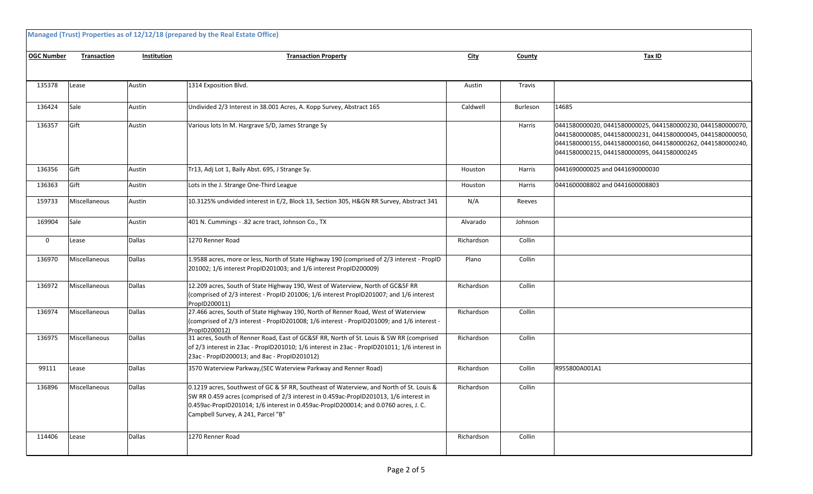|                   | Managed (Trust) Properties as of 12/12/18 (prepared by the Real Estate Office) |                    |                                                                                                                                                                                                                                                                                                               |             |          |                                                                                                                                                                                                                                          |  |  |  |  |  |
|-------------------|--------------------------------------------------------------------------------|--------------------|---------------------------------------------------------------------------------------------------------------------------------------------------------------------------------------------------------------------------------------------------------------------------------------------------------------|-------------|----------|------------------------------------------------------------------------------------------------------------------------------------------------------------------------------------------------------------------------------------------|--|--|--|--|--|
| <b>OGC Number</b> | Transaction                                                                    | <b>Institution</b> | <b>Transaction Property</b>                                                                                                                                                                                                                                                                                   | <b>City</b> | County   | Tax ID                                                                                                                                                                                                                                   |  |  |  |  |  |
|                   |                                                                                |                    |                                                                                                                                                                                                                                                                                                               |             |          |                                                                                                                                                                                                                                          |  |  |  |  |  |
| 135378            | Lease                                                                          | Austin             | 1314 Exposition Blvd.                                                                                                                                                                                                                                                                                         | Austin      | Travis   |                                                                                                                                                                                                                                          |  |  |  |  |  |
| 136424            | Sale                                                                           | Austin             | Undivided 2/3 Interest in 38.001 Acres, A. Kopp Survey, Abstract 165                                                                                                                                                                                                                                          | Caldwell    | Burleson | 14685                                                                                                                                                                                                                                    |  |  |  |  |  |
| 136357            | Gift                                                                           | Austin             | Various lots In M. Hargrave S/D, James Strange Sy                                                                                                                                                                                                                                                             |             | Harris   | 0441580000020, 0441580000025, 0441580000230, 0441580000070,<br>0441580000085, 0441580000231, 0441580000045, 0441580000050,<br>0441580000155, 0441580000160, 0441580000262, 0441580000240,<br>0441580000215, 0441580000095, 0441580000245 |  |  |  |  |  |
| 136356            | Gift                                                                           | Austin             | Tr13, Adj Lot 1, Baily Abst. 695, J Strange Sy.                                                                                                                                                                                                                                                               | Houston     | Harris   | 0441690000025 and 0441690000030                                                                                                                                                                                                          |  |  |  |  |  |
| 136363            | Gift                                                                           | Austin             | Lots in the J. Strange One-Third League                                                                                                                                                                                                                                                                       | Houston     | Harris   | 0441600008802 and 0441600008803                                                                                                                                                                                                          |  |  |  |  |  |
| 159733            | Miscellaneous                                                                  | Austin             | 10.3125% undivided interest in E/2, Block 13, Section 305, H&GN RR Survey, Abstract 341                                                                                                                                                                                                                       | N/A         | Reeves   |                                                                                                                                                                                                                                          |  |  |  |  |  |
| 169904            | Sale                                                                           | Austin             | 401 N. Cummings - .82 acre tract, Johnson Co., TX                                                                                                                                                                                                                                                             | Alvarado    | Johnson  |                                                                                                                                                                                                                                          |  |  |  |  |  |
| 0                 | Lease                                                                          | <b>Dallas</b>      | 1270 Renner Road                                                                                                                                                                                                                                                                                              | Richardson  | Collin   |                                                                                                                                                                                                                                          |  |  |  |  |  |
| 136970            | Miscellaneous                                                                  | <b>Dallas</b>      | 1.9588 acres, more or less, North of State Highway 190 (comprised of 2/3 interest - PropID<br>201002; 1/6 interest PropID201003; and 1/6 interest PropID200009)                                                                                                                                               | Plano       | Collin   |                                                                                                                                                                                                                                          |  |  |  |  |  |
| 136972            | Miscellaneous                                                                  | <b>Dallas</b>      | 12.209 acres, South of State Highway 190, West of Waterview, North of GC&SF RR<br>(comprised of 2/3 interest - PropID 201006; 1/6 interest PropID201007; and 1/6 interest<br>PropID200011)                                                                                                                    | Richardson  | Collin   |                                                                                                                                                                                                                                          |  |  |  |  |  |
| 136974            | Miscellaneous                                                                  | <b>Dallas</b>      | 27.466 acres, South of State Highway 190, North of Renner Road, West of Waterview<br>(comprised of 2/3 interest - PropID201008; 1/6 interest - PropID201009; and 1/6 interest -<br>PropID200012)                                                                                                              | Richardson  | Collin   |                                                                                                                                                                                                                                          |  |  |  |  |  |
| 136975            | Miscellaneous                                                                  | Dallas             | 31 acres, South of Renner Road, East of GC&SF RR, North of St. Louis & SW RR (comprised<br>of 2/3 interest in 23ac - PropID201010; 1/6 interest in 23ac - PropID201011; 1/6 interest in<br>23ac - PropID200013; and 8ac - PropID201012)                                                                       | Richardson  | Collin   |                                                                                                                                                                                                                                          |  |  |  |  |  |
| 99111             | Lease                                                                          | <b>Dallas</b>      | 3570 Waterview Parkway, (SEC Waterview Parkway and Renner Road)                                                                                                                                                                                                                                               | Richardson  | Collin   | R955800A001A1                                                                                                                                                                                                                            |  |  |  |  |  |
| 136896            | Miscellaneous                                                                  | Dallas             | 0.1219 acres, Southwest of GC & SF RR, Southeast of Waterview, and North of St. Louis &<br>SW RR 0.459 acres (comprised of 2/3 interest in 0.459ac-PropID201013, 1/6 interest in<br>0.459ac-PropID201014; 1/6 interest in 0.459ac-PropID200014; and 0.0760 acres, J. C.<br>Campbell Survey, A 241, Parcel "B" | Richardson  | Collin   |                                                                                                                                                                                                                                          |  |  |  |  |  |
| 114406            | Lease                                                                          | <b>Dallas</b>      | 1270 Renner Road                                                                                                                                                                                                                                                                                              | Richardson  | Collin   |                                                                                                                                                                                                                                          |  |  |  |  |  |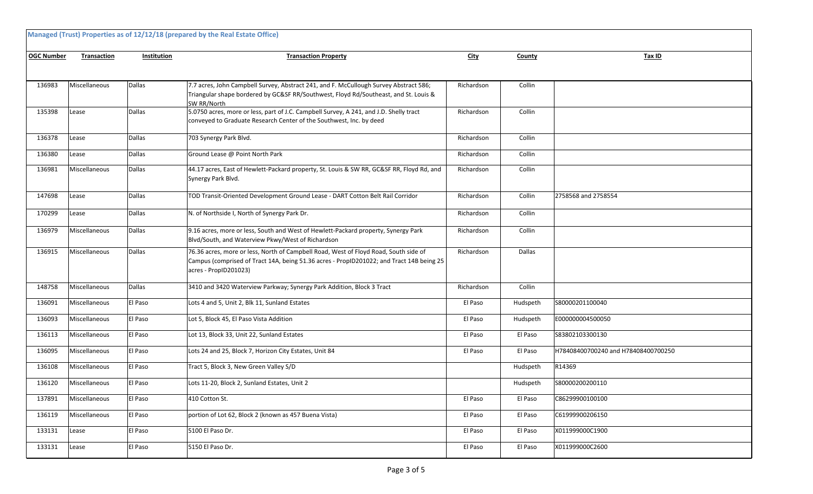| Managed (Trust) Properties as of 12/12/18 (prepared by the Real Estate Office) |                    |             |                                                                                                                                                                                                           |             |          |                                     |  |  |
|--------------------------------------------------------------------------------|--------------------|-------------|-----------------------------------------------------------------------------------------------------------------------------------------------------------------------------------------------------------|-------------|----------|-------------------------------------|--|--|
| <b>OGC Number</b>                                                              | <b>Transaction</b> | Institution | <b>Transaction Property</b>                                                                                                                                                                               | <b>City</b> | County   | Tax ID                              |  |  |
|                                                                                |                    |             |                                                                                                                                                                                                           |             |          |                                     |  |  |
| 136983                                                                         | Miscellaneous      | Dallas      | 7.7 acres, John Campbell Survey, Abstract 241, and F. McCullough Survey Abstract 586;<br>Triangular shape bordered by GC&SF RR/Southwest, Floyd Rd/Southeast, and St. Louis &<br>SW RR/North              | Richardson  | Collin   |                                     |  |  |
| 135398                                                                         | Lease              | Dallas      | 5.0750 acres, more or less, part of J.C. Campbell Survey, A 241, and J.D. Shelly tract<br>conveyed to Graduate Research Center of the Southwest, Inc. by deed                                             | Richardson  | Collin   |                                     |  |  |
| 136378                                                                         | Lease              | Dallas      | 703 Synergy Park Blvd.                                                                                                                                                                                    | Richardson  | Collin   |                                     |  |  |
| 136380                                                                         | Lease              | Dallas      | Ground Lease @ Point North Park                                                                                                                                                                           | Richardson  | Collin   |                                     |  |  |
| 136981                                                                         | Miscellaneous      | Dallas      | 44.17 acres, East of Hewlett-Packard property, St. Louis & SW RR, GC&SF RR, Floyd Rd, and<br>Synergy Park Blvd.                                                                                           | Richardson  | Collin   |                                     |  |  |
| 147698                                                                         | Lease              | Dallas      | TOD Transit-Oriented Development Ground Lease - DART Cotton Belt Rail Corridor                                                                                                                            | Richardson  | Collin   | 2758568 and 2758554                 |  |  |
| 170299                                                                         | Lease              | Dallas      | N. of Northside I, North of Synergy Park Dr.                                                                                                                                                              | Richardson  | Collin   |                                     |  |  |
| 136979                                                                         | Miscellaneous      | Dallas      | 9.16 acres, more or less, South and West of Hewlett-Packard property, Synergy Park<br>Blvd/South, and Waterview Pkwy/West of Richardson                                                                   | Richardson  | Collin   |                                     |  |  |
| 136915                                                                         | Miscellaneous      | Dallas      | 76.36 acres, more or less, North of Campbell Road, West of Floyd Road, South side of<br>Campus (comprised of Tract 14A, being 51.36 acres - PropID201022; and Tract 14B being 25<br>acres - PropID201023) | Richardson  | Dallas   |                                     |  |  |
| 148758                                                                         | Miscellaneous      | Dallas      | 3410 and 3420 Waterview Parkway; Synergy Park Addition, Block 3 Tract                                                                                                                                     | Richardson  | Collin   |                                     |  |  |
| 136091                                                                         | Miscellaneous      | El Paso     | Lots 4 and 5, Unit 2, Blk 11, Sunland Estates                                                                                                                                                             | El Paso     | Hudspeth | S80000201100040                     |  |  |
| 136093                                                                         | Miscellaneous      | El Paso     | Lot 5, Block 45, El Paso Vista Addition                                                                                                                                                                   | El Paso     | Hudspeth | E000000004500050                    |  |  |
| 136113                                                                         | Miscellaneous      | El Paso     | Lot 13, Block 33, Unit 22, Sunland Estates                                                                                                                                                                | El Paso     | El Paso  | \$83802103300130                    |  |  |
| 136095                                                                         | Miscellaneous      | El Paso     | Lots 24 and 25, Block 7, Horizon City Estates, Unit 84                                                                                                                                                    | El Paso     | El Paso  | H78408400700240 and H78408400700250 |  |  |
| 136108                                                                         | Miscellaneous      | El Paso     | Tract 5, Block 3, New Green Valley S/D                                                                                                                                                                    |             | Hudspeth | R14369                              |  |  |
| 136120                                                                         | Miscellaneous      | El Paso     | Lots 11-20, Block 2, Sunland Estates, Unit 2                                                                                                                                                              |             | Hudspeth | S80000200200110                     |  |  |
| 137891                                                                         | Miscellaneous      | El Paso     | 410 Cotton St.                                                                                                                                                                                            | El Paso     | El Paso  | C86299900100100                     |  |  |
| 136119                                                                         | Miscellaneous      | El Paso     | portion of Lot 62, Block 2 (known as 457 Buena Vista)                                                                                                                                                     | El Paso     | El Paso  | C61999900206150                     |  |  |
| 133131                                                                         | Lease              | El Paso     | 5100 El Paso Dr.                                                                                                                                                                                          | El Paso     | El Paso  | X011999000C1900                     |  |  |
| 133131                                                                         | Lease              | El Paso     | 5150 El Paso Dr.                                                                                                                                                                                          | El Paso     | El Paso  | X011999000C2600                     |  |  |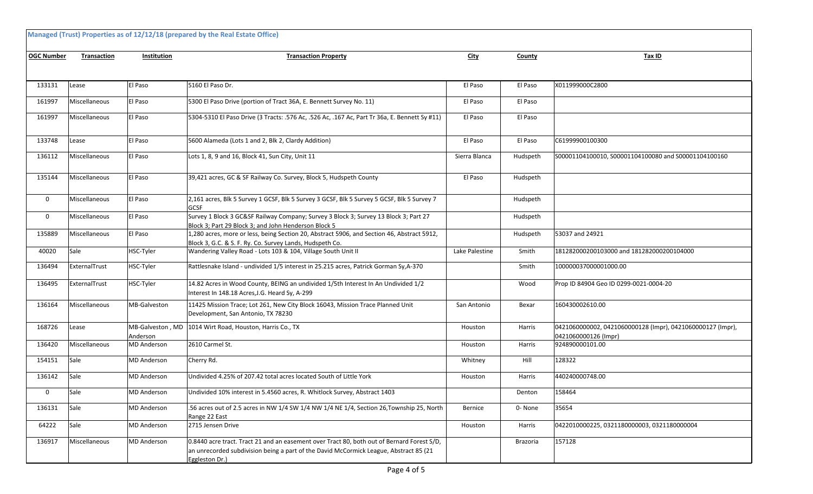| Managed (Trust) Properties as of 12/12/18 (prepared by the Real Estate Office) |               |                              |                                                                                                                                                                                                       |                |          |                                                                                    |  |  |  |
|--------------------------------------------------------------------------------|---------------|------------------------------|-------------------------------------------------------------------------------------------------------------------------------------------------------------------------------------------------------|----------------|----------|------------------------------------------------------------------------------------|--|--|--|
| <b>OGC Number</b>                                                              | Transaction   | Institution                  | <b>Transaction Property</b>                                                                                                                                                                           | <b>City</b>    | County   | Tax ID                                                                             |  |  |  |
|                                                                                |               |                              |                                                                                                                                                                                                       |                |          |                                                                                    |  |  |  |
| 133131                                                                         | Lease         | El Paso                      | 5160 El Paso Dr.                                                                                                                                                                                      | El Paso        | El Paso  | X011999000C2800                                                                    |  |  |  |
| 161997                                                                         | Miscellaneous | El Paso                      | 5300 El Paso Drive (portion of Tract 36A, E. Bennett Survey No. 11)                                                                                                                                   | El Paso        | El Paso  |                                                                                    |  |  |  |
| 161997                                                                         | Miscellaneous | El Paso                      | 5304-5310 El Paso Drive (3 Tracts: .576 Ac, .526 Ac, .167 Ac, Part Tr 36a, E. Bennett Sy #11)                                                                                                         | El Paso        | El Paso  |                                                                                    |  |  |  |
| 133748                                                                         | Lease         | El Paso                      | 5600 Alameda (Lots 1 and 2, Blk 2, Clardy Addition)                                                                                                                                                   | El Paso        | El Paso  | C61999900100300                                                                    |  |  |  |
| 136112                                                                         | Miscellaneous | El Paso                      | Lots 1, 8, 9 and 16, Block 41, Sun City, Unit 11                                                                                                                                                      | Sierra Blanca  | Hudspeth | S00001104100010, S00001104100080 and S00001104100160                               |  |  |  |
| 135144                                                                         | Miscellaneous | El Paso                      | 39,421 acres, GC & SF Railway Co. Survey, Block 5, Hudspeth County                                                                                                                                    | El Paso        | Hudspeth |                                                                                    |  |  |  |
| 0                                                                              | Miscellaneous | El Paso                      | 2,161 acres, Blk 5 Survey 1 GCSF, Blk 5 Survey 3 GCSF, Blk 5 Survey 5 GCSF, Blk 5 Survey 7<br>GCSF                                                                                                    |                | Hudspeth |                                                                                    |  |  |  |
| 0                                                                              | Miscellaneous | El Paso                      | Survey 1 Block 3 GC&SF Railway Company; Survey 3 Block 3; Survey 13 Block 3; Part 27<br>Block 3; Part 29 Block 3; and John Henderson Block 5                                                          |                | Hudspeth |                                                                                    |  |  |  |
| 135889                                                                         | Miscellaneous | El Paso                      | 1,280 acres, more or less, being Section 20, Abstract 5906, and Section 46, Abstract 5912,<br>Block 3, G.C. & S. F. Ry. Co. Survey Lands, Hudspeth Co.                                                |                | Hudspeth | 53037 and 24921                                                                    |  |  |  |
| 40020                                                                          | Sale          | HSC-Tyler                    | Wandering Valley Road - Lots 103 & 104, Village South Unit II                                                                                                                                         | Lake Palestine | Smith    | 181282000200103000 and 181282000200104000                                          |  |  |  |
| 136494                                                                         | ExternalTrust | HSC-Tyler                    | Rattlesnake Island - undivided 1/5 interest in 25.215 acres, Patrick Gorman Sy, A-370                                                                                                                 |                | Smith    | 100000037000001000.00                                                              |  |  |  |
| 136495                                                                         | ExternalTrust | HSC-Tyler                    | 14.82 Acres in Wood County, BEING an undivided 1/5th Interest In An Undivided 1/2<br>Interest In 148.18 Acres, J.G. Heard Sy, A-299                                                                   |                | Wood     | Prop ID 84904 Geo ID 0299-0021-0004-20                                             |  |  |  |
| 136164                                                                         | Miscellaneous | MB-Galveston                 | 11425 Mission Trace; Lot 261, New City Block 16043, Mission Trace Planned Unit<br>Development, San Antonio, TX 78230                                                                                  | San Antonio    | Bexar    | 160430002610.00                                                                    |  |  |  |
| 168726                                                                         | Lease         | MB-Galveston, MD<br>Anderson | 1014 Wirt Road, Houston, Harris Co., TX                                                                                                                                                               | Houston        | Harris   | 0421060000002, 0421060000128 (Impr), 0421060000127 (Impr),<br>0421060000126 (Impr) |  |  |  |
| 136420                                                                         | Miscellaneous | <b>MD</b> Anderson           | 2610 Carmel St.                                                                                                                                                                                       | Houston        | Harris   | 924890000101.00                                                                    |  |  |  |
| 154151                                                                         | Sale          | <b>MD</b> Anderson           | Cherry Rd.                                                                                                                                                                                            | Whitney        | Hill     | 128322                                                                             |  |  |  |
| 136142                                                                         | Sale          | <b>MD</b> Anderson           | Undivided 4.25% of 207.42 total acres located South of Little York                                                                                                                                    | Houston        | Harris   | 440240000748.00                                                                    |  |  |  |
| 0                                                                              | Sale          | <b>MD</b> Anderson           | Undivided 10% interest in 5.4560 acres, R. Whitlock Survey, Abstract 1403                                                                                                                             |                | Denton   | 158464                                                                             |  |  |  |
| 136131                                                                         | Sale          | <b>MD</b> Anderson           | .56 acres out of 2.5 acres in NW 1/4 SW 1/4 NW 1/4 NE 1/4, Section 26, Township 25, North<br>Range 22 East                                                                                            | Bernice        | 0-None   | 35654                                                                              |  |  |  |
| 64222                                                                          | Sale          | <b>MD</b> Anderson           | 2715 Jensen Drive                                                                                                                                                                                     | Houston        | Harris   | 0422010000225, 0321180000003, 0321180000004                                        |  |  |  |
| 136917                                                                         | Miscellaneous | <b>MD</b> Anderson           | 0.8440 acre tract. Tract 21 and an easement over Tract 80, both out of Bernard Forest S/D,<br>an unrecorded subdivision being a part of the David McCormick League, Abstract 85 (21<br>Eggleston Dr.) |                | Brazoria | 157128                                                                             |  |  |  |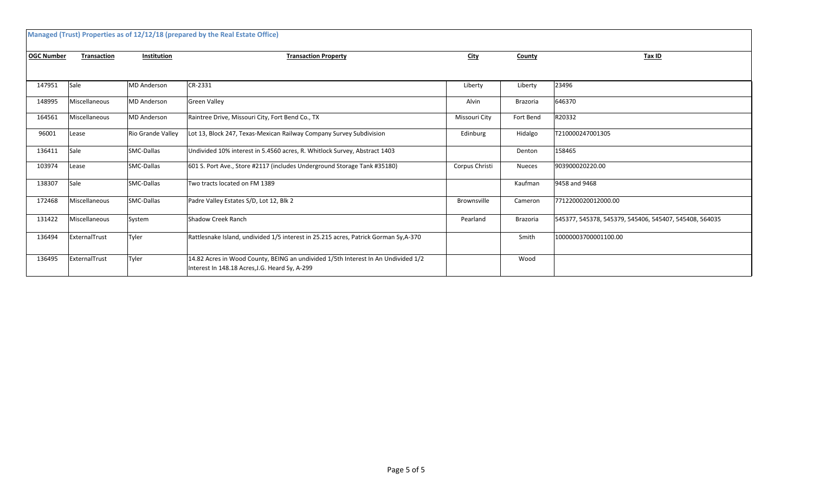| Managed (Trust) Properties as of 12/12/18 (prepared by the Real Estate Office) |                    |                    |                                                                                                                                     |                |               |                                                        |  |  |  |
|--------------------------------------------------------------------------------|--------------------|--------------------|-------------------------------------------------------------------------------------------------------------------------------------|----------------|---------------|--------------------------------------------------------|--|--|--|
| <b>OGC Number</b>                                                              | <b>Transaction</b> | <b>Institution</b> | <b>Transaction Property</b>                                                                                                         | <b>City</b>    | County        | Tax ID                                                 |  |  |  |
|                                                                                |                    |                    |                                                                                                                                     |                |               |                                                        |  |  |  |
| 147951                                                                         | Sale               | <b>MD Anderson</b> | CR-2331                                                                                                                             | Liberty        | Liberty       | 23496                                                  |  |  |  |
| 148995                                                                         | Miscellaneous      | MD Anderson        | <b>Green Valley</b>                                                                                                                 | Alvin          | Brazoria      | 646370                                                 |  |  |  |
| 164561                                                                         | Miscellaneous      | <b>MD Anderson</b> | Raintree Drive, Missouri City, Fort Bend Co., TX                                                                                    | Missouri City  | Fort Bend     | R20332                                                 |  |  |  |
| 96001                                                                          | Lease              | Rio Grande Valley  | Lot 13, Block 247, Texas-Mexican Railway Company Survey Subdivision                                                                 | Edinburg       | Hidalgo       | T210000247001305                                       |  |  |  |
| 136411                                                                         | Sale               | SMC-Dallas         | Undivided 10% interest in 5.4560 acres, R. Whitlock Survey, Abstract 1403                                                           |                | Denton        | 158465                                                 |  |  |  |
| 103974                                                                         | Lease              | SMC-Dallas         | 601 S. Port Ave., Store #2117 (includes Underground Storage Tank #35180)                                                            | Corpus Christi | <b>Nueces</b> | 903900020220.00                                        |  |  |  |
| 138307                                                                         | Sale               | SMC-Dallas         | Two tracts located on FM 1389                                                                                                       |                | Kaufman       | 9458 and 9468                                          |  |  |  |
| 172468                                                                         | Miscellaneous      | SMC-Dallas         | Padre Valley Estates S/D, Lot 12, Blk 2                                                                                             | Brownsville    | Cameron       | 7712200020012000.00                                    |  |  |  |
| 131422                                                                         | Miscellaneous      | System             | Shadow Creek Ranch                                                                                                                  | Pearland       | Brazoria      | 545377, 545378, 545379, 545406, 545407, 545408, 564035 |  |  |  |
| 136494                                                                         | ExternalTrust      | Tyler              | Rattlesnake Island, undivided 1/5 interest in 25.215 acres, Patrick Gorman Sy,A-370                                                 |                | Smith         | 10000003700001100.00                                   |  |  |  |
| 136495                                                                         | ExternalTrust      | Tyler              | 14.82 Acres in Wood County, BEING an undivided 1/5th Interest In An Undivided 1/2<br>Interest In 148.18 Acres, J.G. Heard Sy, A-299 |                | Wood          |                                                        |  |  |  |